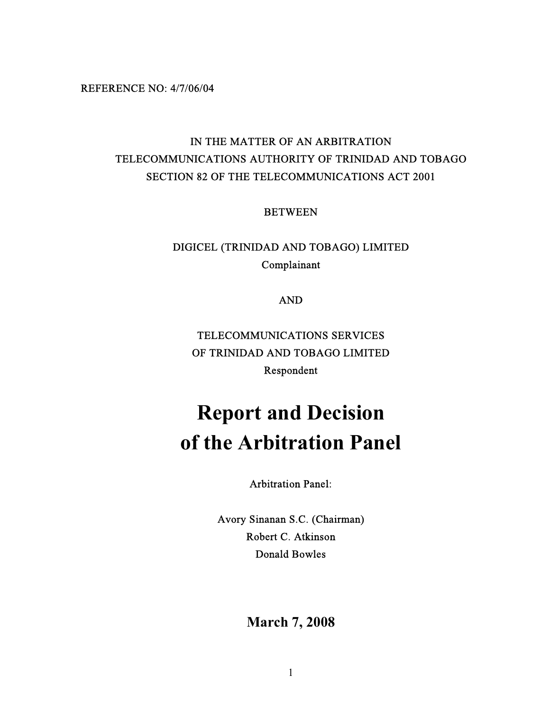REFERENCE NO: 4/7/06/04

# IN THE MATTER OF AN ARBITRATION TELECOMMUNICATIONS AUTHORITY OF TRINIDAD AND TOBAGO SECTION 82 OF THE TELECOMMUNICATIONS ACT 2001

BETWEEN

DIGICEL (TRINIDAD AND TOBAGO) LIMITED Complainant

AND

TELECOMMUNICATIONS SERVICES OF TRINIDAD AND TOBAGO LIMITED Respondent

# **Report and Decision of the Arbitration Panel**

Arbitration Panel:

Avory Sinanan S.C. (Chairman) Robert C. Atkinson Donald Bowles

**March 7, 2008**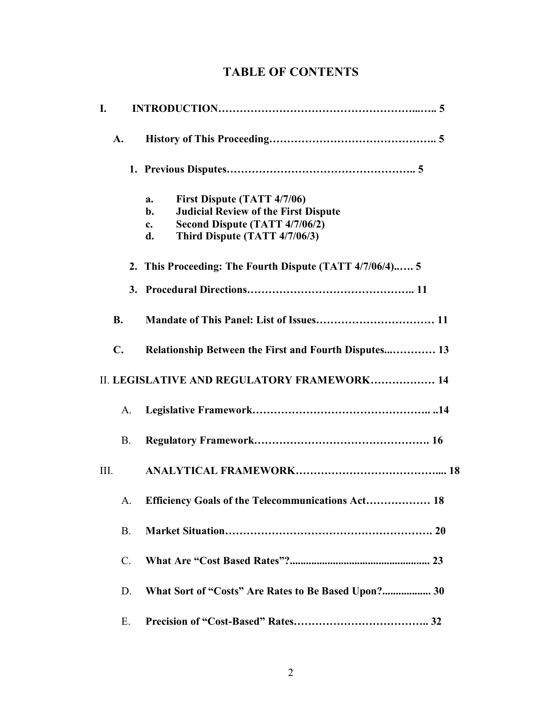# **TABLE OF CONTENTS**

| I.   |                 |                                                               |
|------|-----------------|---------------------------------------------------------------|
|      | A.              |                                                               |
|      |                 |                                                               |
|      |                 | First Dispute (TATT 4/7/06)<br>a.                             |
|      |                 | <b>Judicial Review of the First Dispute</b><br>$\mathbf{b}$ . |
|      |                 | Second Dispute (TATT 4/7/06/2)<br>$c_{\cdot}$                 |
|      |                 | Third Dispute (TATT 4/7/06/3)<br>d.                           |
|      |                 | 2. This Proceeding: The Fourth Dispute (TATT 4/7/06/4) 5      |
|      |                 |                                                               |
|      | <b>B.</b>       |                                                               |
|      | $\mathbf{C}$ .  | Relationship Between the First and Fourth Disputes 13         |
|      |                 | II. LEGISLATIVE AND REGULATORY FRAMEWORK 14                   |
|      | A.              |                                                               |
|      | <b>B.</b>       |                                                               |
| III. |                 |                                                               |
|      | A.              | Efficiency Goals of the Telecommunications Act 18             |
|      | <b>B.</b>       |                                                               |
|      | $\mathcal{C}$ . |                                                               |
|      | D.              | What Sort of "Costs" Are Rates to Be Based Upon? 30           |
|      | Ε.              |                                                               |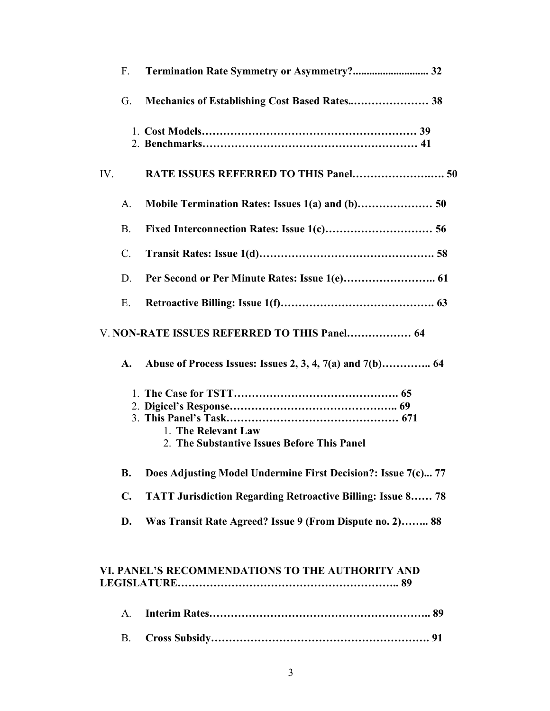|                                              | $F_{\cdot}$    | <b>Termination Rate Symmetry or Asymmetry? 32</b>                  |  |  |  |
|----------------------------------------------|----------------|--------------------------------------------------------------------|--|--|--|
|                                              | G.             | Mechanics of Establishing Cost Based Rates 38                      |  |  |  |
|                                              |                |                                                                    |  |  |  |
| IV.                                          |                | RATE ISSUES REFERRED TO THIS Panel 50                              |  |  |  |
|                                              | A.             |                                                                    |  |  |  |
|                                              | <b>B.</b>      |                                                                    |  |  |  |
|                                              | $\mathbf{C}$ . |                                                                    |  |  |  |
|                                              | D.             |                                                                    |  |  |  |
|                                              | Е.             |                                                                    |  |  |  |
| V. NON-RATE ISSUES REFERRED TO THIS Panel 64 |                |                                                                    |  |  |  |
|                                              | A.             |                                                                    |  |  |  |
|                                              |                | 1. The Relevant Law<br>2. The Substantive Issues Before This Panel |  |  |  |
|                                              | <b>B.</b>      | Does Adjusting Model Undermine First Decision?: Issue 7(c) 77      |  |  |  |
|                                              | $\mathbf{C}$ . | <b>TATT Jurisdiction Regarding Retroactive Billing: Issue 8 78</b> |  |  |  |
|                                              | D.             | Was Transit Rate Agreed? Issue 9 (From Dispute no. 2) 88           |  |  |  |
|                                              |                | VI. PANEL'S RECOMMENDATIONS TO THE AUTHORITY AND                   |  |  |  |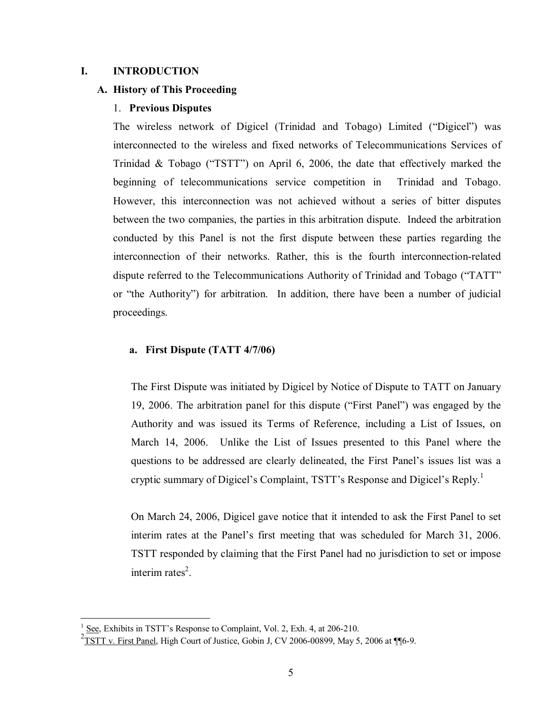## **I. INTRODUCTION**

#### **A. History of This Proceeding**

## 1. **Previous Disputes**

The wireless network of Digicel (Trinidad and Tobago) Limited ("Digicel") was interconnected to the wireless and fixed networks of Telecommunications Services of Trinidad & Tobago ("TSTT") on April 6, 2006, the date that effectively marked the beginning of telecommunications service competition in Trinidad and Tobago. However, this interconnection was not achieved without a series of bitter disputes between the two companies, the parties in this arbitration dispute. Indeed the arbitration conducted by this Panel is not the first dispute between these parties regarding the interconnection of their networks. Rather, this is the fourth interconnection-related dispute referred to the Telecommunications Authority of Trinidad and Tobago ("TATT" or "the Authority") for arbitration. In addition, there have been a number of judicial proceedings.

## **a. First Dispute (TATT 4/7/06)**

The First Dispute was initiated by Digicel by Notice of Dispute to TATT on January 19, 2006. The arbitration panel for this dispute ("First Panel") was engaged by the Authority and was issued its Terms of Reference, including a List of Issues, on March 14, 2006. Unlike the List of Issues presented to this Panel where the questions to be addressed are clearly delineated, the First Panel's issues list was a cryptic summary of Digicel's Complaint, TSTT's Response and Digicel's Reply.<sup>1</sup>

On March 24, 2006, Digicel gave notice that it intended to ask the First Panel to set interim rates at the Panel's first meeting that was scheduled for March 31, 2006. TSTT responded by claiming that the First Panel had no jurisdiction to set or impose interim rates<sup>2</sup>.

1

 $1$  See, Exhibits in TSTT's Response to Complaint, Vol. 2, Exh. 4, at 206-210.

 $2\overline{TSTT}$  v. First Panel, High Court of Justice, Gobin J, CV 2006-00899, May 5, 2006 at ¶¶6-9.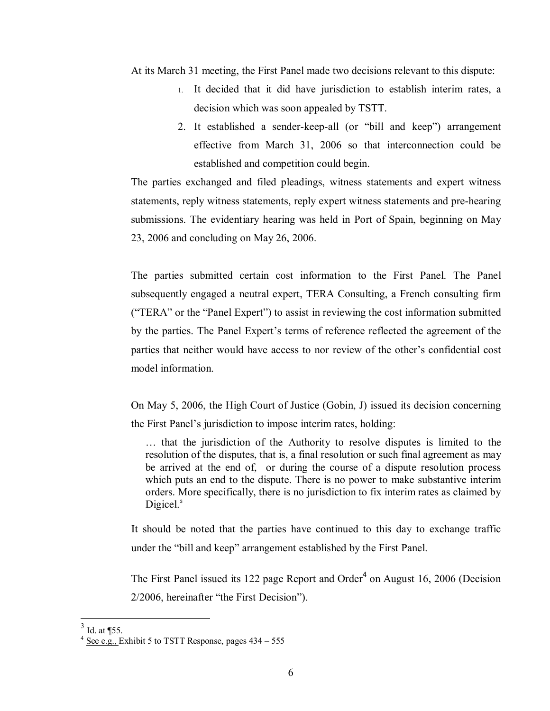At its March 31 meeting, the First Panel made two decisions relevant to this dispute:

- 1. It decided that it did have jurisdiction to establish interim rates, a decision which was soon appealed by TSTT.
- 2. It established a sender-keep-all (or "bill and keep") arrangement effective from March 31, 2006 so that interconnection could be established and competition could begin.

The parties exchanged and filed pleadings, witness statements and expert witness statements, reply witness statements, reply expert witness statements and pre-hearing submissions. The evidentiary hearing was held in Port of Spain, beginning on May 23, 2006 and concluding on May 26, 2006.

The parties submitted certain cost information to the First Panel. The Panel subsequently engaged a neutral expert, TERA Consulting, a French consulting firm ("TERA" or the "Panel Expert") to assist in reviewing the cost information submitted by the parties. The Panel Expert's terms of reference reflected the agreement of the parties that neither would have access to nor review of the other's confidential cost model information.

On May 5, 2006, the High Court of Justice (Gobin, J) issued its decision concerning the First Panel's jurisdiction to impose interim rates, holding:

… that the jurisdiction of the Authority to resolve disputes is limited to the resolution of the disputes, that is, a final resolution or such final agreement as may be arrived at the end of, or during the course of a dispute resolution process which puts an end to the dispute. There is no power to make substantive interim orders. More specifically, there is no jurisdiction to fix interim rates as claimed by Digicel.<sup>3</sup>

It should be noted that the parties have continued to this day to exchange traffic under the "bill and keep" arrangement established by the First Panel.

The First Panel issued its 122 page Report and Order<sup>4</sup> on August 16, 2006 (Decision 2/2006, hereinafter "the First Decision").

 $3$  Id. at  $\P$ 55.

 $4 \text{ See } e.g.,$  Exhibit 5 to TSTT Response, pages  $434 - 555$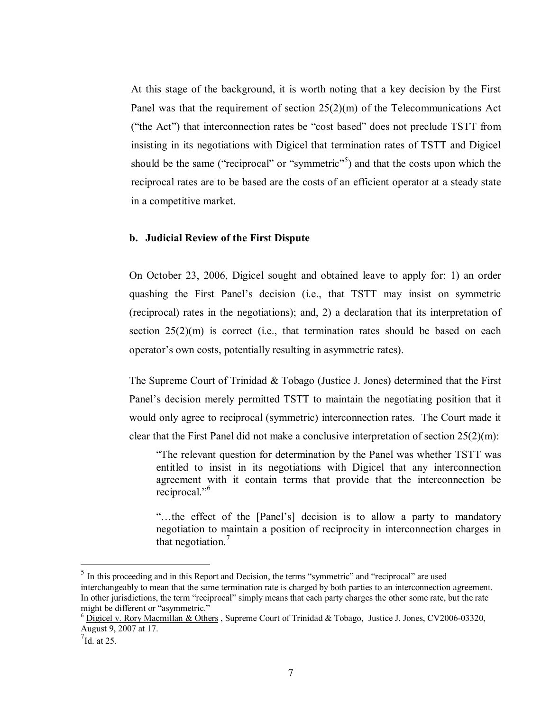At this stage of the background, it is worth noting that a key decision by the First Panel was that the requirement of section 25(2)(m) of the Telecommunications Act ("the Act") that interconnection rates be "cost based" does not preclude TSTT from insisting in its negotiations with Digicel that termination rates of TSTT and Digicel should be the same ("reciprocal" or "symmetric"<sup>5</sup>) and that the costs upon which the reciprocal rates are to be based are the costs of an efficient operator at a steady state in a competitive market.

#### **b. Judicial Review of the First Dispute**

On October 23, 2006, Digicel sought and obtained leave to apply for: 1) an order quashing the First Panel's decision (i.e., that TSTT may insist on symmetric (reciprocal) rates in the negotiations); and, 2) a declaration that its interpretation of section  $25(2)(m)$  is correct (i.e., that termination rates should be based on each operator's own costs, potentially resulting in asymmetric rates).

The Supreme Court of Trinidad & Tobago (Justice J. Jones) determined that the First Panel's decision merely permitted TSTT to maintain the negotiating position that it would only agree to reciprocal (symmetric) interconnection rates. The Court made it clear that the First Panel did not make a conclusive interpretation of section  $25(2)(m)$ :

"The relevant question for determination by the Panel was whether TSTT was entitled to insist in its negotiations with Digicel that any interconnection agreement with it contain terms that provide that the interconnection be reciprocal."<sup>6</sup>

"…the effect of the [Panel's] decision is to allow a party to mandatory negotiation to maintain a position of reciprocity in interconnection charges in that negotiation.<sup>7</sup>

<u>.</u>

 $<sup>5</sup>$  In this proceeding and in this Report and Decision, the terms "symmetric" and "reciprocal" are used</sup> interchangeably to mean that the same termination rate is charged by both parties to an interconnection agreement. In other jurisdictions, the term "reciprocal" simply means that each party charges the other some rate, but the rate might be different or "asymmetric."

 $6$  Digicel v. Rory Macmillan & Others, Supreme Court of Trinidad & Tobago, Justice J. Jones, CV2006-03320, August 9, 2007 at 17.

 $7$ Id. at 25.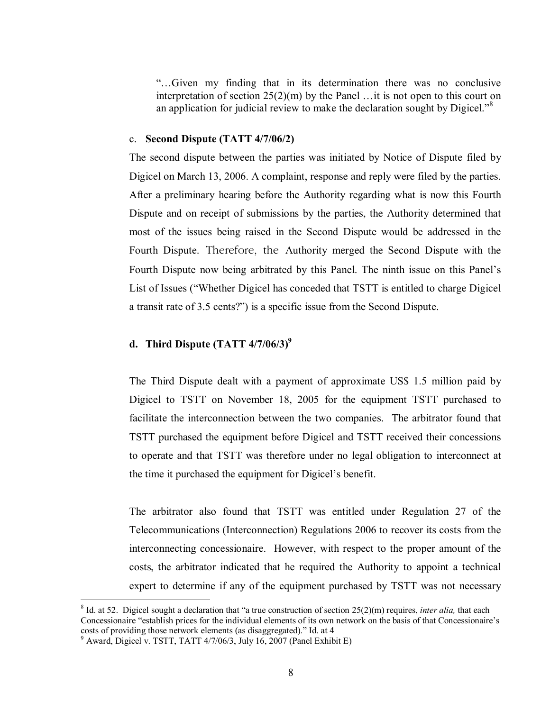"…Given my finding that in its determination there was no conclusive interpretation of section  $25(2)(m)$  by the Panel ... it is not open to this court on an application for judicial review to make the declaration sought by Digicel."<sup>8</sup>

#### c. **Second Dispute (TATT 4/7/06/2)**

The second dispute between the parties was initiated by Notice of Dispute filed by Digicel on March 13, 2006. A complaint, response and reply were filed by the parties. After a preliminary hearing before the Authority regarding what is now this Fourth Dispute and on receipt of submissions by the parties, the Authority determined that most of the issues being raised in the Second Dispute would be addressed in the Fourth Dispute. Therefore, the Authority merged the Second Dispute with the Fourth Dispute now being arbitrated by this Panel. The ninth issue on this Panel's List of Issues ("Whether Digicel has conceded that TSTT is entitled to charge Digicel a transit rate of 3.5 cents?") is a specific issue from the Second Dispute.

# **d.** Third Dispute  $(TATT 4/7/06/3)^9$

The Third Dispute dealt with a payment of approximate US\$ 1.5 million paid by Digicel to TSTT on November 18, 2005 for the equipment TSTT purchased to facilitate the interconnection between the two companies. The arbitrator found that TSTT purchased the equipment before Digicel and TSTT received their concessions to operate and that TSTT was therefore under no legal obligation to interconnect at the time it purchased the equipment for Digicel's benefit.

The arbitrator also found that TSTT was entitled under Regulation 27 of the Telecommunications (Interconnection) Regulations 2006 to recover its costs from the interconnecting concessionaire. However, with respect to the proper amount of the costs, the arbitrator indicated that he required the Authority to appoint a technical expert to determine if any of the equipment purchased by TSTT was not necessary

 8 Id. at 52. Digicel sought a declaration that "a true construction of section 25(2)(m) requires, *inter alia,* that each Concessionaire "establish prices for the individual elements of its own network on the basis of that Concessionaire's costs of providing those network elements (as disaggregated)." Id. at 4 9 Award, Digicel v. TSTT, TATT 4/7/06/3, July 16, 2007 (Panel Exhibit E)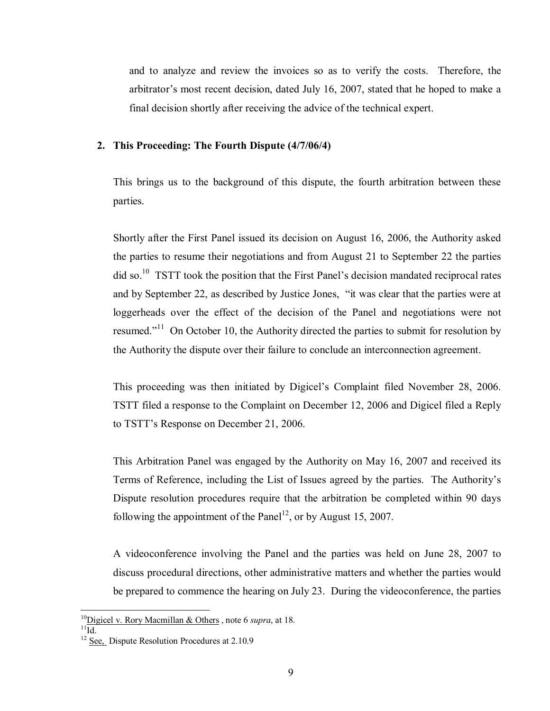and to analyze and review the invoices so as to verify the costs. Therefore, the arbitrator's most recent decision, dated July 16, 2007, stated that he hoped to make a final decision shortly after receiving the advice of the technical expert.

#### **2. This Proceeding: The Fourth Dispute (4/7/06/4)**

This brings us to the background of this dispute, the fourth arbitration between these parties.

Shortly after the First Panel issued its decision on August 16, 2006, the Authority asked the parties to resume their negotiations and from August 21 to September 22 the parties did so.<sup>10</sup> TSTT took the position that the First Panel's decision mandated reciprocal rates and by September 22, as described by Justice Jones, "it was clear that the parties were at loggerheads over the effect of the decision of the Panel and negotiations were not resumed."<sup>11</sup> On October 10, the Authority directed the parties to submit for resolution by the Authority the dispute over their failure to conclude an interconnection agreement.

This proceeding was then initiated by Digicel's Complaint filed November 28, 2006. TSTT filed a response to the Complaint on December 12, 2006 and Digicel filed a Reply to TSTT's Response on December 21, 2006.

This Arbitration Panel was engaged by the Authority on May 16, 2007 and received its Terms of Reference, including the List of Issues agreed by the parties. The Authority's Dispute resolution procedures require that the arbitration be completed within 90 days following the appointment of the Panel<sup>12</sup>, or by August 15, 2007.

A videoconference involving the Panel and the parties was held on June 28, 2007 to discuss procedural directions, other administrative matters and whether the parties would be prepared to commence the hearing on July 23. During the videoconference, the parties

 $^{10}$ Digicel v. Rory Macmillan & Others, note 6 *supra*, at 18.  $^{11}$ Id.

<sup>&</sup>lt;sup>12</sup> See, Dispute Resolution Procedures at 2.10.9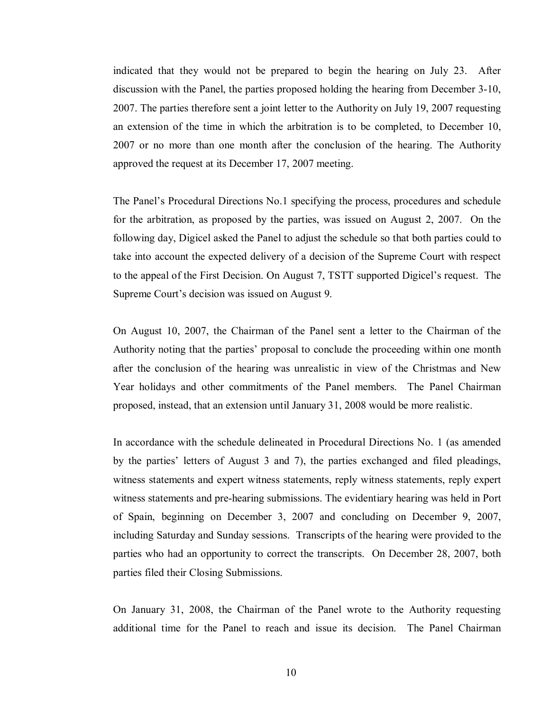indicated that they would not be prepared to begin the hearing on July 23. After discussion with the Panel, the parties proposed holding the hearing from December 3-10, 2007. The parties therefore sent a joint letter to the Authority on July 19, 2007 requesting an extension of the time in which the arbitration is to be completed, to December 10, 2007 or no more than one month after the conclusion of the hearing. The Authority approved the request at its December 17, 2007 meeting.

The Panel's Procedural Directions No.1 specifying the process, procedures and schedule for the arbitration, as proposed by the parties, was issued on August 2, 2007. On the following day, Digicel asked the Panel to adjust the schedule so that both parties could to take into account the expected delivery of a decision of the Supreme Court with respect to the appeal of the First Decision. On August 7, TSTT supported Digicel's request. The Supreme Court's decision was issued on August 9.

On August 10, 2007, the Chairman of the Panel sent a letter to the Chairman of the Authority noting that the parties' proposal to conclude the proceeding within one month after the conclusion of the hearing was unrealistic in view of the Christmas and New Year holidays and other commitments of the Panel members. The Panel Chairman proposed, instead, that an extension until January 31, 2008 would be more realistic.

In accordance with the schedule delineated in Procedural Directions No. 1 (as amended by the parties' letters of August 3 and 7), the parties exchanged and filed pleadings, witness statements and expert witness statements, reply witness statements, reply expert witness statements and pre-hearing submissions. The evidentiary hearing was held in Port of Spain, beginning on December 3, 2007 and concluding on December 9, 2007, including Saturday and Sunday sessions. Transcripts of the hearing were provided to the parties who had an opportunity to correct the transcripts. On December 28, 2007, both parties filed their Closing Submissions.

On January 31, 2008, the Chairman of the Panel wrote to the Authority requesting additional time for the Panel to reach and issue its decision. The Panel Chairman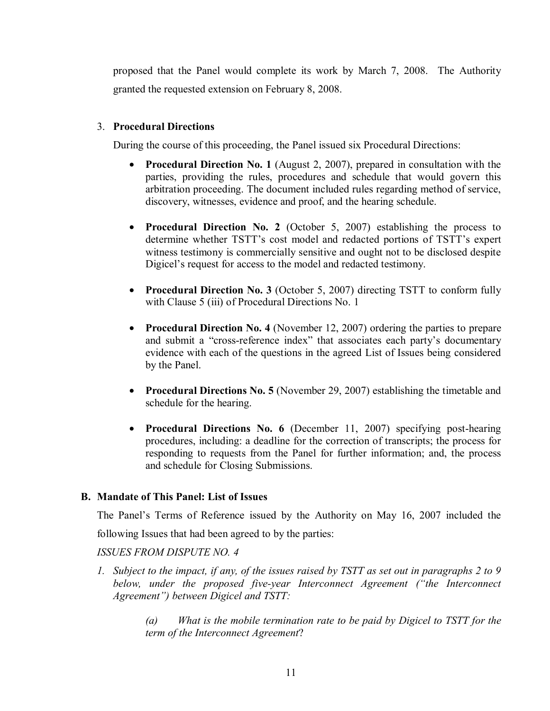proposed that the Panel would complete its work by March 7, 2008. The Authority granted the requested extension on February 8, 2008.

# 3. **Procedural Directions**

During the course of this proceeding, the Panel issued six Procedural Directions:

- **Procedural Direction No. 1** (August 2, 2007), prepared in consultation with the parties, providing the rules, procedures and schedule that would govern this arbitration proceeding. The document included rules regarding method of service, discovery, witnesses, evidence and proof, and the hearing schedule.
- **Procedural Direction No. 2** (October 5, 2007) establishing the process to determine whether TSTT's cost model and redacted portions of TSTT's expert witness testimony is commercially sensitive and ought not to be disclosed despite Digicel's request for access to the model and redacted testimony.
- **Procedural Direction No. 3** (October 5, 2007) directing TSTT to conform fully with Clause 5 (iii) of Procedural Directions No. 1
- **Procedural Direction No. 4** (November 12, 2007) ordering the parties to prepare and submit a "cross-reference index" that associates each party's documentary evidence with each of the questions in the agreed List of Issues being considered by the Panel.
- **Procedural Directions No. 5** (November 29, 2007) establishing the timetable and schedule for the hearing.
- **Procedural Directions No. 6** (December 11, 2007) specifying post-hearing procedures, including: a deadline for the correction of transcripts; the process for responding to requests from the Panel for further information; and, the process and schedule for Closing Submissions.

# **B. Mandate of This Panel: List of Issues**

The Panel's Terms of Reference issued by the Authority on May 16, 2007 included the following Issues that had been agreed to by the parties:

*ISSUES FROM DISPUTE NO. 4* 

*1. Subject to the impact, if any, of the issues raised by TSTT as set out in paragraphs 2 to 9 below, under the proposed five-year Interconnect Agreement ("the Interconnect Agreement") between Digicel and TSTT:* 

> *(a) What is the mobile termination rate to be paid by Digicel to TSTT for the term of the Interconnect Agreement*?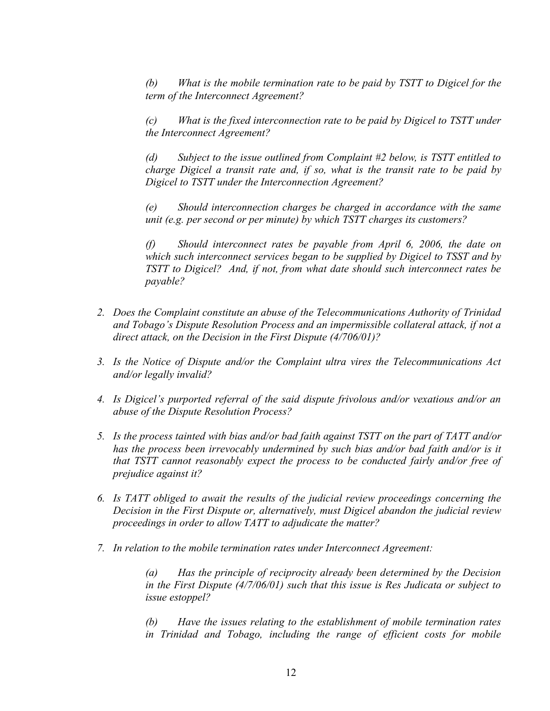*(b) What is the mobile termination rate to be paid by TSTT to Digicel for the term of the Interconnect Agreement?* 

*(c) What is the fixed interconnection rate to be paid by Digicel to TSTT under the Interconnect Agreement?* 

*(d) Subject to the issue outlined from Complaint #2 below, is TSTT entitled to charge Digicel a transit rate and, if so, what is the transit rate to be paid by Digicel to TSTT under the Interconnection Agreement?* 

*(e) Should interconnection charges be charged in accordance with the same unit (e.g. per second or per minute) by which TSTT charges its customers?* 

*(f) Should interconnect rates be payable from April 6, 2006, the date on which such interconnect services began to be supplied by Digicel to TSST and by TSTT to Digicel? And, if not, from what date should such interconnect rates be payable?* 

- *2. Does the Complaint constitute an abuse of the Telecommunications Authority of Trinidad and Tobago's Dispute Resolution Process and an impermissible collateral attack, if not a direct attack, on the Decision in the First Dispute (4/706/01)?*
- *3. Is the Notice of Dispute and/or the Complaint ultra vires the Telecommunications Act and/or legally invalid?*
- *4. Is Digicel's purported referral of the said dispute frivolous and/or vexatious and/or an abuse of the Dispute Resolution Process?*
- *5. Is the process tainted with bias and/or bad faith against TSTT on the part of TATT and/or has the process been irrevocably undermined by such bias and/or bad faith and/or is it that TSTT cannot reasonably expect the process to be conducted fairly and/or free of prejudice against it?*
- *6. Is TATT obliged to await the results of the judicial review proceedings concerning the Decision in the First Dispute or, alternatively, must Digicel abandon the judicial review proceedings in order to allow TATT to adjudicate the matter?*
- *7. In relation to the mobile termination rates under Interconnect Agreement:*

*(a) Has the principle of reciprocity already been determined by the Decision in the First Dispute (4/7/06/01) such that this issue is Res Judicata or subject to issue estoppel?* 

*(b) Have the issues relating to the establishment of mobile termination rates in Trinidad and Tobago, including the range of efficient costs for mobile*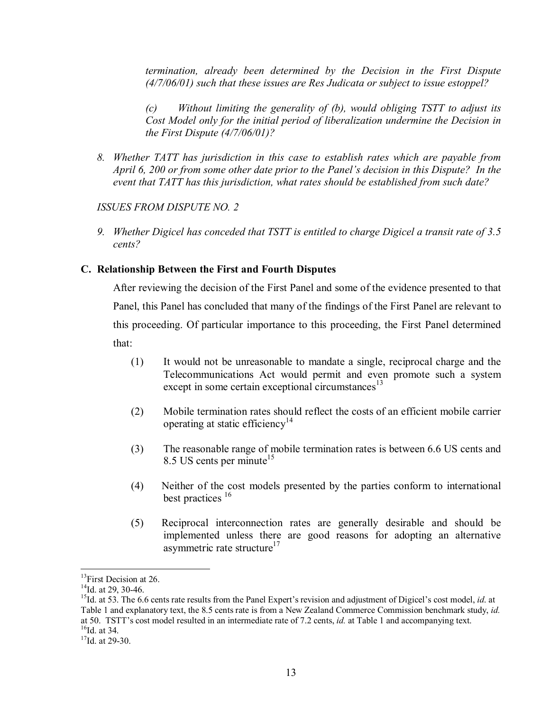*termination, already been determined by the Decision in the First Dispute (4/7/06/01) such that these issues are Res Judicata or subject to issue estoppel?* 

*(c) Without limiting the generality of (b), would obliging TSTT to adjust its Cost Model only for the initial period of liberalization undermine the Decision in the First Dispute (4/7/06/01)?* 

*8. Whether TATT has jurisdiction in this case to establish rates which are payable from April 6, 200 or from some other date prior to the Panel's decision in this Dispute? In the event that TATT has this jurisdiction, what rates should be established from such date?* 

# *ISSUES FROM DISPUTE NO. 2*

*9. Whether Digicel has conceded that TSTT is entitled to charge Digicel a transit rate of 3.5 cents?*

# **C. Relationship Between the First and Fourth Disputes**

After reviewing the decision of the First Panel and some of the evidence presented to that Panel, this Panel has concluded that many of the findings of the First Panel are relevant to this proceeding. Of particular importance to this proceeding, the First Panel determined that:

- (1) It would not be unreasonable to mandate a single, reciprocal charge and the Telecommunications Act would permit and even promote such a system except in some certain exceptional circumstances $^{13}$
- (2) Mobile termination rates should reflect the costs of an efficient mobile carrier operating at static efficiency<sup>14</sup>
- (3) The reasonable range of mobile termination rates is between 6.6 US cents and 8.5 US cents per minute<sup>15</sup>
- (4) Neither of the cost models presented by the parties conform to international best practices <sup>16</sup>
- (5) Reciprocal interconnection rates are generally desirable and should be implemented unless there are good reasons for adopting an alternative asymmetric rate structure<sup>17</sup>

<sup>&</sup>lt;sup>13</sup>First Decision at 26.

 $14$ Id. at 29, 30-46.

<sup>&</sup>lt;sup>15</sup>Id. at 53. The 6.6 cents rate results from the Panel Expert's revision and adjustment of Digicel's cost model, *id.* at Table 1 and explanatory text, the 8.5 cents rate is from a New Zealand Commerce Commission benchmark study, *id.* at 50. TSTT's cost model resulted in an intermediate rate of 7.2 cents, *id.* at Table 1 and accompanying text. <sup>16</sup>Id. at 34.

<sup>&</sup>lt;sup>17</sup>Id. at 29-30.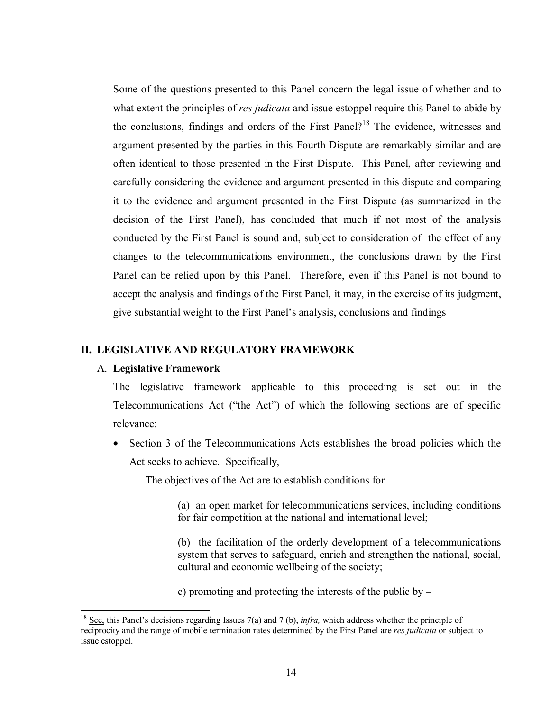Some of the questions presented to this Panel concern the legal issue of whether and to what extent the principles of *res judicata* and issue estoppel require this Panel to abide by the conclusions, findings and orders of the First Panel?<sup>18</sup> The evidence, witnesses and argument presented by the parties in this Fourth Dispute are remarkably similar and are often identical to those presented in the First Dispute. This Panel, after reviewing and carefully considering the evidence and argument presented in this dispute and comparing it to the evidence and argument presented in the First Dispute (as summarized in the decision of the First Panel), has concluded that much if not most of the analysis conducted by the First Panel is sound and, subject to consideration of the effect of any changes to the telecommunications environment, the conclusions drawn by the First Panel can be relied upon by this Panel. Therefore, even if this Panel is not bound to accept the analysis and findings of the First Panel, it may, in the exercise of its judgment, give substantial weight to the First Panel's analysis, conclusions and findings

#### **II. LEGISLATIVE AND REGULATORY FRAMEWORK**

#### A. **Legislative Framework**

 $\overline{a}$ 

The legislative framework applicable to this proceeding is set out in the Telecommunications Act ("the Act") of which the following sections are of specific relevance:

• Section 3 of the Telecommunications Acts establishes the broad policies which the Act seeks to achieve. Specifically,

The objectives of the Act are to establish conditions for –

(a) an open market for telecommunications services, including conditions for fair competition at the national and international level;

(b) the facilitation of the orderly development of a telecommunications system that serves to safeguard, enrich and strengthen the national, social, cultural and economic wellbeing of the society;

c) promoting and protecting the interests of the public by –

<sup>&</sup>lt;sup>18</sup> See, this Panel's decisions regarding Issues 7(a) and 7 (b), *infra*, which address whether the principle of reciprocity and the range of mobile termination rates determined by the First Panel are *res judicata* or subject to issue estoppel.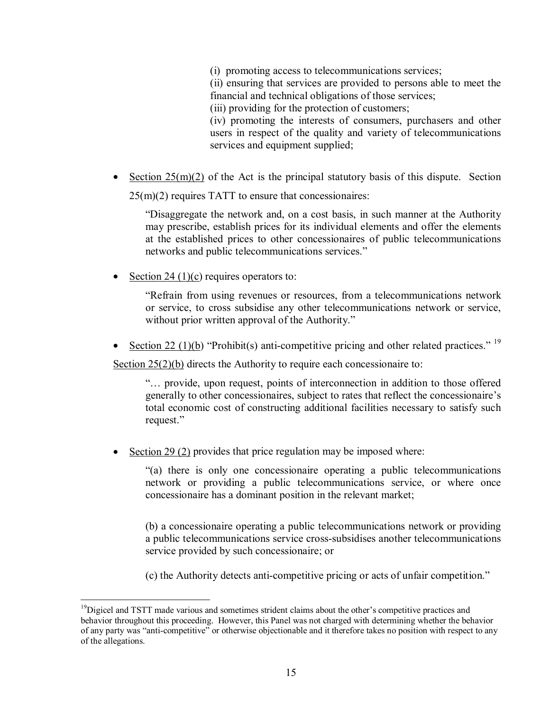(i) promoting access to telecommunications services;

(ii) ensuring that services are provided to persons able to meet the financial and technical obligations of those services;

(iii) providing for the protection of customers;

(iv) promoting the interests of consumers, purchasers and other users in respect of the quality and variety of telecommunications services and equipment supplied;

• Section  $25(m)(2)$  of the Act is the principal statutory basis of this dispute. Section 25(m)(2) requires TATT to ensure that concessionaires:

"Disaggregate the network and, on a cost basis, in such manner at the Authority may prescribe, establish prices for its individual elements and offer the elements at the established prices to other concessionaires of public telecommunications networks and public telecommunications services."

Section 24 (1)(c) requires operators to:

"Refrain from using revenues or resources, from a telecommunications network or service, to cross subsidise any other telecommunications network or service, without prior written approval of the Authority."

• Section 22 (1)(b) "Prohibit(s) anti-competitive pricing and other related practices." <sup>19</sup>

Section 25(2)(b) directs the Authority to require each concessionaire to:

"… provide, upon request, points of interconnection in addition to those offered generally to other concessionaires, subject to rates that reflect the concessionaire's total economic cost of constructing additional facilities necessary to satisfy such request."

Section 29 (2) provides that price regulation may be imposed where:

"(a) there is only one concessionaire operating a public telecommunications network or providing a public telecommunications service, or where once concessionaire has a dominant position in the relevant market;

(b) a concessionaire operating a public telecommunications network or providing a public telecommunications service cross-subsidises another telecommunications service provided by such concessionaire; or

(c) the Authority detects anti-competitive pricing or acts of unfair competition."

 $\overline{a}$  $19$ Digicel and TSTT made various and sometimes strident claims about the other's competitive practices and behavior throughout this proceeding. However, this Panel was not charged with determining whether the behavior of any party was "anti-competitive" or otherwise objectionable and it therefore takes no position with respect to any of the allegations.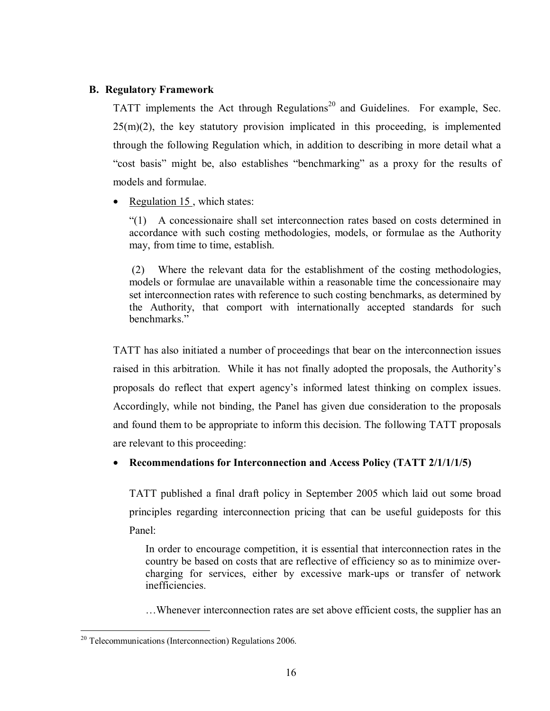# **B. Regulatory Framework**

TATT implements the Act through Regulations<sup>20</sup> and Guidelines. For example, Sec.  $25(m)(2)$ , the key statutory provision implicated in this proceeding, is implemented through the following Regulation which, in addition to describing in more detail what a "cost basis" might be, also establishes "benchmarking" as a proxy for the results of models and formulae.

• Regulation 15, which states:

"(1) A concessionaire shall set interconnection rates based on costs determined in accordance with such costing methodologies, models, or formulae as the Authority may, from time to time, establish.

 (2) Where the relevant data for the establishment of the costing methodologies, models or formulae are unavailable within a reasonable time the concessionaire may set interconnection rates with reference to such costing benchmarks, as determined by the Authority, that comport with internationally accepted standards for such benchmarks."

TATT has also initiated a number of proceedings that bear on the interconnection issues raised in this arbitration. While it has not finally adopted the proposals, the Authority's proposals do reflect that expert agency's informed latest thinking on complex issues. Accordingly, while not binding, the Panel has given due consideration to the proposals and found them to be appropriate to inform this decision. The following TATT proposals are relevant to this proceeding:

# • **Recommendations for Interconnection and Access Policy (TATT 2/1/1/1/5)**

TATT published a final draft policy in September 2005 which laid out some broad principles regarding interconnection pricing that can be useful guideposts for this Panel:

In order to encourage competition, it is essential that interconnection rates in the country be based on costs that are reflective of efficiency so as to minimize overcharging for services, either by excessive mark-ups or transfer of network inefficiencies.

…Whenever interconnection rates are set above efficient costs, the supplier has an

<sup>1</sup>  $20$  Telecommunications (Interconnection) Regulations 2006.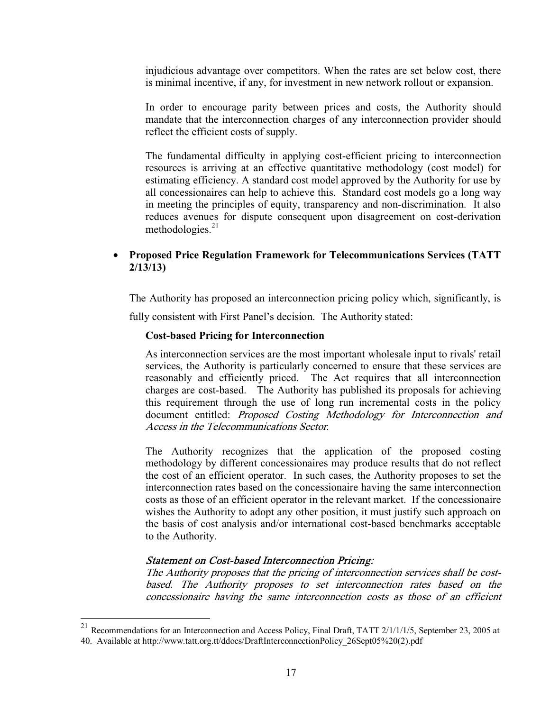injudicious advantage over competitors. When the rates are set below cost, there is minimal incentive, if any, for investment in new network rollout or expansion.

In order to encourage parity between prices and costs, the Authority should mandate that the interconnection charges of any interconnection provider should reflect the efficient costs of supply.

The fundamental difficulty in applying cost-efficient pricing to interconnection resources is arriving at an effective quantitative methodology (cost model) for estimating efficiency. A standard cost model approved by the Authority for use by all concessionaires can help to achieve this. Standard cost models go a long way in meeting the principles of equity, transparency and non-discrimination. It also reduces avenues for dispute consequent upon disagreement on cost-derivation methodologies. $21$ 

# • **Proposed Price Regulation Framework for Telecommunications Services (TATT 2/13/13)**

The Authority has proposed an interconnection pricing policy which, significantly, is fully consistent with First Panel's decision. The Authority stated:

# **Cost-based Pricing for Interconnection**

As interconnection services are the most important wholesale input to rivals' retail services, the Authority is particularly concerned to ensure that these services are reasonably and efficiently priced. The Act requires that all interconnection charges are cost-based. The Authority has published its proposals for achieving this requirement through the use of long run incremental costs in the policy document entitled: Proposed Costing Methodology for Interconnection and Access in the Telecommunications Sector.

The Authority recognizes that the application of the proposed costing methodology by different concessionaires may produce results that do not reflect the cost of an efficient operator. In such cases, the Authority proposes to set the interconnection rates based on the concessionaire having the same interconnection costs as those of an efficient operator in the relevant market. If the concessionaire wishes the Authority to adopt any other position, it must justify such approach on the basis of cost analysis and/or international cost-based benchmarks acceptable to the Authority.

# Statement on Cost-based Interconnection Pricing:

 $\overline{a}$ 

The Authority proposes that the pricing of interconnection services shall be costbased. The Authority proposes to set interconnection rates based on the concessionaire having the same interconnection costs as those of an efficient

<sup>&</sup>lt;sup>21</sup> Recommendations for an Interconnection and Access Policy, Final Draft, TATT  $2/1/1/1/5$ , September 23, 2005 at 40. Available at http://www.tatt.org.tt/ddocs/DraftInterconnectionPolicy\_26Sept05%20(2).pdf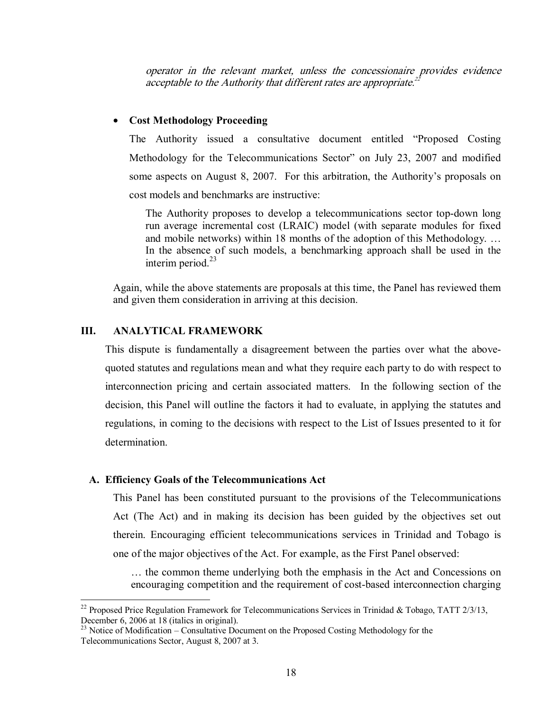operator in the relevant market, unless the concessionaire provides evidence acceptable to the Authority that different rates are appropriate.<sup>22</sup>

# • **Cost Methodology Proceeding**

The Authority issued a consultative document entitled "Proposed Costing Methodology for the Telecommunications Sector" on July 23, 2007 and modified some aspects on August 8, 2007. For this arbitration, the Authority's proposals on cost models and benchmarks are instructive:

The Authority proposes to develop a telecommunications sector top-down long run average incremental cost (LRAIC) model (with separate modules for fixed and mobile networks) within 18 months of the adoption of this Methodology. … In the absence of such models, a benchmarking approach shall be used in the interim period.<sup>23</sup>

Again, while the above statements are proposals at this time, the Panel has reviewed them and given them consideration in arriving at this decision.

# **III. ANALYTICAL FRAMEWORK**

1

This dispute is fundamentally a disagreement between the parties over what the abovequoted statutes and regulations mean and what they require each party to do with respect to interconnection pricing and certain associated matters. In the following section of the decision, this Panel will outline the factors it had to evaluate, in applying the statutes and regulations, in coming to the decisions with respect to the List of Issues presented to it for determination.

#### **A. Efficiency Goals of the Telecommunications Act**

This Panel has been constituted pursuant to the provisions of the Telecommunications Act (The Act) and in making its decision has been guided by the objectives set out therein. Encouraging efficient telecommunications services in Trinidad and Tobago is one of the major objectives of the Act. For example, as the First Panel observed:

… the common theme underlying both the emphasis in the Act and Concessions on encouraging competition and the requirement of cost-based interconnection charging

<sup>&</sup>lt;sup>22</sup> Proposed Price Regulation Framework for Telecommunications Services in Trinidad & Tobago, TATT 2/3/13, December 6, 2006 at 18 (italics in original).

 $^{23}$  Notice of Modification – Consultative Document on the Proposed Costing Methodology for the Telecommunications Sector, August 8, 2007 at 3.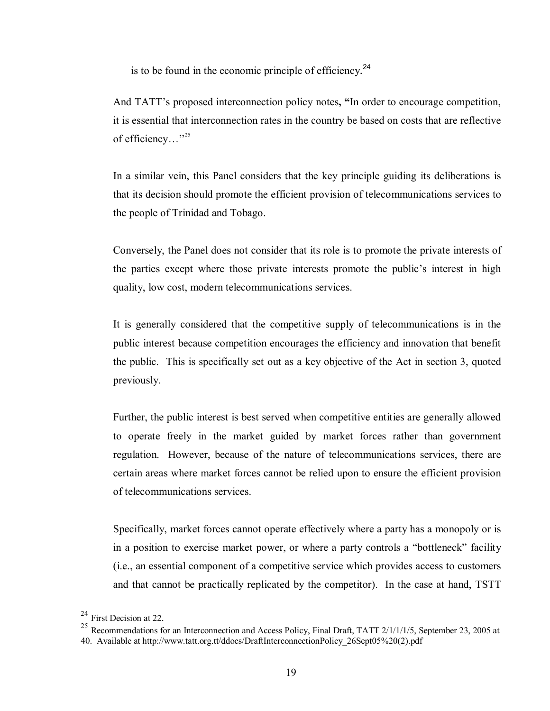is to be found in the economic principle of efficiency. $^{24}$ 

And TATT's proposed interconnection policy notes**, "**In order to encourage competition, it is essential that interconnection rates in the country be based on costs that are reflective of efficiency..."<sup>25</sup>

In a similar vein, this Panel considers that the key principle guiding its deliberations is that its decision should promote the efficient provision of telecommunications services to the people of Trinidad and Tobago.

Conversely, the Panel does not consider that its role is to promote the private interests of the parties except where those private interests promote the public's interest in high quality, low cost, modern telecommunications services.

It is generally considered that the competitive supply of telecommunications is in the public interest because competition encourages the efficiency and innovation that benefit the public. This is specifically set out as a key objective of the Act in section 3, quoted previously.

Further, the public interest is best served when competitive entities are generally allowed to operate freely in the market guided by market forces rather than government regulation. However, because of the nature of telecommunications services, there are certain areas where market forces cannot be relied upon to ensure the efficient provision of telecommunications services.

Specifically, market forces cannot operate effectively where a party has a monopoly or is in a position to exercise market power, or where a party controls a "bottleneck" facility (i.e., an essential component of a competitive service which provides access to customers and that cannot be practically replicated by the competitor). In the case at hand, TSTT

<sup>&</sup>lt;sup>24</sup> First Decision at 22.

<sup>&</sup>lt;sup>25</sup> Recommendations for an Interconnection and Access Policy, Final Draft, TATT  $2/1/1/1/5$ , September 23, 2005 at 40. Available at http://www.tatt.org.tt/ddocs/DraftInterconnectionPolicy\_26Sept05%20(2).pdf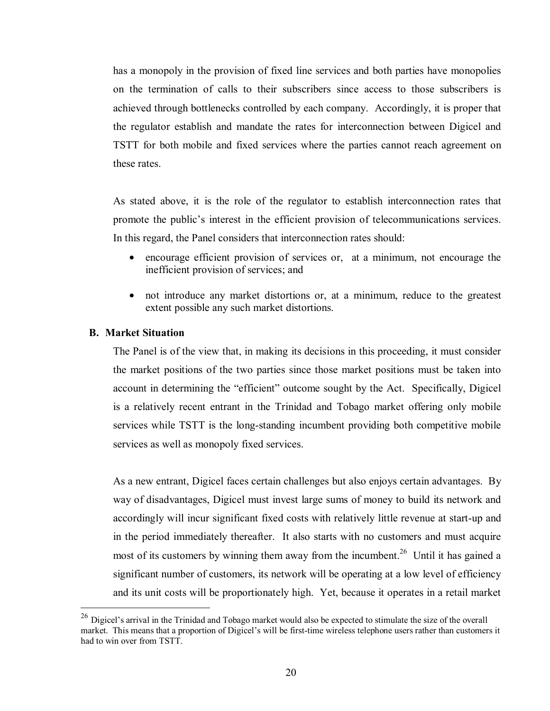has a monopoly in the provision of fixed line services and both parties have monopolies on the termination of calls to their subscribers since access to those subscribers is achieved through bottlenecks controlled by each company. Accordingly, it is proper that the regulator establish and mandate the rates for interconnection between Digicel and TSTT for both mobile and fixed services where the parties cannot reach agreement on these rates.

As stated above, it is the role of the regulator to establish interconnection rates that promote the public's interest in the efficient provision of telecommunications services. In this regard, the Panel considers that interconnection rates should:

- encourage efficient provision of services or, at a minimum, not encourage the inefficient provision of services; and
- not introduce any market distortions or, at a minimum, reduce to the greatest extent possible any such market distortions.

# **B. Market Situation**

<u>.</u>

The Panel is of the view that, in making its decisions in this proceeding, it must consider the market positions of the two parties since those market positions must be taken into account in determining the "efficient" outcome sought by the Act. Specifically, Digicel is a relatively recent entrant in the Trinidad and Tobago market offering only mobile services while TSTT is the long-standing incumbent providing both competitive mobile services as well as monopoly fixed services.

As a new entrant, Digicel faces certain challenges but also enjoys certain advantages. By way of disadvantages, Digicel must invest large sums of money to build its network and accordingly will incur significant fixed costs with relatively little revenue at start-up and in the period immediately thereafter. It also starts with no customers and must acquire most of its customers by winning them away from the incumbent.<sup>26</sup> Until it has gained a significant number of customers, its network will be operating at a low level of efficiency and its unit costs will be proportionately high. Yet, because it operates in a retail market

 $^{26}$  Digicel's arrival in the Trinidad and Tobago market would also be expected to stimulate the size of the overall market. This means that a proportion of Digicel's will be first-time wireless telephone users rather than customers it had to win over from TSTT.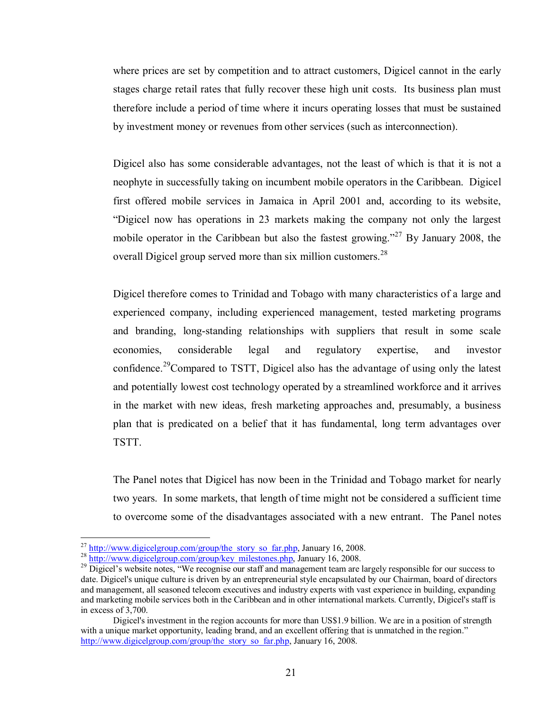where prices are set by competition and to attract customers, Digicel cannot in the early stages charge retail rates that fully recover these high unit costs. Its business plan must therefore include a period of time where it incurs operating losses that must be sustained by investment money or revenues from other services (such as interconnection).

Digicel also has some considerable advantages, not the least of which is that it is not a neophyte in successfully taking on incumbent mobile operators in the Caribbean. Digicel first offered mobile services in Jamaica in April 2001 and, according to its website, "Digicel now has operations in 23 markets making the company not only the largest mobile operator in the Caribbean but also the fastest growing."<sup>27</sup> By January 2008, the overall Digicel group served more than six million customers.<sup>28</sup>

Digicel therefore comes to Trinidad and Tobago with many characteristics of a large and experienced company, including experienced management, tested marketing programs and branding, long-standing relationships with suppliers that result in some scale economies, considerable legal and regulatory expertise, and investor confidence.<sup>29</sup>Compared to TSTT, Digicel also has the advantage of using only the latest and potentially lowest cost technology operated by a streamlined workforce and it arrives in the market with new ideas, fresh marketing approaches and, presumably, a business plan that is predicated on a belief that it has fundamental, long term advantages over TSTT.

The Panel notes that Digicel has now been in the Trinidad and Tobago market for nearly two years. In some markets, that length of time might not be considered a sufficient time to overcome some of the disadvantages associated with a new entrant. The Panel notes

<sup>&</sup>lt;sup>27</sup> http://www.digicelgroup.com/group/the\_story\_so\_far.php, January 16, 2008.

 $\frac{\frac{28}{1}}{29} \frac{http://www.digicelgroup.com/group/key\ milestones.php}{\text{Digital's website notes, "We recognise our staff and management team are largely responsible for our success to the same.}$ date. Digicel's unique culture is driven by an entrepreneurial style encapsulated by our Chairman, board of directors and management, all seasoned telecom executives and industry experts with vast experience in building, expanding and marketing mobile services both in the Caribbean and in other international markets. Currently, Digicel's staff is in excess of 3,700.

Digicel's investment in the region accounts for more than US\$1.9 billion. We are in a position of strength with a unique market opportunity, leading brand, and an excellent offering that is unmatched in the region." http://www.digicelgroup.com/group/the\_story\_so\_far.php, January 16, 2008.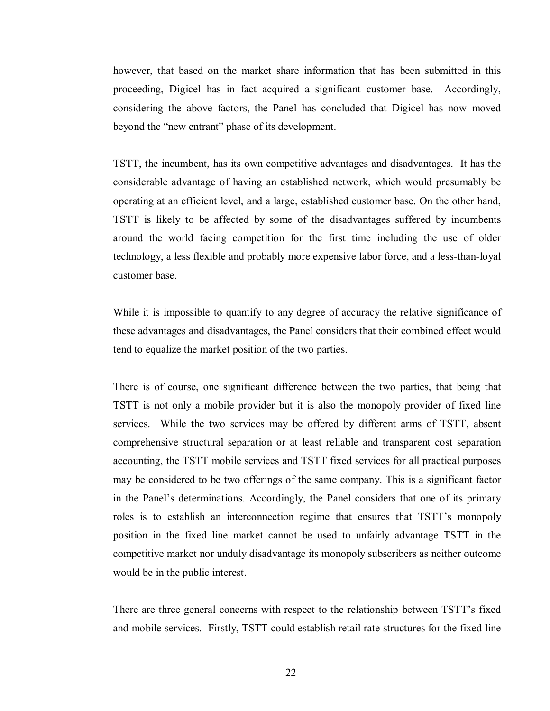however, that based on the market share information that has been submitted in this proceeding, Digicel has in fact acquired a significant customer base. Accordingly, considering the above factors, the Panel has concluded that Digicel has now moved beyond the "new entrant" phase of its development.

TSTT, the incumbent, has its own competitive advantages and disadvantages. It has the considerable advantage of having an established network, which would presumably be operating at an efficient level, and a large, established customer base. On the other hand, TSTT is likely to be affected by some of the disadvantages suffered by incumbents around the world facing competition for the first time including the use of older technology, a less flexible and probably more expensive labor force, and a less-than-loyal customer base.

While it is impossible to quantify to any degree of accuracy the relative significance of these advantages and disadvantages, the Panel considers that their combined effect would tend to equalize the market position of the two parties.

There is of course, one significant difference between the two parties, that being that TSTT is not only a mobile provider but it is also the monopoly provider of fixed line services. While the two services may be offered by different arms of TSTT, absent comprehensive structural separation or at least reliable and transparent cost separation accounting, the TSTT mobile services and TSTT fixed services for all practical purposes may be considered to be two offerings of the same company. This is a significant factor in the Panel's determinations. Accordingly, the Panel considers that one of its primary roles is to establish an interconnection regime that ensures that TSTT's monopoly position in the fixed line market cannot be used to unfairly advantage TSTT in the competitive market nor unduly disadvantage its monopoly subscribers as neither outcome would be in the public interest.

There are three general concerns with respect to the relationship between TSTT's fixed and mobile services. Firstly, TSTT could establish retail rate structures for the fixed line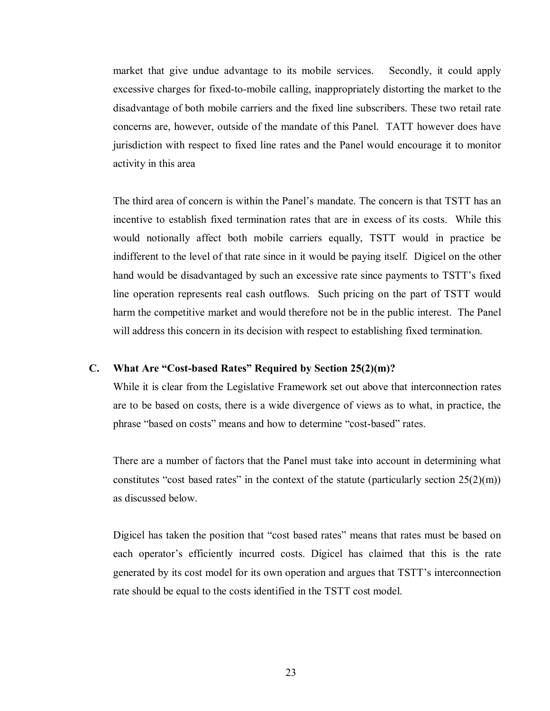market that give undue advantage to its mobile services. Secondly, it could apply excessive charges for fixed-to-mobile calling, inappropriately distorting the market to the disadvantage of both mobile carriers and the fixed line subscribers. These two retail rate concerns are, however, outside of the mandate of this Panel. TATT however does have jurisdiction with respect to fixed line rates and the Panel would encourage it to monitor activity in this area

The third area of concern is within the Panel's mandate. The concern is that TSTT has an incentive to establish fixed termination rates that are in excess of its costs. While this would notionally affect both mobile carriers equally, TSTT would in practice be indifferent to the level of that rate since in it would be paying itself. Digicel on the other hand would be disadvantaged by such an excessive rate since payments to TSTT's fixed line operation represents real cash outflows. Such pricing on the part of TSTT would harm the competitive market and would therefore not be in the public interest. The Panel will address this concern in its decision with respect to establishing fixed termination.

#### **C. What Are "Cost-based Rates" Required by Section 25(2)(m)?**

While it is clear from the Legislative Framework set out above that interconnection rates are to be based on costs, there is a wide divergence of views as to what, in practice, the phrase "based on costs" means and how to determine "cost-based" rates.

There are a number of factors that the Panel must take into account in determining what constitutes "cost based rates" in the context of the statute (particularly section  $25(2)(m)$ ) as discussed below.

Digicel has taken the position that "cost based rates" means that rates must be based on each operator's efficiently incurred costs. Digicel has claimed that this is the rate generated by its cost model for its own operation and argues that TSTT's interconnection rate should be equal to the costs identified in the TSTT cost model.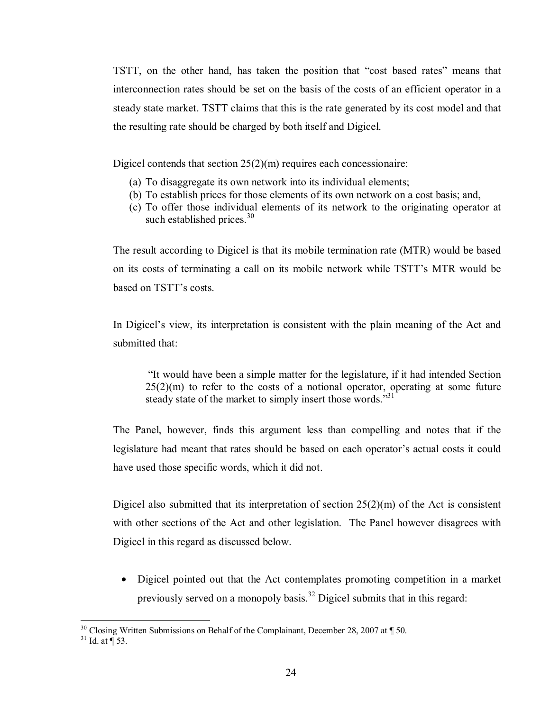TSTT, on the other hand, has taken the position that "cost based rates" means that interconnection rates should be set on the basis of the costs of an efficient operator in a steady state market. TSTT claims that this is the rate generated by its cost model and that the resulting rate should be charged by both itself and Digicel.

Digicel contends that section 25(2)(m) requires each concessionaire:

- (a) To disaggregate its own network into its individual elements;
- (b) To establish prices for those elements of its own network on a cost basis; and,
- (c) To offer those individual elements of its network to the originating operator at such established prices.<sup>30</sup>

The result according to Digicel is that its mobile termination rate (MTR) would be based on its costs of terminating a call on its mobile network while TSTT's MTR would be based on TSTT's costs.

In Digicel's view, its interpretation is consistent with the plain meaning of the Act and submitted that:

 "It would have been a simple matter for the legislature, if it had intended Section  $25(2)(m)$  to refer to the costs of a notional operator, operating at some future steady state of the market to simply insert those words."<sup>31</sup>

The Panel, however, finds this argument less than compelling and notes that if the legislature had meant that rates should be based on each operator's actual costs it could have used those specific words, which it did not.

Digicel also submitted that its interpretation of section  $25(2)(m)$  of the Act is consistent with other sections of the Act and other legislation. The Panel however disagrees with Digicel in this regard as discussed below.

• Digicel pointed out that the Act contemplates promoting competition in a market previously served on a monopoly basis.<sup>32</sup> Digicel submits that in this regard:

<sup>&</sup>lt;sup>30</sup> Closing Written Submissions on Behalf of the Complainant, December 28, 2007 at  $\P$  50.<br><sup>31</sup> Id. at  $\P$  53.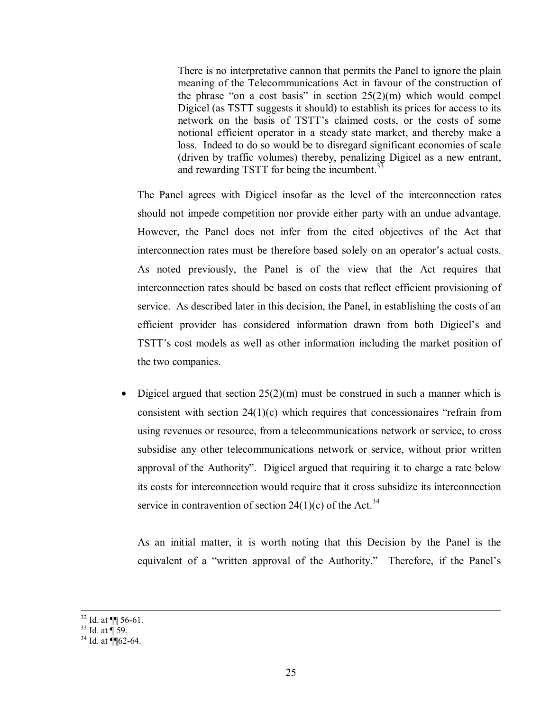There is no interpretative cannon that permits the Panel to ignore the plain meaning of the Telecommunications Act in favour of the construction of the phrase "on a cost basis" in section  $25(2)(m)$  which would compel Digicel (as TSTT suggests it should) to establish its prices for access to its network on the basis of TSTT's claimed costs, or the costs of some notional efficient operator in a steady state market, and thereby make a loss. Indeed to do so would be to disregard significant economies of scale (driven by traffic volumes) thereby, penalizing Digicel as a new entrant, and rewarding TSTT for being the incumbent.<sup>33</sup>

The Panel agrees with Digicel insofar as the level of the interconnection rates should not impede competition nor provide either party with an undue advantage. However, the Panel does not infer from the cited objectives of the Act that interconnection rates must be therefore based solely on an operator's actual costs. As noted previously, the Panel is of the view that the Act requires that interconnection rates should be based on costs that reflect efficient provisioning of service. As described later in this decision, the Panel, in establishing the costs of an efficient provider has considered information drawn from both Digicel's and TSTT's cost models as well as other information including the market position of the two companies.

• Digicel argued that section  $25(2)(m)$  must be construed in such a manner which is consistent with section  $24(1)(c)$  which requires that concessionaires "refrain from using revenues or resource, from a telecommunications network or service, to cross subsidise any other telecommunications network or service, without prior written approval of the Authority". Digicel argued that requiring it to charge a rate below its costs for interconnection would require that it cross subsidize its interconnection service in contravention of section 24(1)(c) of the Act.<sup>34</sup>

As an initial matter, it is worth noting that this Decision by the Panel is the equivalent of a "written approval of the Authority." Therefore, if the Panel's

 $\frac{32}{32}$  Id. at  $\P$  56-61.

 $33$  Id. at  $\frac{1}{3}$  59.

 $34$  Id. at  $\P$  62-64.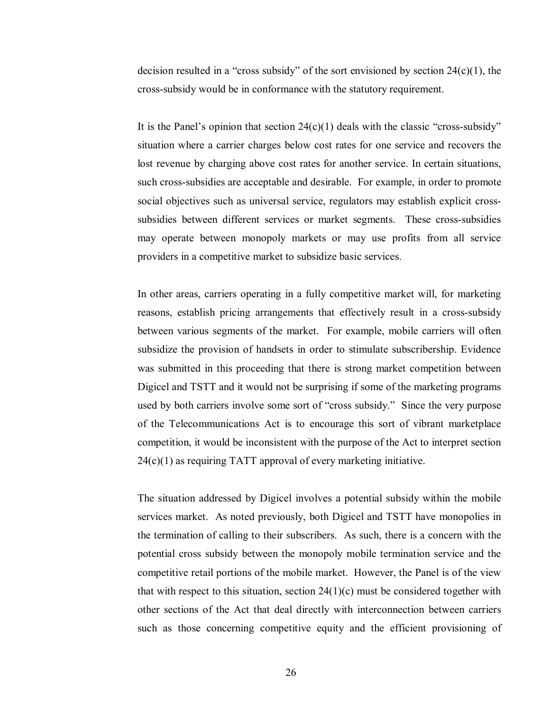decision resulted in a "cross subsidy" of the sort envisioned by section  $24(c)(1)$ , the cross-subsidy would be in conformance with the statutory requirement.

It is the Panel's opinion that section  $24(c)(1)$  deals with the classic "cross-subsidy" situation where a carrier charges below cost rates for one service and recovers the lost revenue by charging above cost rates for another service. In certain situations, such cross-subsidies are acceptable and desirable. For example, in order to promote social objectives such as universal service, regulators may establish explicit crosssubsidies between different services or market segments. These cross-subsidies may operate between monopoly markets or may use profits from all service providers in a competitive market to subsidize basic services.

In other areas, carriers operating in a fully competitive market will, for marketing reasons, establish pricing arrangements that effectively result in a cross-subsidy between various segments of the market. For example, mobile carriers will often subsidize the provision of handsets in order to stimulate subscribership. Evidence was submitted in this proceeding that there is strong market competition between Digicel and TSTT and it would not be surprising if some of the marketing programs used by both carriers involve some sort of "cross subsidy." Since the very purpose of the Telecommunications Act is to encourage this sort of vibrant marketplace competition, it would be inconsistent with the purpose of the Act to interpret section 24(c)(1) as requiring TATT approval of every marketing initiative.

The situation addressed by Digicel involves a potential subsidy within the mobile services market. As noted previously, both Digicel and TSTT have monopolies in the termination of calling to their subscribers. As such, there is a concern with the potential cross subsidy between the monopoly mobile termination service and the competitive retail portions of the mobile market. However, the Panel is of the view that with respect to this situation, section  $24(1)(c)$  must be considered together with other sections of the Act that deal directly with interconnection between carriers such as those concerning competitive equity and the efficient provisioning of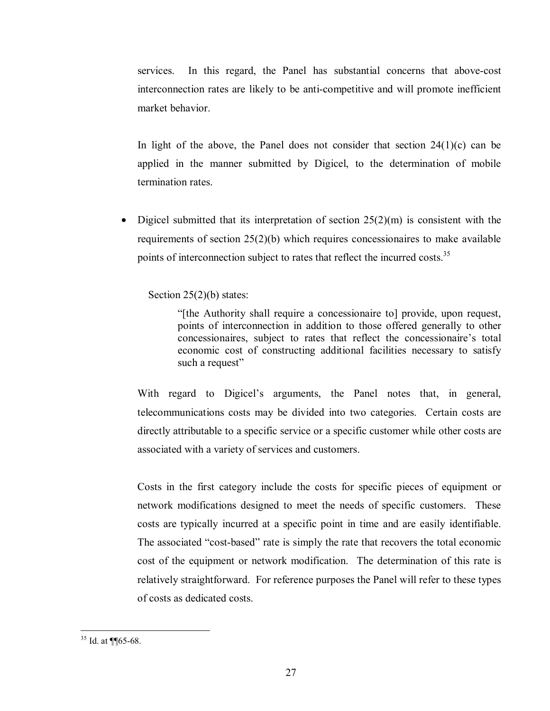services. In this regard, the Panel has substantial concerns that above-cost interconnection rates are likely to be anti-competitive and will promote inefficient market behavior.

In light of the above, the Panel does not consider that section  $24(1)(c)$  can be applied in the manner submitted by Digicel, to the determination of mobile termination rates.

• Digicel submitted that its interpretation of section  $25(2)(m)$  is consistent with the requirements of section 25(2)(b) which requires concessionaires to make available points of interconnection subject to rates that reflect the incurred costs.<sup>35</sup>

Section 25(2)(b) states:

"[the Authority shall require a concessionaire to] provide, upon request, points of interconnection in addition to those offered generally to other concessionaires, subject to rates that reflect the concessionaire's total economic cost of constructing additional facilities necessary to satisfy such a request"

With regard to Digicel's arguments, the Panel notes that, in general, telecommunications costs may be divided into two categories. Certain costs are directly attributable to a specific service or a specific customer while other costs are associated with a variety of services and customers.

Costs in the first category include the costs for specific pieces of equipment or network modifications designed to meet the needs of specific customers. These costs are typically incurred at a specific point in time and are easily identifiable. The associated "cost-based" rate is simply the rate that recovers the total economic cost of the equipment or network modification. The determination of this rate is relatively straightforward. For reference purposes the Panel will refer to these types of costs as dedicated costs.

<sup>1</sup>  $35$  Id. at ¶ [65-68.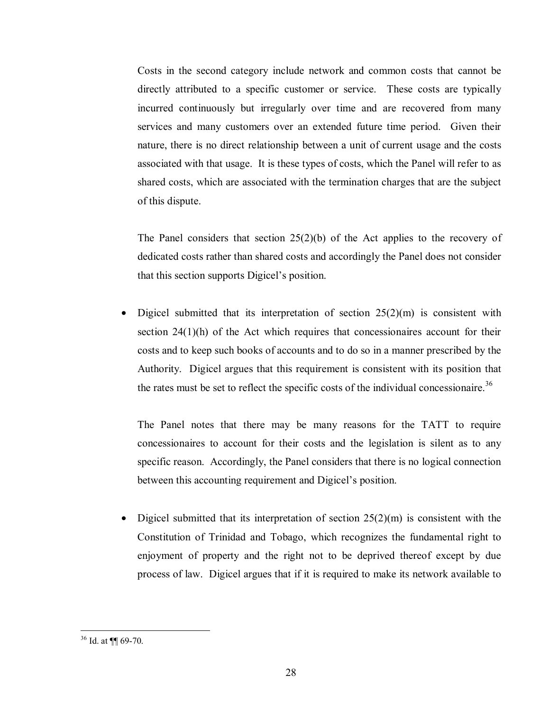Costs in the second category include network and common costs that cannot be directly attributed to a specific customer or service. These costs are typically incurred continuously but irregularly over time and are recovered from many services and many customers over an extended future time period. Given their nature, there is no direct relationship between a unit of current usage and the costs associated with that usage. It is these types of costs, which the Panel will refer to as shared costs, which are associated with the termination charges that are the subject of this dispute.

The Panel considers that section  $25(2)(b)$  of the Act applies to the recovery of dedicated costs rather than shared costs and accordingly the Panel does not consider that this section supports Digicel's position.

Digicel submitted that its interpretation of section  $25(2)(m)$  is consistent with section  $24(1)(h)$  of the Act which requires that concessionaires account for their costs and to keep such books of accounts and to do so in a manner prescribed by the Authority. Digicel argues that this requirement is consistent with its position that the rates must be set to reflect the specific costs of the individual concessionaire.<sup>36</sup>

The Panel notes that there may be many reasons for the TATT to require concessionaires to account for their costs and the legislation is silent as to any specific reason. Accordingly, the Panel considers that there is no logical connection between this accounting requirement and Digicel's position.

Digicel submitted that its interpretation of section  $25(2)(m)$  is consistent with the Constitution of Trinidad and Tobago, which recognizes the fundamental right to enjoyment of property and the right not to be deprived thereof except by due process of law. Digicel argues that if it is required to make its network available to

1

 $36$  Id. at  $\P$  69-70.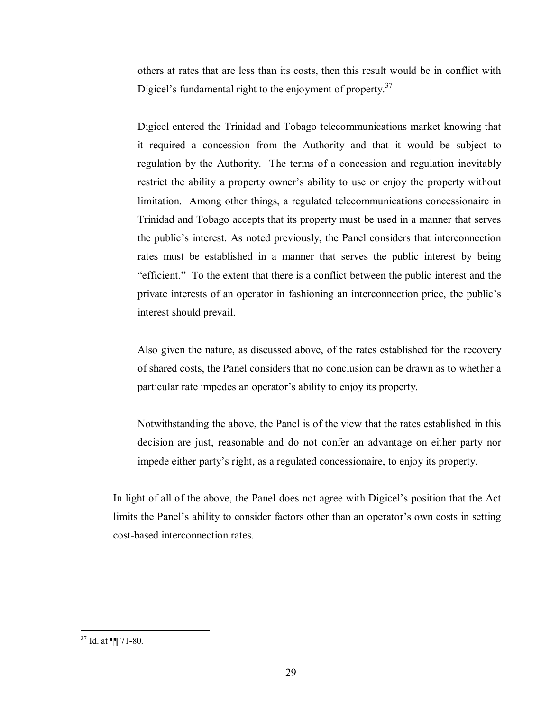others at rates that are less than its costs, then this result would be in conflict with Digicel's fundamental right to the enjoyment of property.<sup>37</sup>

Digicel entered the Trinidad and Tobago telecommunications market knowing that it required a concession from the Authority and that it would be subject to regulation by the Authority. The terms of a concession and regulation inevitably restrict the ability a property owner's ability to use or enjoy the property without limitation. Among other things, a regulated telecommunications concessionaire in Trinidad and Tobago accepts that its property must be used in a manner that serves the public's interest. As noted previously, the Panel considers that interconnection rates must be established in a manner that serves the public interest by being "efficient." To the extent that there is a conflict between the public interest and the private interests of an operator in fashioning an interconnection price, the public's interest should prevail.

Also given the nature, as discussed above, of the rates established for the recovery of shared costs, the Panel considers that no conclusion can be drawn as to whether a particular rate impedes an operator's ability to enjoy its property.

Notwithstanding the above, the Panel is of the view that the rates established in this decision are just, reasonable and do not confer an advantage on either party nor impede either party's right, as a regulated concessionaire, to enjoy its property.

In light of all of the above, the Panel does not agree with Digicel's position that the Act limits the Panel's ability to consider factors other than an operator's own costs in setting cost-based interconnection rates.

 $37$  Id. at  $\P$  71-80.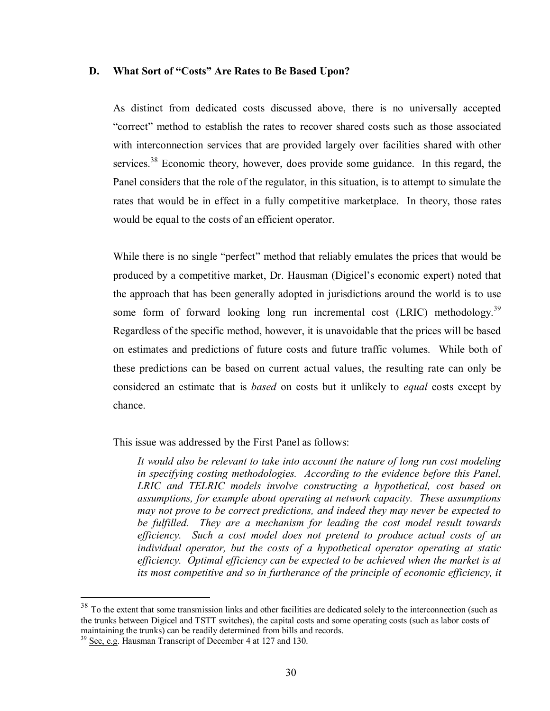#### **D. What Sort of "Costs" Are Rates to Be Based Upon?**

As distinct from dedicated costs discussed above, there is no universally accepted "correct" method to establish the rates to recover shared costs such as those associated with interconnection services that are provided largely over facilities shared with other services.<sup>38</sup> Economic theory, however, does provide some guidance. In this regard, the Panel considers that the role of the regulator, in this situation, is to attempt to simulate the rates that would be in effect in a fully competitive marketplace. In theory, those rates would be equal to the costs of an efficient operator.

While there is no single "perfect" method that reliably emulates the prices that would be produced by a competitive market, Dr. Hausman (Digicel's economic expert) noted that the approach that has been generally adopted in jurisdictions around the world is to use some form of forward looking long run incremental cost  $(LRIC)$  methodology.<sup>39</sup> Regardless of the specific method, however, it is unavoidable that the prices will be based on estimates and predictions of future costs and future traffic volumes. While both of these predictions can be based on current actual values, the resulting rate can only be considered an estimate that is *based* on costs but it unlikely to *equal* costs except by chance.

This issue was addressed by the First Panel as follows:

*It would also be relevant to take into account the nature of long run cost modeling in specifying costing methodologies. According to the evidence before this Panel, LRIC and TELRIC models involve constructing a hypothetical, cost based on assumptions, for example about operating at network capacity. These assumptions may not prove to be correct predictions, and indeed they may never be expected to be fulfilled. They are a mechanism for leading the cost model result towards efficiency. Such a cost model does not pretend to produce actual costs of an individual operator, but the costs of a hypothetical operator operating at static efficiency. Optimal efficiency can be expected to be achieved when the market is at*  its most competitive and so in furtherance of the principle of economic efficiency, it

<u>.</u>

 $38$  To the extent that some transmission links and other facilities are dedicated solely to the interconnection (such as the trunks between Digicel and TSTT switches), the capital costs and some operating costs (such as labor costs of maintaining the trunks) can be readily determined from bills and records.

<sup>&</sup>lt;sup>39</sup> See, e.g. Hausman Transcript of December 4 at 127 and 130.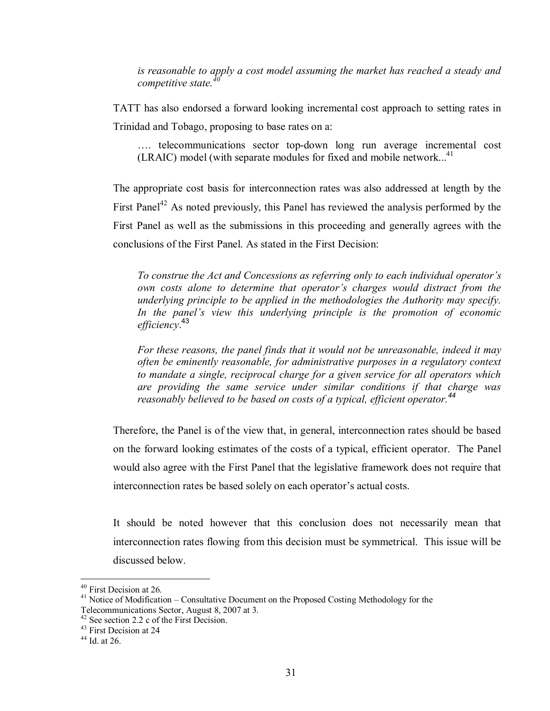*is reasonable to apply a cost model assuming the market has reached a steady and*   $complete$ *, competitive state.* 

TATT has also endorsed a forward looking incremental cost approach to setting rates in Trinidad and Tobago, proposing to base rates on a:

…. telecommunications sector top-down long run average incremental cost  $(LRAIC)$  model (with separate modules for fixed and mobile network...<sup>41</sup>

The appropriate cost basis for interconnection rates was also addressed at length by the First Panel<sup>42</sup> As noted previously, this Panel has reviewed the analysis performed by the First Panel as well as the submissions in this proceeding and generally agrees with the conclusions of the First Panel. As stated in the First Decision:

*To construe the Act and Concessions as referring only to each individual operator's own costs alone to determine that operator's charges would distract from the underlying principle to be applied in the methodologies the Authority may specify.*  In the panel's view this underlying principle is the promotion of economic *efficiency*. 43

*For these reasons, the panel finds that it would not be unreasonable, indeed it may often be eminently reasonable, for administrative purposes in a regulatory context to mandate a single, reciprocal charge for a given service for all operators which are providing the same service under similar conditions if that charge was reasonably believed to be based on costs of a typical, efficient operator.<sup>44</sup>*

Therefore, the Panel is of the view that, in general, interconnection rates should be based on the forward looking estimates of the costs of a typical, efficient operator. The Panel would also agree with the First Panel that the legislative framework does not require that interconnection rates be based solely on each operator's actual costs.

It should be noted however that this conclusion does not necessarily mean that interconnection rates flowing from this decision must be symmetrical. This issue will be discussed below.

<u>.</u>

<sup>&</sup>lt;sup>40</sup> First Decision at 26.

<sup>&</sup>lt;sup>41</sup> Notice of Modification – Consultative Document on the Proposed Costing Methodology for the Telecommunications Sector, August 8, 2007 at 3.

 $42$  See section 2.2 c of the First Decision.

<sup>&</sup>lt;sup>43</sup> First Decision at 24

 $44$  Id. at 26.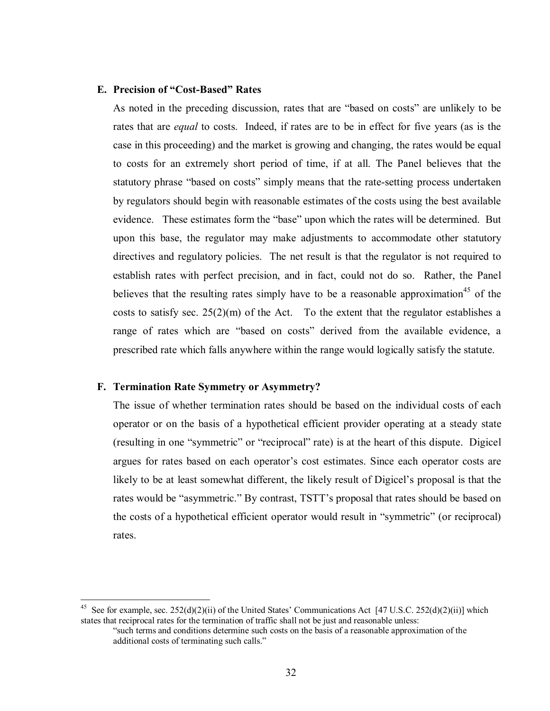# **E. Precision of "Cost-Based" Rates**

As noted in the preceding discussion, rates that are "based on costs" are unlikely to be rates that are *equal* to costs. Indeed, if rates are to be in effect for five years (as is the case in this proceeding) and the market is growing and changing, the rates would be equal to costs for an extremely short period of time, if at all. The Panel believes that the statutory phrase "based on costs" simply means that the rate-setting process undertaken by regulators should begin with reasonable estimates of the costs using the best available evidence. These estimates form the "base" upon which the rates will be determined. But upon this base, the regulator may make adjustments to accommodate other statutory directives and regulatory policies. The net result is that the regulator is not required to establish rates with perfect precision, and in fact, could not do so. Rather, the Panel believes that the resulting rates simply have to be a reasonable approximation<sup>45</sup> of the costs to satisfy sec.  $25(2)(m)$  of the Act. To the extent that the regulator establishes a range of rates which are "based on costs" derived from the available evidence, a prescribed rate which falls anywhere within the range would logically satisfy the statute.

#### **F. Termination Rate Symmetry or Asymmetry?**

1

The issue of whether termination rates should be based on the individual costs of each operator or on the basis of a hypothetical efficient provider operating at a steady state (resulting in one "symmetric" or "reciprocal" rate) is at the heart of this dispute. Digicel argues for rates based on each operator's cost estimates. Since each operator costs are likely to be at least somewhat different, the likely result of Digicel's proposal is that the rates would be "asymmetric." By contrast, TSTT's proposal that rates should be based on the costs of a hypothetical efficient operator would result in "symmetric" (or reciprocal) rates.

<sup>&</sup>lt;sup>45</sup> See for example, sec.  $252(d)(2)(ii)$  of the United States' Communications Act [47 U.S.C. 252(d)(2)(ii)] which states that reciprocal rates for the termination of traffic shall not be just and reasonable unless:

<sup>&</sup>quot;such terms and conditions determine such costs on the basis of a reasonable approximation of the additional costs of terminating such calls."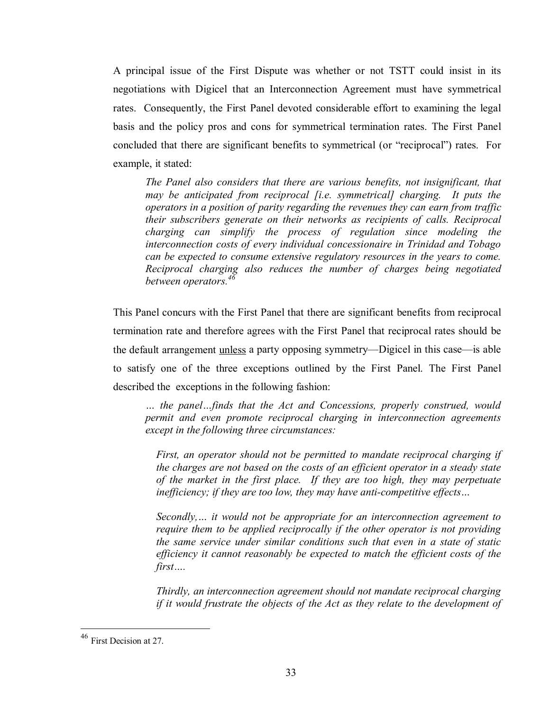A principal issue of the First Dispute was whether or not TSTT could insist in its negotiations with Digicel that an Interconnection Agreement must have symmetrical rates. Consequently, the First Panel devoted considerable effort to examining the legal basis and the policy pros and cons for symmetrical termination rates. The First Panel concluded that there are significant benefits to symmetrical (or "reciprocal") rates. For example, it stated:

*The Panel also considers that there are various benefits, not insignificant, that may be anticipated from reciprocal [i.e. symmetrical] charging. It puts the operators in a position of parity regarding the revenues they can earn from traffic their subscribers generate on their networks as recipients of calls. Reciprocal charging can simplify the process of regulation since modeling the interconnection costs of every individual concessionaire in Trinidad and Tobago can be expected to consume extensive regulatory resources in the years to come. Reciprocal charging also reduces the number of charges being negotiated between operators.<sup>46</sup>*

This Panel concurs with the First Panel that there are significant benefits from reciprocal termination rate and therefore agrees with the First Panel that reciprocal rates should be the default arrangement unless a party opposing symmetry—Digicel in this case—is able to satisfy one of the three exceptions outlined by the First Panel. The First Panel described the exceptions in the following fashion:

*… the panel…finds that the Act and Concessions, properly construed, would permit and even promote reciprocal charging in interconnection agreements except in the following three circumstances:* 

*First, an operator should not be permitted to mandate reciprocal charging if the charges are not based on the costs of an efficient operator in a steady state of the market in the first place. If they are too high, they may perpetuate inefficiency; if they are too low, they may have anti-competitive effects…* 

*Secondly,… it would not be appropriate for an interconnection agreement to require them to be applied reciprocally if the other operator is not providing the same service under similar conditions such that even in a state of static efficiency it cannot reasonably be expected to match the efficient costs of the first….* 

*Thirdly, an interconnection agreement should not mandate reciprocal charging if it would frustrate the objects of the Act as they relate to the development of* 

1

<sup>&</sup>lt;sup>46</sup> First Decision at 27.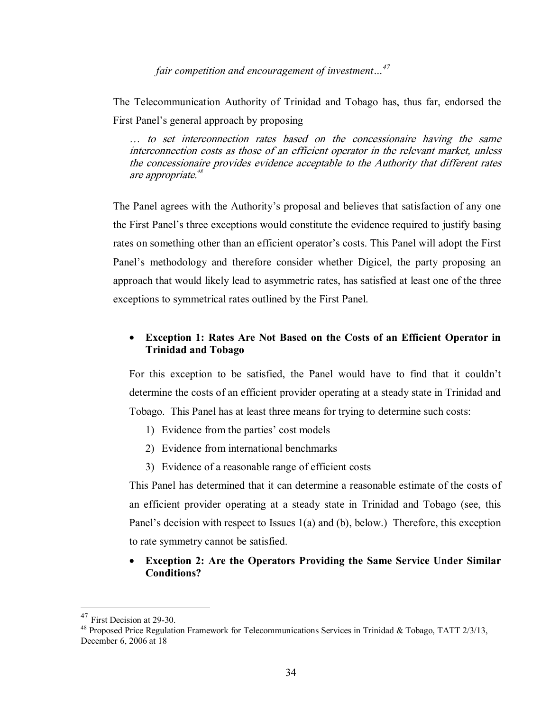*fair competition and encouragement of investment…47* 

The Telecommunication Authority of Trinidad and Tobago has, thus far, endorsed the First Panel's general approach by proposing

… to set interconnection rates based on the concessionaire having the same interconnection costs as those of an efficient operator in the relevant market, unless the concessionaire provides evidence acceptable to the Authority that different rates are appropriate.<sup>48</sup>

The Panel agrees with the Authority's proposal and believes that satisfaction of any one the First Panel's three exceptions would constitute the evidence required to justify basing rates on something other than an efficient operator's costs. This Panel will adopt the First Panel's methodology and therefore consider whether Digicel, the party proposing an approach that would likely lead to asymmetric rates, has satisfied at least one of the three exceptions to symmetrical rates outlined by the First Panel.

# • **Exception 1: Rates Are Not Based on the Costs of an Efficient Operator in Trinidad and Tobago**

For this exception to be satisfied, the Panel would have to find that it couldn't determine the costs of an efficient provider operating at a steady state in Trinidad and Tobago. This Panel has at least three means for trying to determine such costs:

- 1) Evidence from the parties' cost models
- 2) Evidence from international benchmarks
- 3) Evidence of a reasonable range of efficient costs

This Panel has determined that it can determine a reasonable estimate of the costs of an efficient provider operating at a steady state in Trinidad and Tobago (see, this Panel's decision with respect to Issues 1(a) and (b), below.) Therefore, this exception to rate symmetry cannot be satisfied.

• **Exception 2: Are the Operators Providing the Same Service Under Similar Conditions?** 

<sup>&</sup>lt;sup>47</sup> First Decision at 29-30.<br><sup>48</sup> Proposed Price Regulation Framework for Telecommunications Services in Trinidad & Tobago, TATT 2/3/13, December 6, 2006 at 18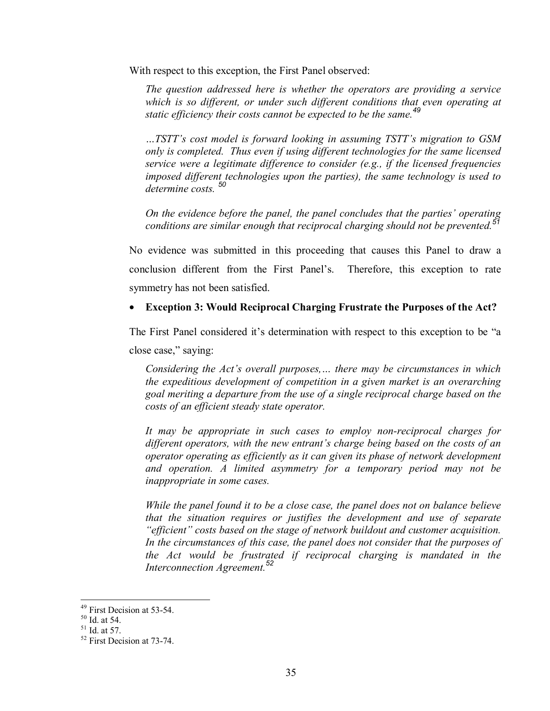With respect to this exception, the First Panel observed:

*The question addressed here is whether the operators are providing a service*  which is so different, or under such different conditions that even operating at *static efficiency their costs cannot be expected to be the same.<sup>49</sup>* 

*…TSTT's cost model is forward looking in assuming TSTT's migration to GSM only is completed. Thus even if using different technologies for the same licensed service were a legitimate difference to consider (e.g., if the licensed frequencies imposed different technologies upon the parties), the same technology is used to determine costs. <sup>50</sup>*

*On the evidence before the panel, the panel concludes that the parties' operating conditions are similar enough that reciprocal charging should not be prevented.<sup>51</sup>* 

No evidence was submitted in this proceeding that causes this Panel to draw a conclusion different from the First Panel's. Therefore, this exception to rate symmetry has not been satisfied.

## • **Exception 3: Would Reciprocal Charging Frustrate the Purposes of the Act?**

The First Panel considered it's determination with respect to this exception to be "a

close case," saying:

*Considering the Act's overall purposes,… there may be circumstances in which the expeditious development of competition in a given market is an overarching goal meriting a departure from the use of a single reciprocal charge based on the costs of an efficient steady state operator.* 

*It may be appropriate in such cases to employ non-reciprocal charges for different operators, with the new entrant's charge being based on the costs of an operator operating as efficiently as it can given its phase of network development and operation. A limited asymmetry for a temporary period may not be inappropriate in some cases.*

*While the panel found it to be a close case, the panel does not on balance believe that the situation requires or justifies the development and use of separate "efficient" costs based on the stage of network buildout and customer acquisition. In the circumstances of this case, the panel does not consider that the purposes of the Act would be frustrated if reciprocal charging is mandated in the Interconnection Agreement.<sup>52</sup>*

1

<sup>&</sup>lt;sup>49</sup> First Decision at 53-54.

<sup>50</sup> Id. at 54.

 $51$  Id. at 57.

<sup>52</sup> First Decision at 73-74.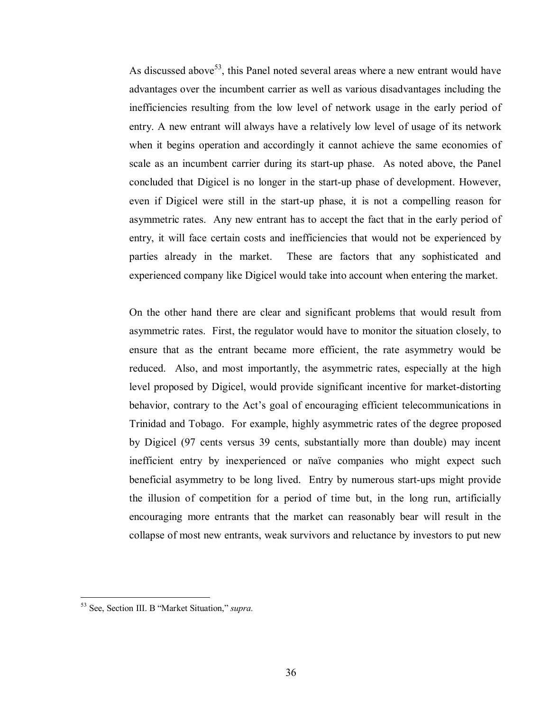As discussed above<sup>53</sup>, this Panel noted several areas where a new entrant would have advantages over the incumbent carrier as well as various disadvantages including the inefficiencies resulting from the low level of network usage in the early period of entry. A new entrant will always have a relatively low level of usage of its network when it begins operation and accordingly it cannot achieve the same economies of scale as an incumbent carrier during its start-up phase. As noted above, the Panel concluded that Digicel is no longer in the start-up phase of development. However, even if Digicel were still in the start-up phase, it is not a compelling reason for asymmetric rates. Any new entrant has to accept the fact that in the early period of entry, it will face certain costs and inefficiencies that would not be experienced by parties already in the market. These are factors that any sophisticated and experienced company like Digicel would take into account when entering the market.

On the other hand there are clear and significant problems that would result from asymmetric rates. First, the regulator would have to monitor the situation closely, to ensure that as the entrant became more efficient, the rate asymmetry would be reduced. Also, and most importantly, the asymmetric rates, especially at the high level proposed by Digicel, would provide significant incentive for market-distorting behavior, contrary to the Act's goal of encouraging efficient telecommunications in Trinidad and Tobago. For example, highly asymmetric rates of the degree proposed by Digicel (97 cents versus 39 cents, substantially more than double) may incent inefficient entry by inexperienced or naïve companies who might expect such beneficial asymmetry to be long lived. Entry by numerous start-ups might provide the illusion of competition for a period of time but, in the long run, artificially encouraging more entrants that the market can reasonably bear will result in the collapse of most new entrants, weak survivors and reluctance by investors to put new

<sup>53</sup> See, Section III. B "Market Situation," *supra.*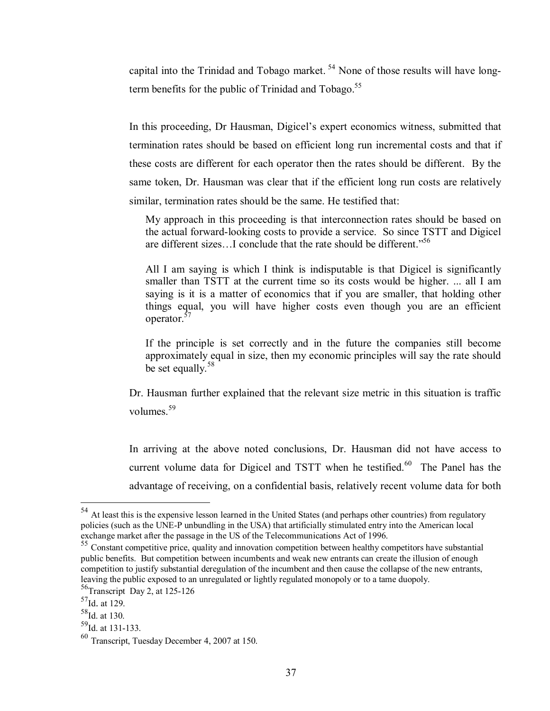capital into the Trinidad and Tobago market. 54 None of those results will have longterm benefits for the public of Trinidad and Tobago.<sup>55</sup>

In this proceeding, Dr Hausman, Digicel's expert economics witness, submitted that termination rates should be based on efficient long run incremental costs and that if these costs are different for each operator then the rates should be different. By the same token, Dr. Hausman was clear that if the efficient long run costs are relatively similar, termination rates should be the same. He testified that:

My approach in this proceeding is that interconnection rates should be based on the actual forward-looking costs to provide a service. So since TSTT and Digicel are different sizes...I conclude that the rate should be different."<sup>56</sup>

All I am saying is which I think is indisputable is that Digicel is significantly smaller than TSTT at the current time so its costs would be higher. ... all I am saying is it is a matter of economics that if you are smaller, that holding other things equal, you will have higher costs even though you are an efficient operator.57

If the principle is set correctly and in the future the companies still become approximately equal in size, then my economic principles will say the rate should be set equally.<sup>58</sup>

Dr. Hausman further explained that the relevant size metric in this situation is traffic volumes.<sup>59</sup>

In arriving at the above noted conclusions, Dr. Hausman did not have access to current volume data for Digicel and TSTT when he testified. $60$  The Panel has the advantage of receiving, on a confidential basis, relatively recent volume data for both

<sup>&</sup>lt;sup>54</sup> At least this is the expensive lesson learned in the United States (and perhaps other countries) from regulatory policies (such as the UNE-P unbundling in the USA) that artificially stimulated entry into the American local exchange market after the passage in the US of the Telecommunications Act of 1996.

<sup>&</sup>lt;sup>55</sup> Constant competitive price, quality and innovation competition between healthy competitors have substantial public benefits. But competition between incumbents and weak new entrants can create the illusion of enough competition to justify substantial deregulation of the incumbent and then cause the collapse of the new entrants, leaving the public exposed to an unregulated or lightly regulated monopoly or to a tame duopoly.

 $56$ Transcript Day 2, at 125-126

 $57$ Id. at 129.

 $58$ Id. at 130.

 $59$ Id. at 131-133.

<sup>60</sup> Transcript, Tuesday December 4, 2007 at 150.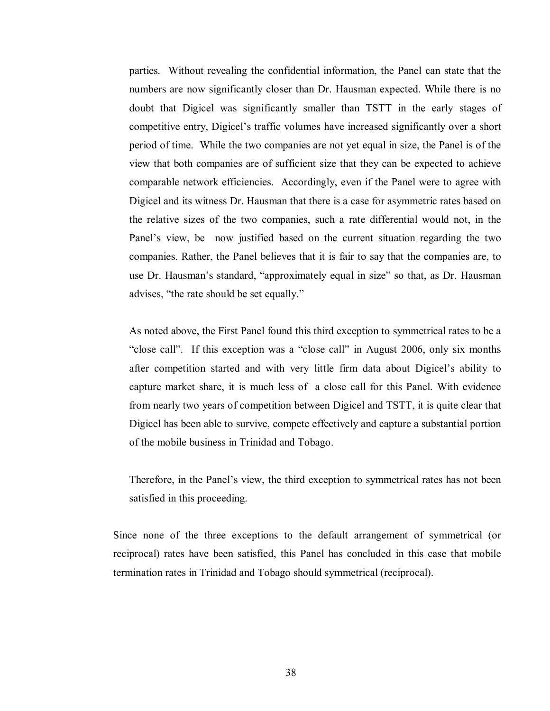parties. Without revealing the confidential information, the Panel can state that the numbers are now significantly closer than Dr. Hausman expected. While there is no doubt that Digicel was significantly smaller than TSTT in the early stages of competitive entry, Digicel's traffic volumes have increased significantly over a short period of time. While the two companies are not yet equal in size, the Panel is of the view that both companies are of sufficient size that they can be expected to achieve comparable network efficiencies. Accordingly, even if the Panel were to agree with Digicel and its witness Dr. Hausman that there is a case for asymmetric rates based on the relative sizes of the two companies, such a rate differential would not, in the Panel's view, be now justified based on the current situation regarding the two companies. Rather, the Panel believes that it is fair to say that the companies are, to use Dr. Hausman's standard, "approximately equal in size" so that, as Dr. Hausman advises, "the rate should be set equally."

As noted above, the First Panel found this third exception to symmetrical rates to be a "close call". If this exception was a "close call" in August 2006, only six months after competition started and with very little firm data about Digicel's ability to capture market share, it is much less of a close call for this Panel. With evidence from nearly two years of competition between Digicel and TSTT, it is quite clear that Digicel has been able to survive, compete effectively and capture a substantial portion of the mobile business in Trinidad and Tobago.

Therefore, in the Panel's view, the third exception to symmetrical rates has not been satisfied in this proceeding.

Since none of the three exceptions to the default arrangement of symmetrical (or reciprocal) rates have been satisfied, this Panel has concluded in this case that mobile termination rates in Trinidad and Tobago should symmetrical (reciprocal).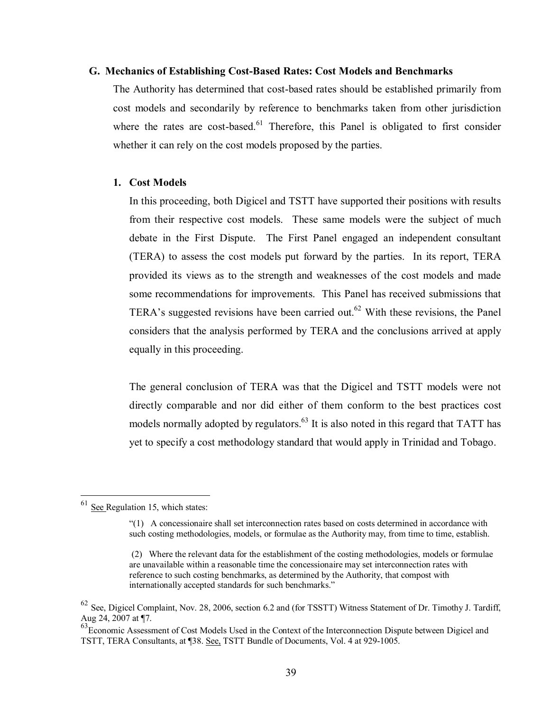#### **G. Mechanics of Establishing Cost-Based Rates: Cost Models and Benchmarks**

The Authority has determined that cost-based rates should be established primarily from cost models and secondarily by reference to benchmarks taken from other jurisdiction where the rates are cost-based.<sup>61</sup> Therefore, this Panel is obligated to first consider whether it can rely on the cost models proposed by the parties.

#### **1. Cost Models**

In this proceeding, both Digicel and TSTT have supported their positions with results from their respective cost models. These same models were the subject of much debate in the First Dispute. The First Panel engaged an independent consultant (TERA) to assess the cost models put forward by the parties. In its report, TERA provided its views as to the strength and weaknesses of the cost models and made some recommendations for improvements. This Panel has received submissions that TERA's suggested revisions have been carried out.<sup>62</sup> With these revisions, the Panel considers that the analysis performed by TERA and the conclusions arrived at apply equally in this proceeding.

The general conclusion of TERA was that the Digicel and TSTT models were not directly comparable and nor did either of them conform to the best practices cost models normally adopted by regulators.<sup>63</sup> It is also noted in this regard that TATT has yet to specify a cost methodology standard that would apply in Trinidad and Tobago.

1

 $61$  See Regulation 15, which states:

<sup>&</sup>quot;(1) A concessionaire shall set interconnection rates based on costs determined in accordance with such costing methodologies, models, or formulae as the Authority may, from time to time, establish.

 <sup>(2)</sup> Where the relevant data for the establishment of the costing methodologies, models or formulae are unavailable within a reasonable time the concessionaire may set interconnection rates with reference to such costing benchmarks, as determined by the Authority, that compost with internationally accepted standards for such benchmarks."

<sup>&</sup>lt;sup>62</sup> See, Digicel Complaint, Nov. 28, 2006, section 6.2 and (for TSSTT) Witness Statement of Dr. Timothy J. Tardiff, Aug 24, 2007 at ¶7.

 $\frac{63}{63}$ Economic Assessment of Cost Models Used in the Context of the Interconnection Dispute between Digicel and TSTT, TERA Consultants, at ¶38. See, TSTT Bundle of Documents, Vol. 4 at 929-1005.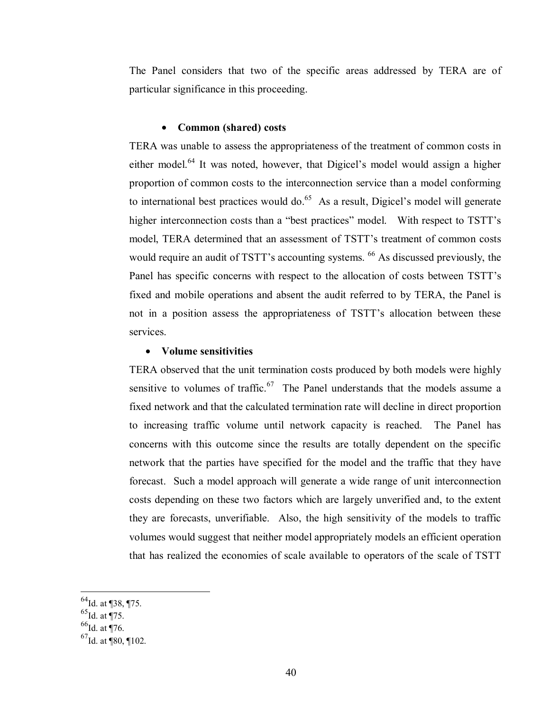The Panel considers that two of the specific areas addressed by TERA are of particular significance in this proceeding.

#### • **Common (shared) costs**

TERA was unable to assess the appropriateness of the treatment of common costs in either model.<sup>64</sup> It was noted, however, that Digicel's model would assign a higher proportion of common costs to the interconnection service than a model conforming to international best practices would do. $65$  As a result, Digicel's model will generate higher interconnection costs than a "best practices" model. With respect to TSTT's model, TERA determined that an assessment of TSTT's treatment of common costs would require an audit of TSTT's accounting systems. <sup>66</sup> As discussed previously, the Panel has specific concerns with respect to the allocation of costs between TSTT's fixed and mobile operations and absent the audit referred to by TERA, the Panel is not in a position assess the appropriateness of TSTT's allocation between these services.

## • **Volume sensitivities**

TERA observed that the unit termination costs produced by both models were highly sensitive to volumes of traffic.<sup>67</sup> The Panel understands that the models assume a fixed network and that the calculated termination rate will decline in direct proportion to increasing traffic volume until network capacity is reached. The Panel has concerns with this outcome since the results are totally dependent on the specific network that the parties have specified for the model and the traffic that they have forecast. Such a model approach will generate a wide range of unit interconnection costs depending on these two factors which are largely unverified and, to the extent they are forecasts, unverifiable. Also, the high sensitivity of the models to traffic volumes would suggest that neither model appropriately models an efficient operation that has realized the economies of scale available to operators of the scale of TSTT

 $^{65}$ Id. at ¶75.

 $\overline{a}$ 

 $^{66}$ Id. at ¶76.

 $^{64}$ Id. at ¶38, ¶75.

 $^{67}$ Id. at ¶80, ¶102.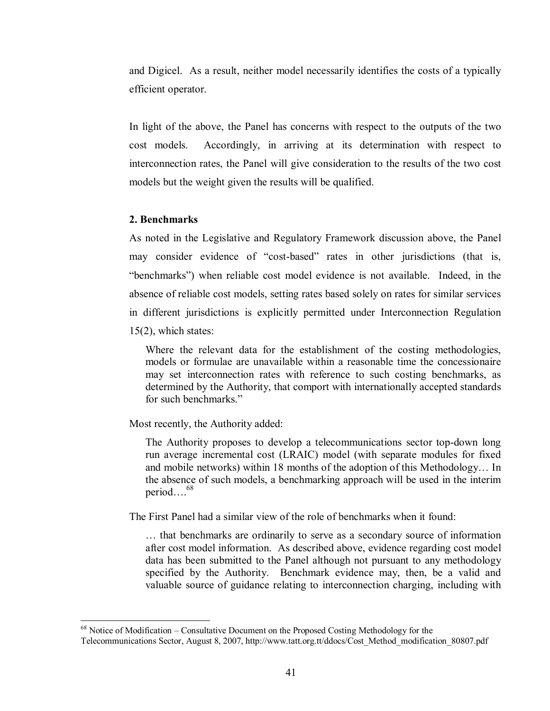and Digicel. As a result, neither model necessarily identifies the costs of a typically efficient operator.

In light of the above, the Panel has concerns with respect to the outputs of the two cost models. Accordingly, in arriving at its determination with respect to interconnection rates, the Panel will give consideration to the results of the two cost models but the weight given the results will be qualified.

#### **2. Benchmarks**

 $\overline{a}$ 

As noted in the Legislative and Regulatory Framework discussion above, the Panel may consider evidence of "cost-based" rates in other jurisdictions (that is, "benchmarks") when reliable cost model evidence is not available. Indeed, in the absence of reliable cost models, setting rates based solely on rates for similar services in different jurisdictions is explicitly permitted under Interconnection Regulation 15(2), which states:

Where the relevant data for the establishment of the costing methodologies, models or formulae are unavailable within a reasonable time the concessionaire may set interconnection rates with reference to such costing benchmarks, as determined by the Authority, that comport with internationally accepted standards for such benchmarks."

Most recently, the Authority added:

The Authority proposes to develop a telecommunications sector top-down long run average incremental cost (LRAIC) model (with separate modules for fixed and mobile networks) within 18 months of the adoption of this Methodology… In the absence of such models, a benchmarking approach will be used in the interim period… $\frac{68}{100}$ 

The First Panel had a similar view of the role of benchmarks when it found:

… that benchmarks are ordinarily to serve as a secondary source of information after cost model information. As described above, evidence regarding cost model data has been submitted to the Panel although not pursuant to any methodology specified by the Authority. Benchmark evidence may, then, be a valid and valuable source of guidance relating to interconnection charging, including with

 $68$  Notice of Modification – Consultative Document on the Proposed Costing Methodology for the

Telecommunications Sector, August 8, 2007, http://www.tatt.org.tt/ddocs/Cost\_Method\_modification\_80807.pdf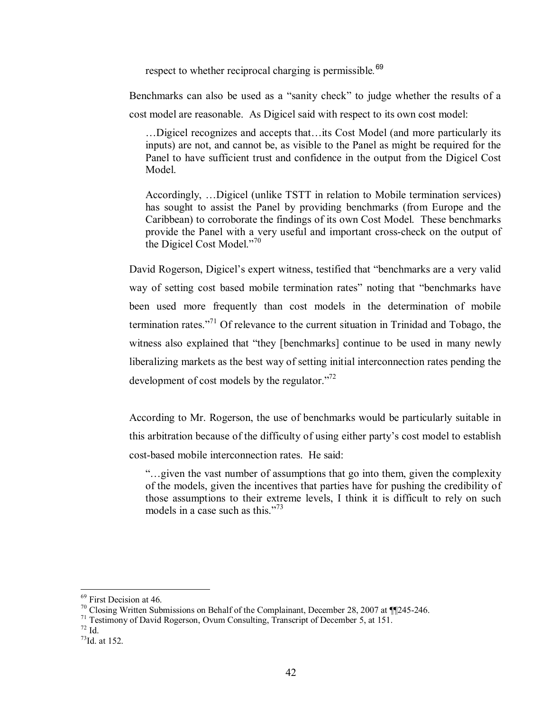respect to whether reciprocal charging is permissible*.* 69

Benchmarks can also be used as a "sanity check" to judge whether the results of a cost model are reasonable. As Digicel said with respect to its own cost model:

…Digicel recognizes and accepts that…its Cost Model (and more particularly its inputs) are not, and cannot be, as visible to the Panel as might be required for the Panel to have sufficient trust and confidence in the output from the Digicel Cost Model.

Accordingly, …Digicel (unlike TSTT in relation to Mobile termination services) has sought to assist the Panel by providing benchmarks (from Europe and the Caribbean) to corroborate the findings of its own Cost Model. These benchmarks provide the Panel with a very useful and important cross-check on the output of the Digicel Cost Model."<sup>70</sup>

David Rogerson, Digicel's expert witness, testified that "benchmarks are a very valid way of setting cost based mobile termination rates" noting that "benchmarks have been used more frequently than cost models in the determination of mobile termination rates."71 Of relevance to the current situation in Trinidad and Tobago, the witness also explained that "they [benchmarks] continue to be used in many newly liberalizing markets as the best way of setting initial interconnection rates pending the development of cost models by the regulator. $172$ 

According to Mr. Rogerson, the use of benchmarks would be particularly suitable in this arbitration because of the difficulty of using either party's cost model to establish cost-based mobile interconnection rates. He said:

"…given the vast number of assumptions that go into them, given the complexity of the models, given the incentives that parties have for pushing the credibility of those assumptions to their extreme levels, I think it is difficult to rely on such models in a case such as this."<sup>73</sup>

<sup>&</sup>lt;sup>69</sup> First Decision at 46.

<sup>&</sup>lt;sup>70</sup> Closing Written Submissions on Behalf of the Complainant, December 28, 2007 at  $\P$  [245-246.<br><sup>71</sup> Testimony of David Rogerson, Ovum Consulting, Transcript of December 5, at 151.

<sup>72</sup> Id.

 $^{73}$ Id. at 152.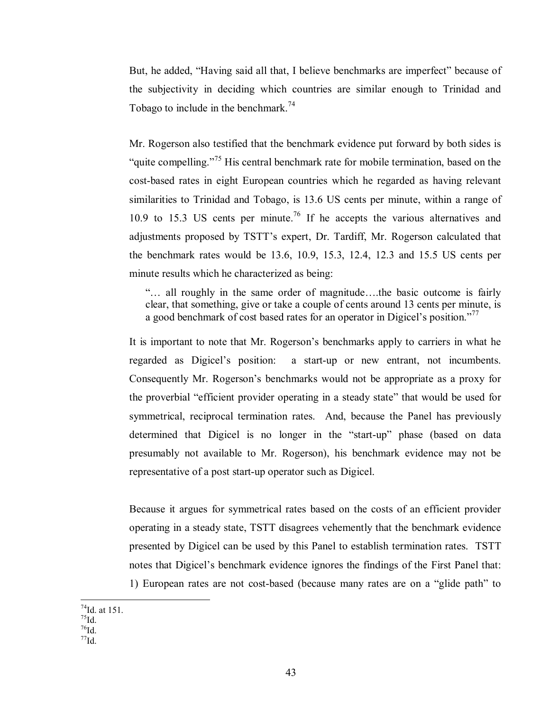But, he added, "Having said all that, I believe benchmarks are imperfect" because of the subjectivity in deciding which countries are similar enough to Trinidad and Tobago to include in the benchmark.<sup>74</sup>

Mr. Rogerson also testified that the benchmark evidence put forward by both sides is "quite compelling."<sup>75</sup> His central benchmark rate for mobile termination, based on the cost-based rates in eight European countries which he regarded as having relevant similarities to Trinidad and Tobago, is 13.6 US cents per minute, within a range of 10.9 to 15.3 US cents per minute.<sup>76</sup> If he accepts the various alternatives and adjustments proposed by TSTT's expert, Dr. Tardiff, Mr. Rogerson calculated that the benchmark rates would be 13.6, 10.9, 15.3, 12.4, 12.3 and 15.5 US cents per minute results which he characterized as being:

"… all roughly in the same order of magnitude….the basic outcome is fairly clear, that something, give or take a couple of cents around 13 cents per minute, is a good benchmark of cost based rates for an operator in Digicel's position."<sup>77</sup>

It is important to note that Mr. Rogerson's benchmarks apply to carriers in what he regarded as Digicel's position: a start-up or new entrant, not incumbents. Consequently Mr. Rogerson's benchmarks would not be appropriate as a proxy for the proverbial "efficient provider operating in a steady state" that would be used for symmetrical, reciprocal termination rates. And, because the Panel has previously determined that Digicel is no longer in the "start-up" phase (based on data presumably not available to Mr. Rogerson), his benchmark evidence may not be representative of a post start-up operator such as Digicel.

Because it argues for symmetrical rates based on the costs of an efficient provider operating in a steady state, TSTT disagrees vehemently that the benchmark evidence presented by Digicel can be used by this Panel to establish termination rates. TSTT notes that Digicel's benchmark evidence ignores the findings of the First Panel that: 1) European rates are not cost-based (because many rates are on a "glide path" to

- $\overline{a}$  $^{74}$ Id. at 151.
- $^{75}$ Id.
- $76$ Id.  $^{77}$ Id.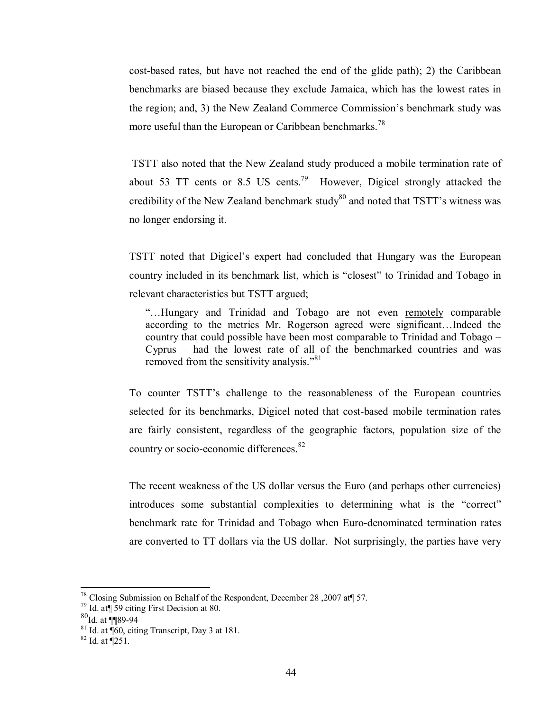cost-based rates, but have not reached the end of the glide path); 2) the Caribbean benchmarks are biased because they exclude Jamaica, which has the lowest rates in the region; and, 3) the New Zealand Commerce Commission's benchmark study was more useful than the European or Caribbean benchmarks.<sup>78</sup>

 TSTT also noted that the New Zealand study produced a mobile termination rate of about 53 TT cents or 8.5 US cents.<sup>79</sup> However, Digicel strongly attacked the credibility of the New Zealand benchmark study $80$  and noted that TSTT's witness was no longer endorsing it.

TSTT noted that Digicel's expert had concluded that Hungary was the European country included in its benchmark list, which is "closest" to Trinidad and Tobago in relevant characteristics but TSTT argued;

"…Hungary and Trinidad and Tobago are not even remotely comparable according to the metrics Mr. Rogerson agreed were significant…Indeed the country that could possible have been most comparable to Trinidad and Tobago – Cyprus – had the lowest rate of all of the benchmarked countries and was removed from the sensitivity analysis."<sup>81</sup>

To counter TSTT's challenge to the reasonableness of the European countries selected for its benchmarks, Digicel noted that cost-based mobile termination rates are fairly consistent, regardless of the geographic factors, population size of the country or socio-economic differences.<sup>82</sup>

The recent weakness of the US dollar versus the Euro (and perhaps other currencies) introduces some substantial complexities to determining what is the "correct" benchmark rate for Trinidad and Tobago when Euro-denominated termination rates are converted to TT dollars via the US dollar. Not surprisingly, the parties have very

1

<sup>&</sup>lt;sup>78</sup> Closing Submission on Behalf of the Respondent, December 28, 2007 at  $\frac{4}{7}$  57. Id. at  $\frac{4}{1}$  59 citing First Decision at 80.

<sup>80&</sup>lt;sub>Id. at</sub> ¶¶89-94

 $81$  Id. at  $\sqrt{60}$ , citing Transcript, Day 3 at 181.

 $82$  Id. at  $\sqrt{251}$ .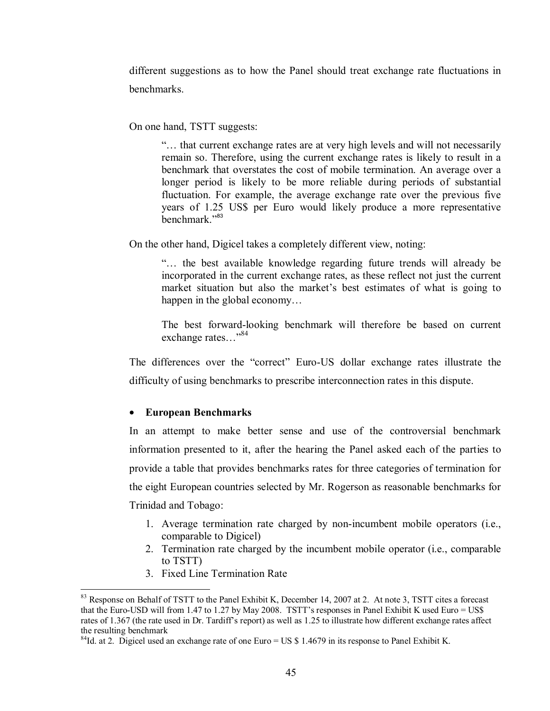different suggestions as to how the Panel should treat exchange rate fluctuations in benchmarks.

On one hand, TSTT suggests:

"… that current exchange rates are at very high levels and will not necessarily remain so. Therefore, using the current exchange rates is likely to result in a benchmark that overstates the cost of mobile termination. An average over a longer period is likely to be more reliable during periods of substantial fluctuation. For example, the average exchange rate over the previous five years of 1.25 US\$ per Euro would likely produce a more representative benchmark<sup>"83</sup>

On the other hand, Digicel takes a completely different view, noting:

"… the best available knowledge regarding future trends will already be incorporated in the current exchange rates, as these reflect not just the current market situation but also the market's best estimates of what is going to happen in the global economy...

The best forward-looking benchmark will therefore be based on current exchange rates..."84

The differences over the "correct" Euro-US dollar exchange rates illustrate the difficulty of using benchmarks to prescribe interconnection rates in this dispute.

## • **European Benchmarks**

In an attempt to make better sense and use of the controversial benchmark information presented to it, after the hearing the Panel asked each of the parties to provide a table that provides benchmarks rates for three categories of termination for the eight European countries selected by Mr. Rogerson as reasonable benchmarks for Trinidad and Tobago:

- 1. Average termination rate charged by non-incumbent mobile operators (i.e., comparable to Digicel)
- 2. Termination rate charged by the incumbent mobile operator (i.e., comparable to TSTT)
- 3. Fixed Line Termination Rate

1

 $83$  Response on Behalf of TSTT to the Panel Exhibit K, December 14, 2007 at 2. At note 3, TSTT cites a forecast that the Euro-USD will from 1.47 to 1.27 by May 2008. TSTT's responses in Panel Exhibit K used Euro = US\$ rates of 1.367 (the rate used in Dr. Tardiff's report) as well as 1.25 to illustrate how different exchange rates affect the resulting benchmark

 $84$ Id. at 2. Digicel used an exchange rate of one Euro = US \$ 1.4679 in its response to Panel Exhibit K.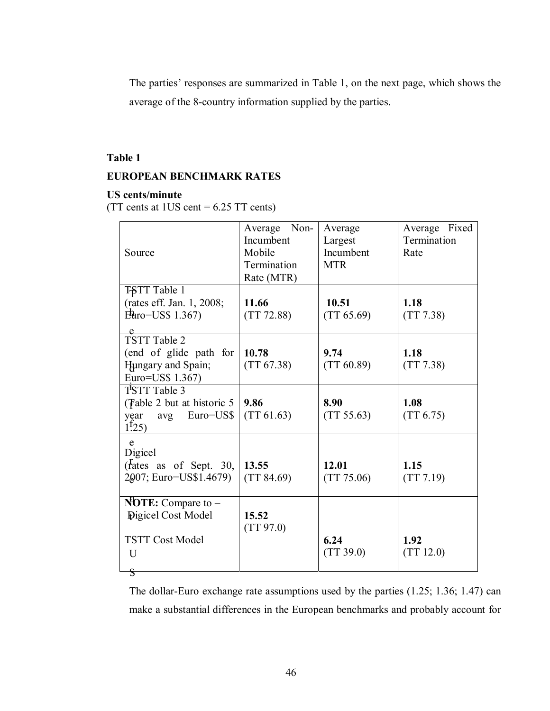The parties' responses are summarized in Table 1, on the next page, which shows the average of the 8-country information supplied by the parties.

## **Table 1**

## **EUROPEAN BENCHMARK RATES**

## **US cents/minute**

(TT cents at  $1US$  cent = 6.25 TT cents)

| Source                                                                                       | Average Non-<br>Incumbent<br>Mobile<br>Termination<br>Rate (MTR) | Average<br>Largest<br>Incumbent<br><b>MTR</b> | Average Fixed<br>Termination<br>Rate |
|----------------------------------------------------------------------------------------------|------------------------------------------------------------------|-----------------------------------------------|--------------------------------------|
| TSTT Table 1<br>(rates eff. Jan. 1, 2008;<br>$E\text{Huro}=USS$ 1.367)                       | 11.66<br>(TT 72.88)                                              | 10.51<br>(TT 65.69)                           | 1.18<br>(TT 7.38)                    |
| $\frac{e}{TSTT}$ Table 2<br>(end of glide path for<br>Hungary and Spain;<br>Euro=US\$ 1.367) | 10.78<br>(TT 67.38)                                              | 9.74<br>(TT 60.89)                            | 1.18<br>(TT 7.38)                    |
| TSTT Table 3<br>(Fable 2 but at historic 5 $\vert$<br>Euro=US\$<br>year<br>avg<br>$1^{125}$  | 9.86<br>(TT 61.63)                                               | 8.90<br>(TT 55.63)                            | 1.08<br>(TT 6.75)                    |
| e<br>Digicel<br>( $\frac{r}{t}$ as of Sept. 30,<br>2007; Euro=US\$1.4679)                    | 13.55<br>(TT 84.69)                                              | 12.01<br>(TT 75.06)                           | 1.15<br>(TT 7.19)                    |
| <b>NOTE:</b> Compare to $-$<br><b>Pigicel Cost Model</b><br><b>TSTT Cost Model</b><br>U<br>S | 15.52<br>(TT 97.0)                                               | 6.24<br>(TT 39.0)                             | 1.92<br>(TT 12.0)                    |

The dollar-Euro exchange rate assumptions used by the parties (1.25; 1.36; 1.47) can make a substantial differences in the European benchmarks and probably account for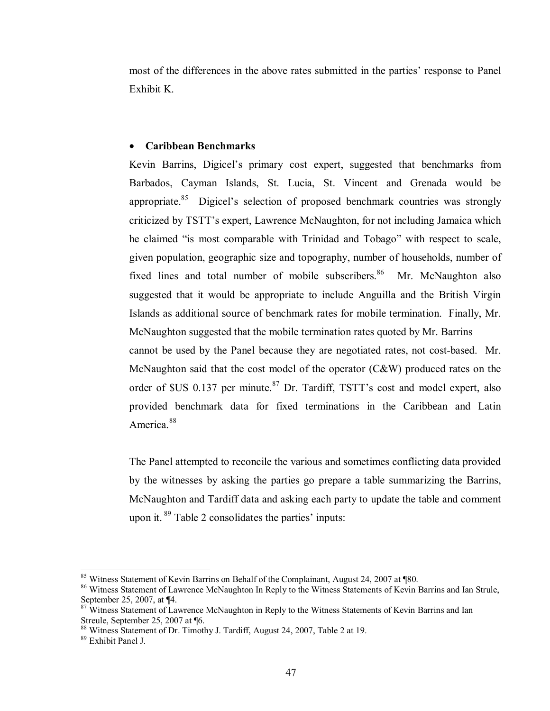most of the differences in the above rates submitted in the parties' response to Panel Exhibit K.

#### • **Caribbean Benchmarks**

Kevin Barrins, Digicel's primary cost expert, suggested that benchmarks from Barbados, Cayman Islands, St. Lucia, St. Vincent and Grenada would be appropriate.<sup>85</sup> Digicel's selection of proposed benchmark countries was strongly criticized by TSTT's expert, Lawrence McNaughton, for not including Jamaica which he claimed "is most comparable with Trinidad and Tobago" with respect to scale, given population, geographic size and topography, number of households, number of fixed lines and total number of mobile subscribers.<sup>86</sup> Mr. McNaughton also suggested that it would be appropriate to include Anguilla and the British Virgin Islands as additional source of benchmark rates for mobile termination. Finally, Mr. McNaughton suggested that the mobile termination rates quoted by Mr. Barrins cannot be used by the Panel because they are negotiated rates, not cost-based. Mr. McNaughton said that the cost model of the operator (C&W) produced rates on the order of  $SUS$  0.137 per minute.<sup>87</sup> Dr. Tardiff, TSTT's cost and model expert, also provided benchmark data for fixed terminations in the Caribbean and Latin America<sup>88</sup>

The Panel attempted to reconcile the various and sometimes conflicting data provided by the witnesses by asking the parties go prepare a table summarizing the Barrins, McNaughton and Tardiff data and asking each party to update the table and comment upon it. 89 Table 2 consolidates the parties' inputs:

<sup>&</sup>lt;sup>85</sup> Witness Statement of Kevin Barrins on Behalf of the Complainant, August 24, 2007 at ¶80.

<sup>&</sup>lt;sup>86</sup> Witness Statement of Lawrence McNaughton In Reply to the Witness Statements of Kevin Barrins and Ian Strule, September 25, 2007, at ¶4.

 $\frac{87}{100}$  Witness Statement of Lawrence McNaughton in Reply to the Witness Statements of Kevin Barrins and Ian Streule, September 25, 2007 at ¶6.

<sup>88</sup> Witness Statement of Dr. Timothy J. Tardiff, August 24, 2007, Table 2 at 19.

<sup>89</sup> Exhibit Panel J.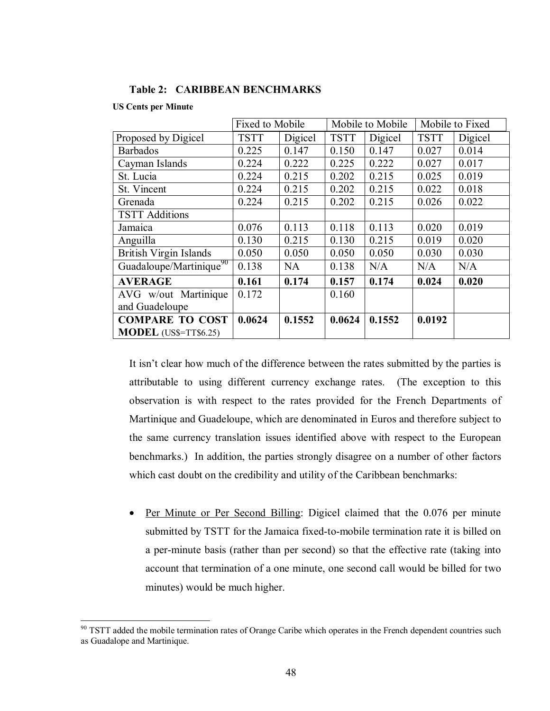|  | <b>Table 2: CARIBBEAN BENCHMARKS</b> |
|--|--------------------------------------|
|--|--------------------------------------|

#### **US Cents per Minute**

<u>.</u>

|                                     | Fixed to Mobile |           | Mobile to Mobile |         | Mobile to Fixed |         |
|-------------------------------------|-----------------|-----------|------------------|---------|-----------------|---------|
| Proposed by Digicel                 | <b>TSTT</b>     | Digicel   | <b>TSTT</b>      | Digicel | <b>TSTT</b>     | Digicel |
| <b>Barbados</b>                     | 0.225           | 0.147     | 0.150            | 0.147   | 0.027           | 0.014   |
| Cayman Islands                      | 0.224           | 0.222     | 0.225            | 0.222   | 0.027           | 0.017   |
| St. Lucia                           | 0.224           | 0.215     | 0.202            | 0.215   | 0.025           | 0.019   |
| St. Vincent                         | 0.224           | 0.215     | 0.202            | 0.215   | 0.022           | 0.018   |
| Grenada                             | 0.224           | 0.215     | 0.202            | 0.215   | 0.026           | 0.022   |
| <b>TSTT Additions</b>               |                 |           |                  |         |                 |         |
| Jamaica                             | 0.076           | 0.113     | 0.118            | 0.113   | 0.020           | 0.019   |
| Anguilla                            | 0.130           | 0.215     | 0.130            | 0.215   | 0.019           | 0.020   |
| <b>British Virgin Islands</b>       | 0.050           | 0.050     | 0.050            | 0.050   | 0.030           | 0.030   |
| Guadaloupe/Martinique <sup>90</sup> | 0.138           | <b>NA</b> | 0.138            | N/A     | N/A             | N/A     |
| <b>AVERAGE</b>                      | 0.161           | 0.174     | 0.157            | 0.174   | 0.024           | 0.020   |
| AVG w/out Martinique                | 0.172           |           | 0.160            |         |                 |         |
| and Guadeloupe                      |                 |           |                  |         |                 |         |
| <b>COMPARE TO COST</b>              | 0.0624          | 0.1552    | 0.0624           | 0.1552  | 0.0192          |         |
| MODEL (US\$=TT\$6.25)               |                 |           |                  |         |                 |         |

It isn't clear how much of the difference between the rates submitted by the parties is attributable to using different currency exchange rates. (The exception to this observation is with respect to the rates provided for the French Departments of Martinique and Guadeloupe, which are denominated in Euros and therefore subject to the same currency translation issues identified above with respect to the European benchmarks.) In addition, the parties strongly disagree on a number of other factors which cast doubt on the credibility and utility of the Caribbean benchmarks:

• Per Minute or Per Second Billing: Digicel claimed that the 0.076 per minute submitted by TSTT for the Jamaica fixed-to-mobile termination rate it is billed on a per-minute basis (rather than per second) so that the effective rate (taking into account that termination of a one minute, one second call would be billed for two minutes) would be much higher.

 $90$  TSTT added the mobile termination rates of Orange Caribe which operates in the French dependent countries such as Guadalope and Martinique.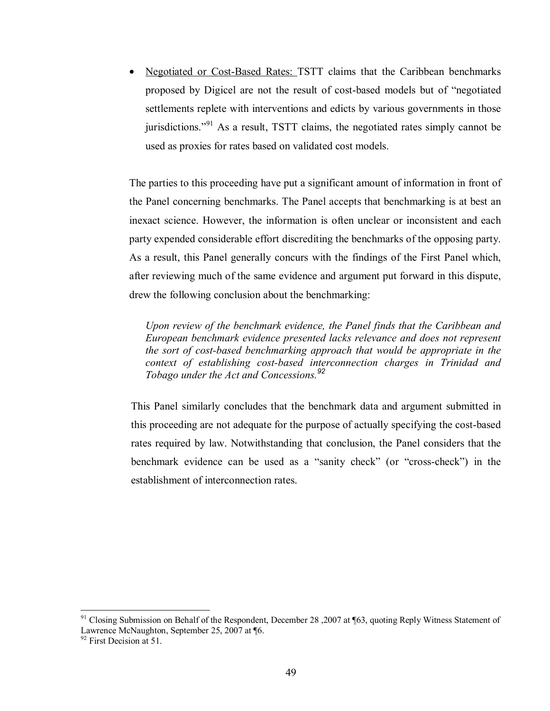• Negotiated or Cost-Based Rates: TSTT claims that the Caribbean benchmarks proposed by Digicel are not the result of cost-based models but of "negotiated settlements replete with interventions and edicts by various governments in those jurisdictions."91 As a result, TSTT claims, the negotiated rates simply cannot be used as proxies for rates based on validated cost models.

The parties to this proceeding have put a significant amount of information in front of the Panel concerning benchmarks. The Panel accepts that benchmarking is at best an inexact science. However, the information is often unclear or inconsistent and each party expended considerable effort discrediting the benchmarks of the opposing party. As a result, this Panel generally concurs with the findings of the First Panel which, after reviewing much of the same evidence and argument put forward in this dispute, drew the following conclusion about the benchmarking:

*Upon review of the benchmark evidence, the Panel finds that the Caribbean and European benchmark evidence presented lacks relevance and does not represent the sort of cost-based benchmarking approach that would be appropriate in the context of establishing cost-based interconnection charges in Trinidad and Tobago under the Act and Concessions.<sup>92</sup>* 

This Panel similarly concludes that the benchmark data and argument submitted in this proceeding are not adequate for the purpose of actually specifying the cost-based rates required by law. Notwithstanding that conclusion, the Panel considers that the benchmark evidence can be used as a "sanity check" (or "cross-check") in the establishment of interconnection rates.

<sup>&</sup>lt;sup>91</sup> Closing Submission on Behalf of the Respondent, December 28, 2007 at ¶63, quoting Reply Witness Statement of Lawrence McNaughton, September 25, 2007 at ¶6.

 $92$  First Decision at 51.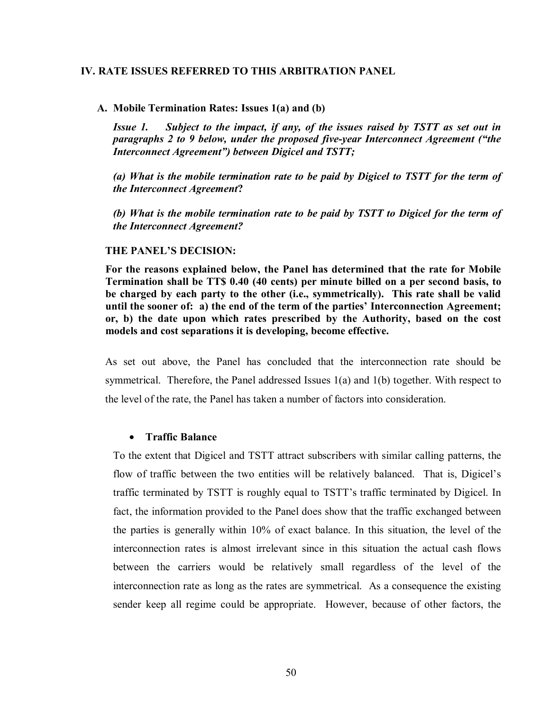#### **IV. RATE ISSUES REFERRED TO THIS ARBITRATION PANEL**

#### **A. Mobile Termination Rates: Issues 1(a) and (b)**

*Issue 1. Subject to the impact, if any, of the issues raised by TSTT as set out in paragraphs 2 to 9 below, under the proposed five-year Interconnect Agreement ("the Interconnect Agreement") between Digicel and TSTT;* 

*(a) What is the mobile termination rate to be paid by Digicel to TSTT for the term of the Interconnect Agreement***?** 

*(b) What is the mobile termination rate to be paid by TSTT to Digicel for the term of the Interconnect Agreement?* 

#### **THE PANEL'S DECISION:**

**For the reasons explained below, the Panel has determined that the rate for Mobile Termination shall be TT\$ 0.40 (40 cents) per minute billed on a per second basis, to be charged by each party to the other (i.e., symmetrically). This rate shall be valid until the sooner of: a) the end of the term of the parties' Interconnection Agreement; or, b) the date upon which rates prescribed by the Authority, based on the cost models and cost separations it is developing, become effective.** 

As set out above, the Panel has concluded that the interconnection rate should be symmetrical. Therefore, the Panel addressed Issues 1(a) and 1(b) together. With respect to the level of the rate, the Panel has taken a number of factors into consideration.

#### • **Traffic Balance**

To the extent that Digicel and TSTT attract subscribers with similar calling patterns, the flow of traffic between the two entities will be relatively balanced. That is, Digicel's traffic terminated by TSTT is roughly equal to TSTT's traffic terminated by Digicel. In fact, the information provided to the Panel does show that the traffic exchanged between the parties is generally within 10% of exact balance. In this situation, the level of the interconnection rates is almost irrelevant since in this situation the actual cash flows between the carriers would be relatively small regardless of the level of the interconnection rate as long as the rates are symmetrical. As a consequence the existing sender keep all regime could be appropriate. However, because of other factors, the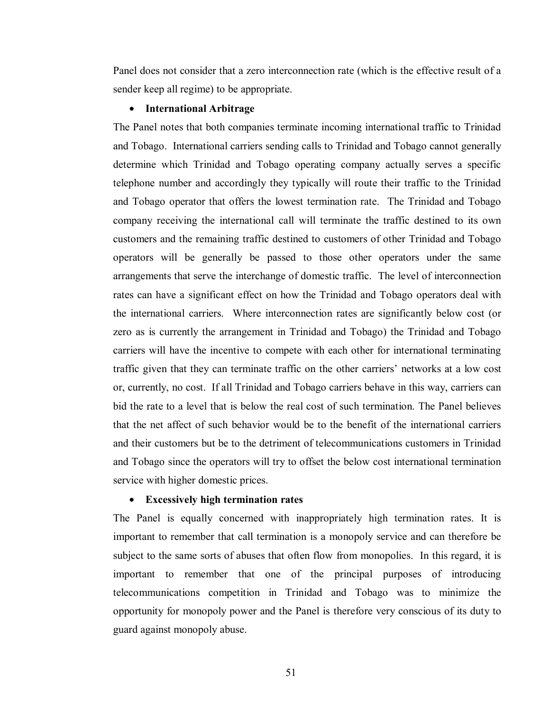Panel does not consider that a zero interconnection rate (which is the effective result of a sender keep all regime) to be appropriate.

#### • **International Arbitrage**

The Panel notes that both companies terminate incoming international traffic to Trinidad and Tobago. International carriers sending calls to Trinidad and Tobago cannot generally determine which Trinidad and Tobago operating company actually serves a specific telephone number and accordingly they typically will route their traffic to the Trinidad and Tobago operator that offers the lowest termination rate. The Trinidad and Tobago company receiving the international call will terminate the traffic destined to its own customers and the remaining traffic destined to customers of other Trinidad and Tobago operators will be generally be passed to those other operators under the same arrangements that serve the interchange of domestic traffic. The level of interconnection rates can have a significant effect on how the Trinidad and Tobago operators deal with the international carriers. Where interconnection rates are significantly below cost (or zero as is currently the arrangement in Trinidad and Tobago) the Trinidad and Tobago carriers will have the incentive to compete with each other for international terminating traffic given that they can terminate traffic on the other carriers' networks at a low cost or, currently, no cost. If all Trinidad and Tobago carriers behave in this way, carriers can bid the rate to a level that is below the real cost of such termination. The Panel believes that the net affect of such behavior would be to the benefit of the international carriers and their customers but be to the detriment of telecommunications customers in Trinidad and Tobago since the operators will try to offset the below cost international termination service with higher domestic prices.

### • **Excessively high termination rates**

The Panel is equally concerned with inappropriately high termination rates. It is important to remember that call termination is a monopoly service and can therefore be subject to the same sorts of abuses that often flow from monopolies. In this regard, it is important to remember that one of the principal purposes of introducing telecommunications competition in Trinidad and Tobago was to minimize the opportunity for monopoly power and the Panel is therefore very conscious of its duty to guard against monopoly abuse.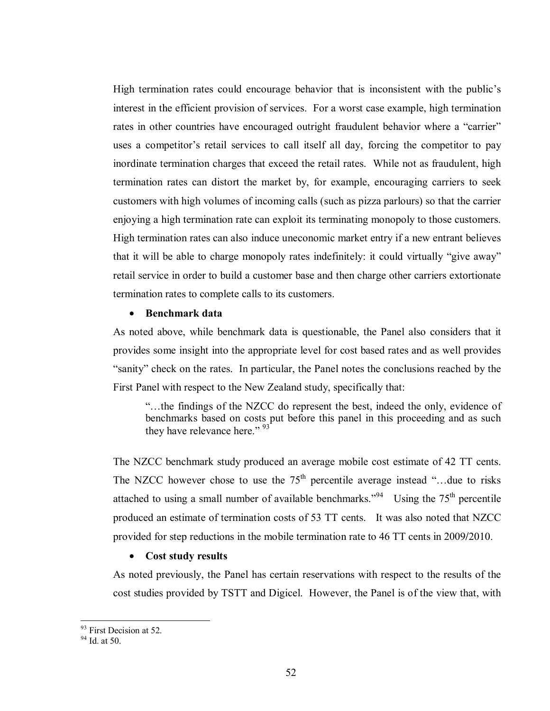High termination rates could encourage behavior that is inconsistent with the public's interest in the efficient provision of services. For a worst case example, high termination rates in other countries have encouraged outright fraudulent behavior where a "carrier" uses a competitor's retail services to call itself all day, forcing the competitor to pay inordinate termination charges that exceed the retail rates. While not as fraudulent, high termination rates can distort the market by, for example, encouraging carriers to seek customers with high volumes of incoming calls (such as pizza parlours) so that the carrier enjoying a high termination rate can exploit its terminating monopoly to those customers. High termination rates can also induce uneconomic market entry if a new entrant believes that it will be able to charge monopoly rates indefinitely: it could virtually "give away" retail service in order to build a customer base and then charge other carriers extortionate termination rates to complete calls to its customers.

### • **Benchmark data**

As noted above, while benchmark data is questionable, the Panel also considers that it provides some insight into the appropriate level for cost based rates and as well provides "sanity" check on the rates. In particular, the Panel notes the conclusions reached by the First Panel with respect to the New Zealand study, specifically that:

"…the findings of the NZCC do represent the best, indeed the only, evidence of benchmarks based on costs put before this panel in this proceeding and as such they have relevance here." 93

The NZCC benchmark study produced an average mobile cost estimate of 42 TT cents. The NZCC however chose to use the  $75<sup>th</sup>$  percentile average instead "...due to risks attached to using a small number of available benchmarks."<sup>94</sup> Using the  $75<sup>th</sup>$  percentile produced an estimate of termination costs of 53 TT cents. It was also noted that NZCC provided for step reductions in the mobile termination rate to 46 TT cents in 2009/2010.

### • **Cost study results**

As noted previously, the Panel has certain reservations with respect to the results of the cost studies provided by TSTT and Digicel. However, the Panel is of the view that, with

<u>.</u>

<sup>&</sup>lt;sup>93</sup> First Decision at 52.

<sup>94</sup> Id. at 50.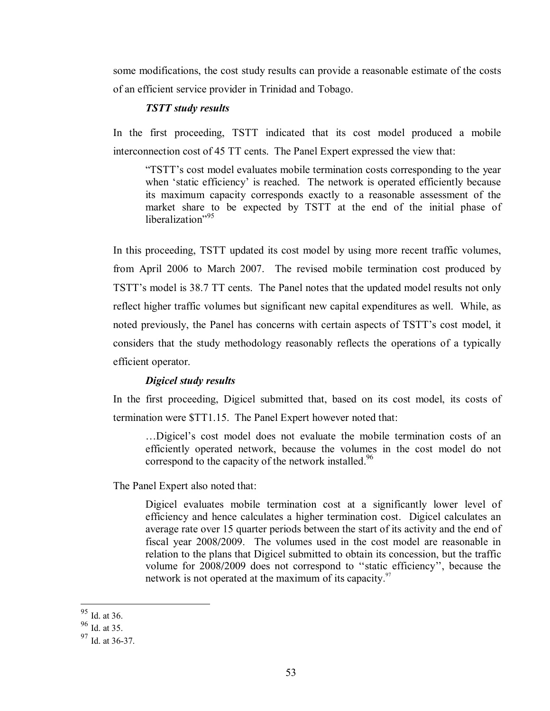some modifications, the cost study results can provide a reasonable estimate of the costs of an efficient service provider in Trinidad and Tobago.

## *TSTT study results*

In the first proceeding, TSTT indicated that its cost model produced a mobile interconnection cost of 45 TT cents. The Panel Expert expressed the view that:

"TSTT's cost model evaluates mobile termination costs corresponding to the year when 'static efficiency' is reached. The network is operated efficiently because its maximum capacity corresponds exactly to a reasonable assessment of the market share to be expected by TSTT at the end of the initial phase of liberalization"<sup>95</sup>

In this proceeding, TSTT updated its cost model by using more recent traffic volumes, from April 2006 to March 2007. The revised mobile termination cost produced by TSTT's model is 38.7 TT cents. The Panel notes that the updated model results not only reflect higher traffic volumes but significant new capital expenditures as well. While, as noted previously, the Panel has concerns with certain aspects of TSTT's cost model, it considers that the study methodology reasonably reflects the operations of a typically efficient operator.

#### *Digicel study results*

In the first proceeding, Digicel submitted that, based on its cost model, its costs of termination were \$TT1.15. The Panel Expert however noted that:

…Digicel's cost model does not evaluate the mobile termination costs of an efficiently operated network, because the volumes in the cost model do not correspond to the capacity of the network installed.<sup>96</sup>

The Panel Expert also noted that:

Digicel evaluates mobile termination cost at a significantly lower level of efficiency and hence calculates a higher termination cost. Digicel calculates an average rate over 15 quarter periods between the start of its activity and the end of fiscal year 2008/2009. The volumes used in the cost model are reasonable in relation to the plans that Digicel submitted to obtain its concession, but the traffic volume for 2008/2009 does not correspond to ''static efficiency'', because the network is not operated at the maximum of its capacity.<sup>97</sup>

<sup>&</sup>lt;sup>95</sup> Id. at 36.

 $96 \overline{1}$ d. at 35.

<sup>97</sup> Id. at 36-37.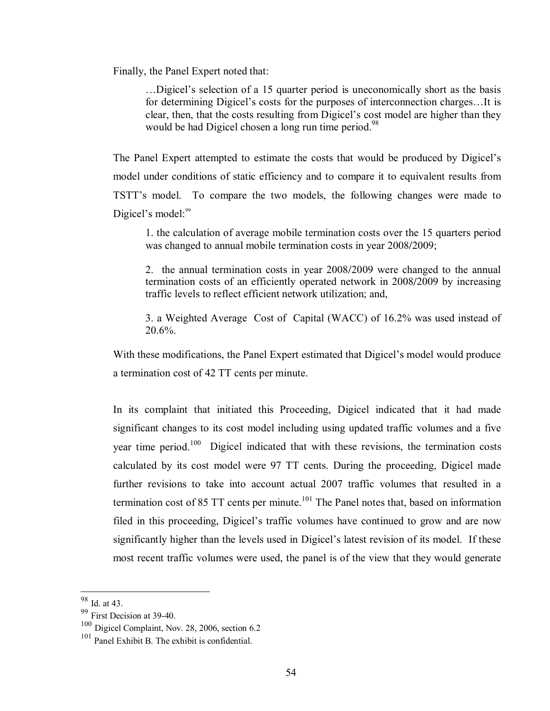Finally, the Panel Expert noted that:

…Digicel's selection of a 15 quarter period is uneconomically short as the basis for determining Digicel's costs for the purposes of interconnection charges…It is clear, then, that the costs resulting from Digicel's cost model are higher than they would be had Digicel chosen a long run time period.<sup>98</sup>

The Panel Expert attempted to estimate the costs that would be produced by Digicel's model under conditions of static efficiency and to compare it to equivalent results from TSTT's model. To compare the two models, the following changes were made to Digicel's model: $99$ 

1. the calculation of average mobile termination costs over the 15 quarters period was changed to annual mobile termination costs in year 2008/2009;

2. the annual termination costs in year 2008/2009 were changed to the annual termination costs of an efficiently operated network in 2008/2009 by increasing traffic levels to reflect efficient network utilization; and,

3. a Weighted Average Cost of Capital (WACC) of 16.2% was used instead of 20.6%.

With these modifications, the Panel Expert estimated that Digicel's model would produce a termination cost of 42 TT cents per minute.

In its complaint that initiated this Proceeding, Digicel indicated that it had made significant changes to its cost model including using updated traffic volumes and a five year time period.<sup>100</sup> Digicel indicated that with these revisions, the termination costs calculated by its cost model were 97 TT cents. During the proceeding, Digicel made further revisions to take into account actual 2007 traffic volumes that resulted in a termination cost of 85 TT cents per minute.<sup>101</sup> The Panel notes that, based on information filed in this proceeding, Digicel's traffic volumes have continued to grow and are now significantly higher than the levels used in Digicel's latest revision of its model. If these most recent traffic volumes were used, the panel is of the view that they would generate

<sup>98</sup> Id. at 43.

<sup>99</sup> First Decision at 39-40.

<sup>100</sup> Digicel Complaint, Nov. 28, 2006, section 6.2

<sup>101</sup> Panel Exhibit B. The exhibit is confidential.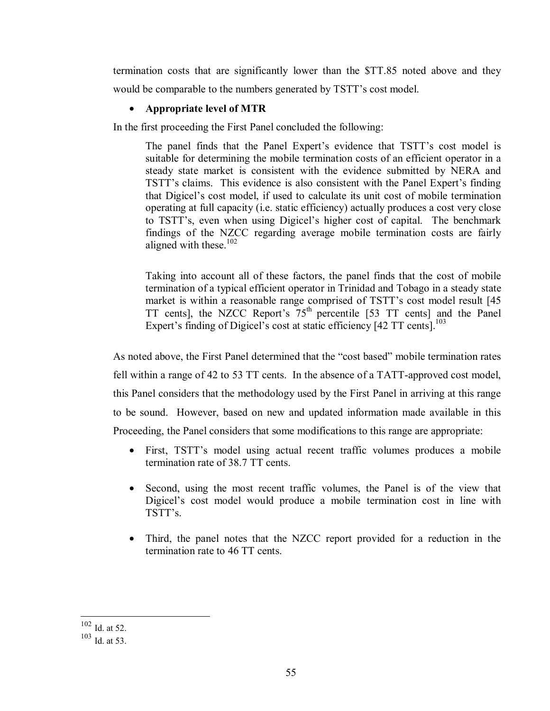termination costs that are significantly lower than the \$TT.85 noted above and they would be comparable to the numbers generated by TSTT's cost model.

# • **Appropriate level of MTR**

In the first proceeding the First Panel concluded the following:

The panel finds that the Panel Expert's evidence that TSTT's cost model is suitable for determining the mobile termination costs of an efficient operator in a steady state market is consistent with the evidence submitted by NERA and TSTT's claims. This evidence is also consistent with the Panel Expert's finding that Digicel's cost model, if used to calculate its unit cost of mobile termination operating at full capacity (i.e. static efficiency) actually produces a cost very close to TSTT's, even when using Digicel's higher cost of capital. The benchmark findings of the NZCC regarding average mobile termination costs are fairly aligned with these. $102$ 

Taking into account all of these factors, the panel finds that the cost of mobile termination of a typical efficient operator in Trinidad and Tobago in a steady state market is within a reasonable range comprised of TSTT's cost model result [45 TT cents], the NZCC Report's  $75<sup>th</sup>$  percentile [53 TT cents] and the Panel Expert's finding of Digicel's cost at static efficiency [42 TT cents].<sup>103</sup>

As noted above, the First Panel determined that the "cost based" mobile termination rates fell within a range of 42 to 53 TT cents. In the absence of a TATT-approved cost model, this Panel considers that the methodology used by the First Panel in arriving at this range to be sound. However, based on new and updated information made available in this Proceeding, the Panel considers that some modifications to this range are appropriate:

- First, TSTT's model using actual recent traffic volumes produces a mobile termination rate of 38.7 TT cents.
- Second, using the most recent traffic volumes, the Panel is of the view that Digicel's cost model would produce a mobile termination cost in line with TSTT's.
- Third, the panel notes that the NZCC report provided for a reduction in the termination rate to 46 TT cents.

<sup>1</sup>  $102$  Id. at 52.

<sup>103</sup> Id. at 53.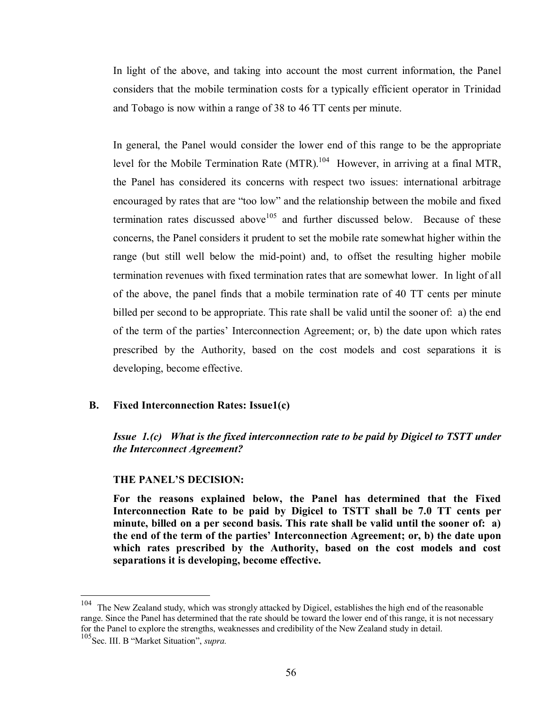In light of the above, and taking into account the most current information, the Panel considers that the mobile termination costs for a typically efficient operator in Trinidad and Tobago is now within a range of 38 to 46 TT cents per minute.

In general, the Panel would consider the lower end of this range to be the appropriate level for the Mobile Termination Rate  $(MTR)$ <sup>104</sup> However, in arriving at a final MTR, the Panel has considered its concerns with respect two issues: international arbitrage encouraged by rates that are "too low" and the relationship between the mobile and fixed termination rates discussed above<sup>105</sup> and further discussed below. Because of these concerns, the Panel considers it prudent to set the mobile rate somewhat higher within the range (but still well below the mid-point) and, to offset the resulting higher mobile termination revenues with fixed termination rates that are somewhat lower. In light of all of the above, the panel finds that a mobile termination rate of 40 TT cents per minute billed per second to be appropriate. This rate shall be valid until the sooner of: a) the end of the term of the parties' Interconnection Agreement; or, b) the date upon which rates prescribed by the Authority, based on the cost models and cost separations it is developing, become effective.

#### **B. Fixed Interconnection Rates: Issue1(c)**

*Issue 1.(c)* What is the fixed interconnection rate to be paid by Digicel to TSTT under *the Interconnect Agreement?* 

## **THE PANEL'S DECISION:**

**For the reasons explained below, the Panel has determined that the Fixed Interconnection Rate to be paid by Digicel to TSTT shall be 7.0 TT cents per minute, billed on a per second basis. This rate shall be valid until the sooner of: a) the end of the term of the parties' Interconnection Agreement; or, b) the date upon which rates prescribed by the Authority, based on the cost models and cost separations it is developing, become effective.** 

1

<sup>&</sup>lt;sup>104</sup> The New Zealand study, which was strongly attacked by Digicel, establishes the high end of the reasonable range. Since the Panel has determined that the rate should be toward the lower end of this range, it is not necessary for the Panel to explore the strengths, weaknesses and credibility of the New Zealand study in detail.

<sup>105</sup>Sec. III. B "Market Situation", *supra.*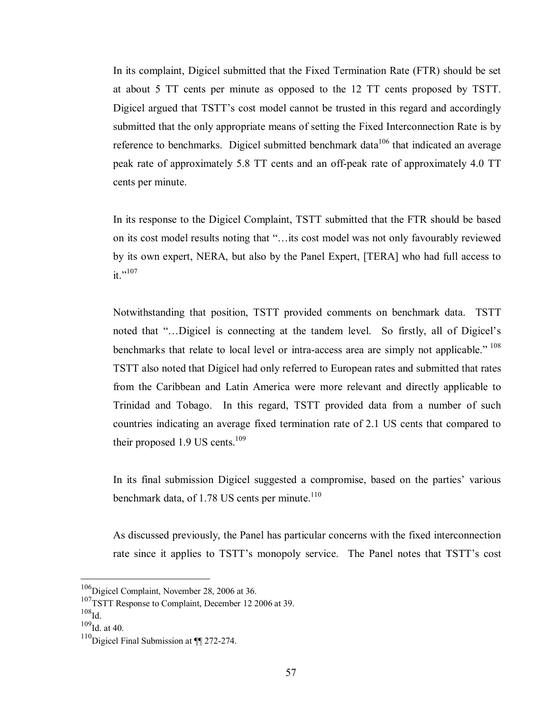In its complaint, Digicel submitted that the Fixed Termination Rate (FTR) should be set at about 5 TT cents per minute as opposed to the 12 TT cents proposed by TSTT. Digicel argued that TSTT's cost model cannot be trusted in this regard and accordingly submitted that the only appropriate means of setting the Fixed Interconnection Rate is by reference to benchmarks. Digicel submitted benchmark data<sup>106</sup> that indicated an average peak rate of approximately 5.8 TT cents and an off-peak rate of approximately 4.0 TT cents per minute.

In its response to the Digicel Complaint, TSTT submitted that the FTR should be based on its cost model results noting that "…its cost model was not only favourably reviewed by its own expert, NERA, but also by the Panel Expert, [TERA] who had full access to  $it$ .,107

Notwithstanding that position, TSTT provided comments on benchmark data. TSTT noted that "…Digicel is connecting at the tandem level. So firstly, all of Digicel's benchmarks that relate to local level or intra-access area are simply not applicable."  $108$ TSTT also noted that Digicel had only referred to European rates and submitted that rates from the Caribbean and Latin America were more relevant and directly applicable to Trinidad and Tobago. In this regard, TSTT provided data from a number of such countries indicating an average fixed termination rate of 2.1 US cents that compared to their proposed  $1.9$  US cents.<sup>109</sup>

In its final submission Digicel suggested a compromise, based on the parties' various benchmark data, of  $1.78$  US cents per minute.<sup>110</sup>

As discussed previously, the Panel has particular concerns with the fixed interconnection rate since it applies to TSTT's monopoly service. The Panel notes that TSTT's cost

<u>.</u>

<sup>&</sup>lt;sup>106</sup>Digicel Complaint, November 28, 2006 at 36.

<sup>&</sup>lt;sup>107</sup>TSTT Response to Complaint, December 12 2006 at 39.

 $^{108}\!$ Id.

 $109$ Id. at 40.

<sup>&</sup>lt;sup>110</sup>Digicel Final Submission at ¶¶ 272-274.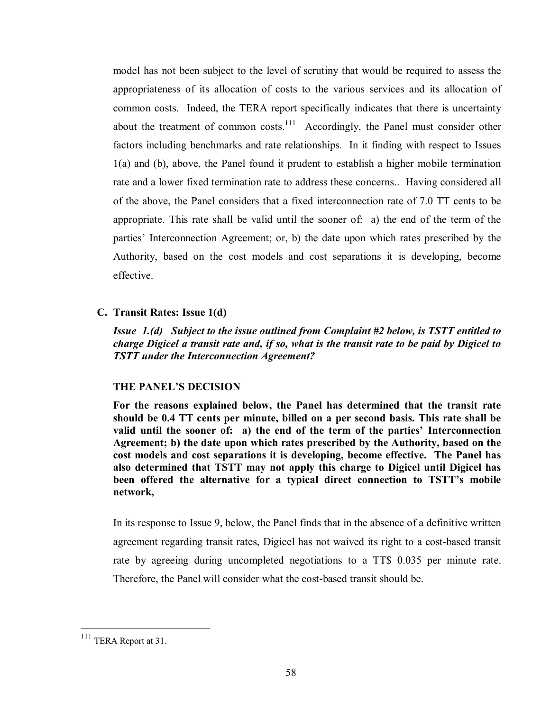model has not been subject to the level of scrutiny that would be required to assess the appropriateness of its allocation of costs to the various services and its allocation of common costs. Indeed, the TERA report specifically indicates that there is uncertainty about the treatment of common costs.<sup>111</sup> Accordingly, the Panel must consider other factors including benchmarks and rate relationships. In it finding with respect to Issues 1(a) and (b), above, the Panel found it prudent to establish a higher mobile termination rate and a lower fixed termination rate to address these concerns.. Having considered all of the above, the Panel considers that a fixed interconnection rate of 7.0 TT cents to be appropriate. This rate shall be valid until the sooner of: a) the end of the term of the parties' Interconnection Agreement; or, b) the date upon which rates prescribed by the Authority, based on the cost models and cost separations it is developing, become effective.

### **C. Transit Rates: Issue 1(d)**

*Issue 1.(d) Subject to the issue outlined from Complaint #2 below, is TSTT entitled to charge Digicel a transit rate and, if so, what is the transit rate to be paid by Digicel to TSTT under the Interconnection Agreement?* 

#### **THE PANEL'S DECISION**

**For the reasons explained below, the Panel has determined that the transit rate should be 0.4 TT cents per minute, billed on a per second basis. This rate shall be valid until the sooner of: a) the end of the term of the parties' Interconnection Agreement; b) the date upon which rates prescribed by the Authority, based on the cost models and cost separations it is developing, become effective. The Panel has also determined that TSTT may not apply this charge to Digicel until Digicel has been offered the alternative for a typical direct connection to TSTT's mobile network,** 

In its response to Issue 9, below, the Panel finds that in the absence of a definitive written agreement regarding transit rates, Digicel has not waived its right to a cost-based transit rate by agreeing during uncompleted negotiations to a TT\$ 0.035 per minute rate. Therefore, the Panel will consider what the cost-based transit should be.

<sup>&</sup>lt;sup>111</sup> TERA Report at 31.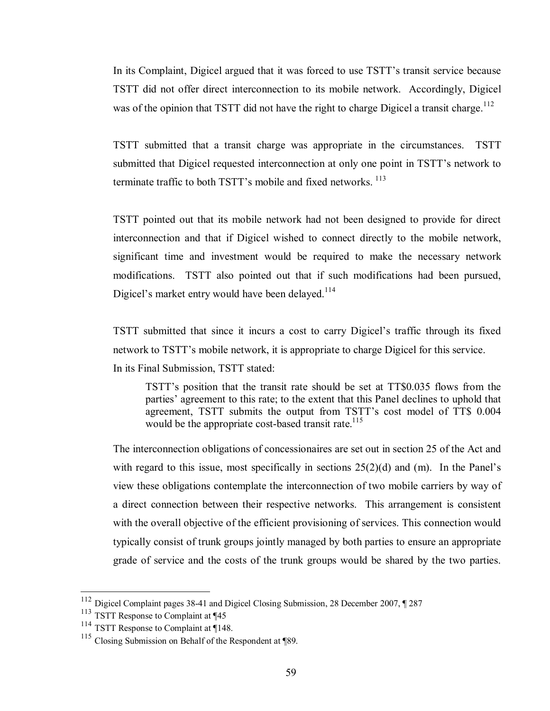In its Complaint, Digicel argued that it was forced to use TSTT's transit service because TSTT did not offer direct interconnection to its mobile network. Accordingly, Digicel was of the opinion that TSTT did not have the right to charge Digicel a transit charge.<sup>112</sup>

TSTT submitted that a transit charge was appropriate in the circumstances. TSTT submitted that Digicel requested interconnection at only one point in TSTT's network to terminate traffic to both TSTT's mobile and fixed networks.<sup>113</sup>

TSTT pointed out that its mobile network had not been designed to provide for direct interconnection and that if Digicel wished to connect directly to the mobile network, significant time and investment would be required to make the necessary network modifications. TSTT also pointed out that if such modifications had been pursued, Digicel's market entry would have been delayed.<sup>114</sup>

TSTT submitted that since it incurs a cost to carry Digicel's traffic through its fixed network to TSTT's mobile network, it is appropriate to charge Digicel for this service.

In its Final Submission, TSTT stated:

TSTT's position that the transit rate should be set at TT\$0.035 flows from the parties' agreement to this rate; to the extent that this Panel declines to uphold that agreement, TSTT submits the output from TSTT's cost model of TT\$ 0.004 would be the appropriate cost-based transit rate.<sup>115</sup>

The interconnection obligations of concessionaires are set out in section 25 of the Act and with regard to this issue, most specifically in sections  $25(2)(d)$  and (m). In the Panel's view these obligations contemplate the interconnection of two mobile carriers by way of a direct connection between their respective networks. This arrangement is consistent with the overall objective of the efficient provisioning of services. This connection would typically consist of trunk groups jointly managed by both parties to ensure an appropriate grade of service and the costs of the trunk groups would be shared by the two parties.

<u>.</u>

<sup>&</sup>lt;sup>112</sup> Digicel Complaint pages 38-41 and Digicel Closing Submission, 28 December 2007, ¶ 287

<sup>113</sup> TSTT Response to Complaint at ¶45

<sup>&</sup>lt;sup>114</sup> TSTT Response to Complaint at ¶148.

<sup>115</sup> Closing Submission on Behalf of the Respondent at ¶89.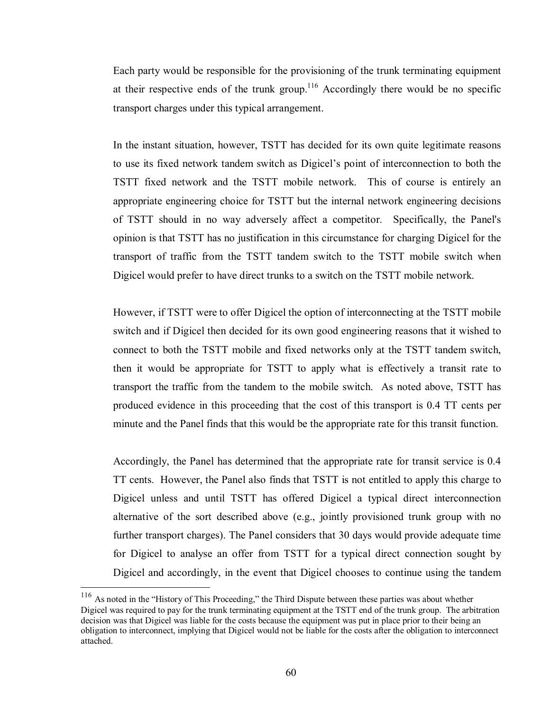Each party would be responsible for the provisioning of the trunk terminating equipment at their respective ends of the trunk group.<sup>116</sup> Accordingly there would be no specific transport charges under this typical arrangement.

In the instant situation, however, TSTT has decided for its own quite legitimate reasons to use its fixed network tandem switch as Digicel's point of interconnection to both the TSTT fixed network and the TSTT mobile network. This of course is entirely an appropriate engineering choice for TSTT but the internal network engineering decisions of TSTT should in no way adversely affect a competitor. Specifically, the Panel's opinion is that TSTT has no justification in this circumstance for charging Digicel for the transport of traffic from the TSTT tandem switch to the TSTT mobile switch when Digicel would prefer to have direct trunks to a switch on the TSTT mobile network.

However, if TSTT were to offer Digicel the option of interconnecting at the TSTT mobile switch and if Digicel then decided for its own good engineering reasons that it wished to connect to both the TSTT mobile and fixed networks only at the TSTT tandem switch, then it would be appropriate for TSTT to apply what is effectively a transit rate to transport the traffic from the tandem to the mobile switch. As noted above, TSTT has produced evidence in this proceeding that the cost of this transport is 0.4 TT cents per minute and the Panel finds that this would be the appropriate rate for this transit function.

Accordingly, the Panel has determined that the appropriate rate for transit service is 0.4 TT cents. However, the Panel also finds that TSTT is not entitled to apply this charge to Digicel unless and until TSTT has offered Digicel a typical direct interconnection alternative of the sort described above (e.g., jointly provisioned trunk group with no further transport charges). The Panel considers that 30 days would provide adequate time for Digicel to analyse an offer from TSTT for a typical direct connection sought by Digicel and accordingly, in the event that Digicel chooses to continue using the tandem

1

 $116$  As noted in the "History of This Proceeding," the Third Dispute between these parties was about whether Digicel was required to pay for the trunk terminating equipment at the TSTT end of the trunk group. The arbitration decision was that Digicel was liable for the costs because the equipment was put in place prior to their being an obligation to interconnect, implying that Digicel would not be liable for the costs after the obligation to interconnect attached.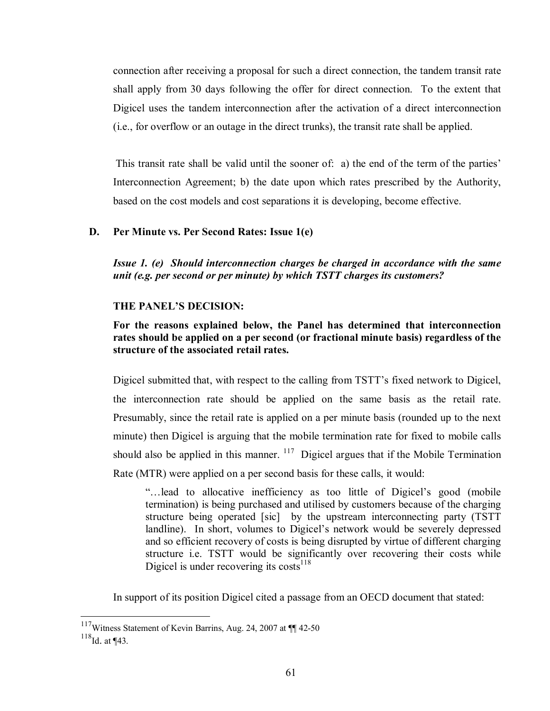connection after receiving a proposal for such a direct connection, the tandem transit rate shall apply from 30 days following the offer for direct connection. To the extent that Digicel uses the tandem interconnection after the activation of a direct interconnection (i.e., for overflow or an outage in the direct trunks), the transit rate shall be applied.

 This transit rate shall be valid until the sooner of: a) the end of the term of the parties' Interconnection Agreement; b) the date upon which rates prescribed by the Authority, based on the cost models and cost separations it is developing, become effective.

## **D. Per Minute vs. Per Second Rates: Issue 1(e)**

*Issue 1. (e) Should interconnection charges be charged in accordance with the same unit (e.g. per second or per minute) by which TSTT charges its customers?* 

## **THE PANEL'S DECISION:**

**For the reasons explained below, the Panel has determined that interconnection rates should be applied on a per second (or fractional minute basis) regardless of the structure of the associated retail rates.** 

Digicel submitted that, with respect to the calling from TSTT's fixed network to Digicel, the interconnection rate should be applied on the same basis as the retail rate. Presumably, since the retail rate is applied on a per minute basis (rounded up to the next minute) then Digicel is arguing that the mobile termination rate for fixed to mobile calls should also be applied in this manner.  $117$  Digicel argues that if the Mobile Termination Rate (MTR) were applied on a per second basis for these calls, it would:

"…lead to allocative inefficiency as too little of Digicel's good (mobile termination) is being purchased and utilised by customers because of the charging structure being operated [sic] by the upstream interconnecting party (TSTT landline). In short, volumes to Digicel's network would be severely depressed and so efficient recovery of costs is being disrupted by virtue of different charging structure i.e. TSTT would be significantly over recovering their costs while Digicel is under recovering its costs<sup>118</sup>

In support of its position Digicel cited a passage from an OECD document that stated:

 $117$ Witness Statement of Kevin Barrins, Aug. 24, 2007 at  $\P$  42-50

 $118$ Id. at ¶43.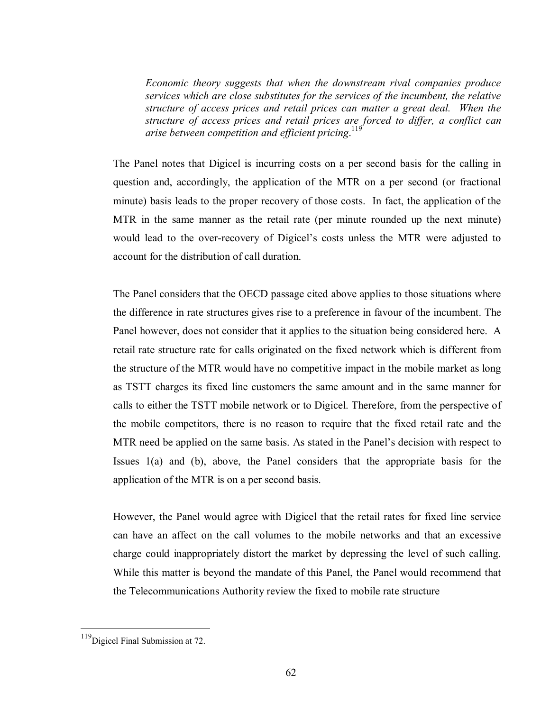*Economic theory suggests that when the downstream rival companies produce services which are close substitutes for the services of the incumbent, the relative structure of access prices and retail prices can matter a great deal. When the structure of access prices and retail prices are forced to differ, a conflict can arise between competition and efficient pricing*. 119

The Panel notes that Digicel is incurring costs on a per second basis for the calling in question and, accordingly, the application of the MTR on a per second (or fractional minute) basis leads to the proper recovery of those costs. In fact, the application of the MTR in the same manner as the retail rate (per minute rounded up the next minute) would lead to the over-recovery of Digicel's costs unless the MTR were adjusted to account for the distribution of call duration.

The Panel considers that the OECD passage cited above applies to those situations where the difference in rate structures gives rise to a preference in favour of the incumbent. The Panel however, does not consider that it applies to the situation being considered here. A retail rate structure rate for calls originated on the fixed network which is different from the structure of the MTR would have no competitive impact in the mobile market as long as TSTT charges its fixed line customers the same amount and in the same manner for calls to either the TSTT mobile network or to Digicel. Therefore, from the perspective of the mobile competitors, there is no reason to require that the fixed retail rate and the MTR need be applied on the same basis. As stated in the Panel's decision with respect to Issues 1(a) and (b), above, the Panel considers that the appropriate basis for the application of the MTR is on a per second basis.

However, the Panel would agree with Digicel that the retail rates for fixed line service can have an affect on the call volumes to the mobile networks and that an excessive charge could inappropriately distort the market by depressing the level of such calling. While this matter is beyond the mandate of this Panel, the Panel would recommend that the Telecommunications Authority review the fixed to mobile rate structure

<sup>&</sup>lt;sup>119</sup>Digicel Final Submission at 72.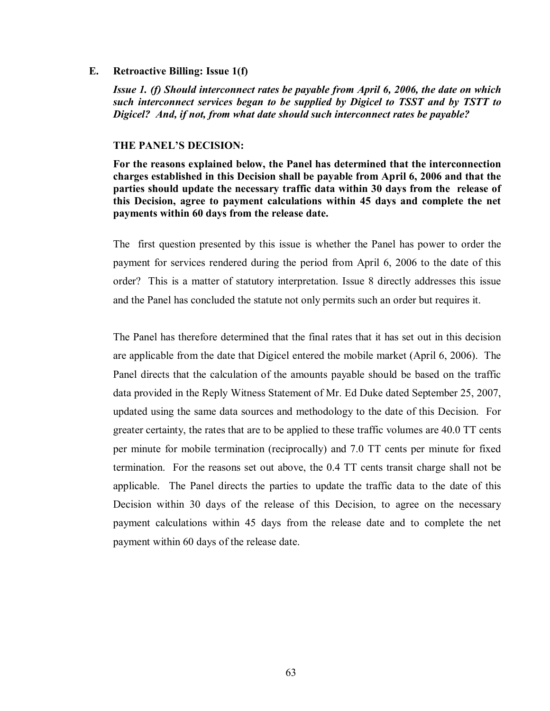#### **E. Retroactive Billing: Issue 1(f)**

*Issue 1. (f) Should interconnect rates be payable from April 6, 2006, the date on which such interconnect services began to be supplied by Digicel to TSST and by TSTT to Digicel? And, if not, from what date should such interconnect rates be payable?* 

#### **THE PANEL'S DECISION:**

**For the reasons explained below, the Panel has determined that the interconnection charges established in this Decision shall be payable from April 6, 2006 and that the parties should update the necessary traffic data within 30 days from the release of this Decision, agree to payment calculations within 45 days and complete the net payments within 60 days from the release date.** 

The first question presented by this issue is whether the Panel has power to order the payment for services rendered during the period from April 6, 2006 to the date of this order? This is a matter of statutory interpretation. Issue 8 directly addresses this issue and the Panel has concluded the statute not only permits such an order but requires it.

The Panel has therefore determined that the final rates that it has set out in this decision are applicable from the date that Digicel entered the mobile market (April 6, 2006). The Panel directs that the calculation of the amounts payable should be based on the traffic data provided in the Reply Witness Statement of Mr. Ed Duke dated September 25, 2007, updated using the same data sources and methodology to the date of this Decision. For greater certainty, the rates that are to be applied to these traffic volumes are 40.0 TT cents per minute for mobile termination (reciprocally) and 7.0 TT cents per minute for fixed termination. For the reasons set out above, the 0.4 TT cents transit charge shall not be applicable. The Panel directs the parties to update the traffic data to the date of this Decision within 30 days of the release of this Decision, to agree on the necessary payment calculations within 45 days from the release date and to complete the net payment within 60 days of the release date.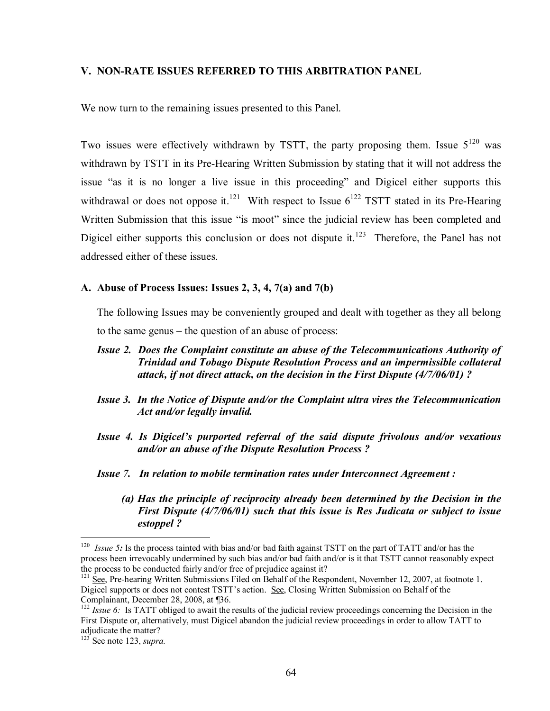#### **V. NON-RATE ISSUES REFERRED TO THIS ARBITRATION PANEL**

We now turn to the remaining issues presented to this Panel.

Two issues were effectively withdrawn by TSTT, the party proposing them. Issue  $5^{120}$  was withdrawn by TSTT in its Pre-Hearing Written Submission by stating that it will not address the issue "as it is no longer a live issue in this proceeding" and Digicel either supports this withdrawal or does not oppose it.<sup>121</sup> With respect to Issue  $6^{122}$  TSTT stated in its Pre-Hearing Written Submission that this issue "is moot" since the judicial review has been completed and Digicel either supports this conclusion or does not dispute it.<sup>123</sup> Therefore, the Panel has not addressed either of these issues.

## **A. Abuse of Process Issues: Issues 2, 3, 4, 7(a) and 7(b)**

The following Issues may be conveniently grouped and dealt with together as they all belong to the same genus – the question of an abuse of process:

- *Issue 2. Does the Complaint constitute an abuse of the Telecommunications Authority of Trinidad and Tobago Dispute Resolution Process and an impermissible collateral attack, if not direct attack, on the decision in the First Dispute (4/7/06/01) ?*
- *Issue 3. In the Notice of Dispute and/or the Complaint ultra vires the Telecommunication Act and/or legally invalid.*
- *Issue 4. Is Digicel's purported referral of the said dispute frivolous and/or vexatious and/or an abuse of the Dispute Resolution Process ?*
- *Issue 7. In relation to mobile termination rates under Interconnect Agreement :* 
	- *(a) Has the principle of reciprocity already been determined by the Decision in the First Dispute (4/7/06/01) such that this issue is Res Judicata or subject to issue estoppel ?*

<sup>&</sup>lt;sup>120</sup> *Issue 5***:** Is the process tainted with bias and/or bad faith against TSTT on the part of TATT and/or has the process been irrevocably undermined by such bias and/or bad faith and/or is it that TSTT cannot reasonably expect the process to be conducted fairly and/or free of prejudice against it?

<sup>&</sup>lt;sup>121</sup> See, Pre-hearing Written Submissions Filed on Behalf of the Respondent, November 12, 2007, at footnote 1. Digicel supports or does not contest TSTT's action. See, Closing Written Submission on Behalf of the Complainant, December 28, 2008, at ¶36.

<sup>&</sup>lt;sup>122</sup> *Issue 6*: Is TATT obliged to await the results of the judicial review proceedings concerning the Decision in the First Dispute or, alternatively, must Digicel abandon the judicial review proceedings in order to allow TATT to adjudicate the matter?

<sup>123</sup> See note 123, *supra.*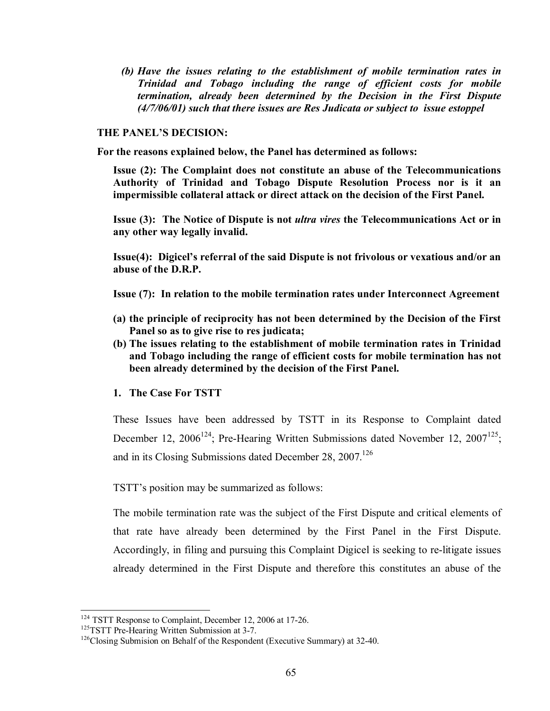*(b) Have the issues relating to the establishment of mobile termination rates in Trinidad and Tobago including the range of efficient costs for mobile termination, already been determined by the Decision in the First Dispute (4/7/06/01) such that there issues are Res Judicata or subject to issue estoppel* 

#### **THE PANEL'S DECISION:**

**For the reasons explained below, the Panel has determined as follows:** 

**Issue (2): The Complaint does not constitute an abuse of the Telecommunications Authority of Trinidad and Tobago Dispute Resolution Process nor is it an impermissible collateral attack or direct attack on the decision of the First Panel.** 

**Issue (3): The Notice of Dispute is not** *ultra vires* **the Telecommunications Act or in any other way legally invalid.** 

**Issue(4): Digicel's referral of the said Dispute is not frivolous or vexatious and/or an abuse of the D.R.P.** 

**Issue (7): In relation to the mobile termination rates under Interconnect Agreement** 

- **(a) the principle of reciprocity has not been determined by the Decision of the First Panel so as to give rise to res judicata;**
- **(b) The issues relating to the establishment of mobile termination rates in Trinidad and Tobago including the range of efficient costs for mobile termination has not been already determined by the decision of the First Panel.**
- **1. The Case For TSTT**

These Issues have been addressed by TSTT in its Response to Complaint dated December 12, 2006<sup>124</sup>; Pre-Hearing Written Submissions dated November 12, 2007<sup>125</sup>; and in its Closing Submissions dated December 28, 2007.<sup>126</sup>

TSTT's position may be summarized as follows:

The mobile termination rate was the subject of the First Dispute and critical elements of that rate have already been determined by the First Panel in the First Dispute. Accordingly, in filing and pursuing this Complaint Digicel is seeking to re-litigate issues already determined in the First Dispute and therefore this constitutes an abuse of the

<sup>&</sup>lt;sup>124</sup> TSTT Response to Complaint, December 12, 2006 at 17-26.<br><sup>125</sup>TSTT Pre-Hearing Written Submission at 3-7.<br><sup>126</sup>Closing Submision on Behalf of the Respondent (Executive Summary) at 32-40.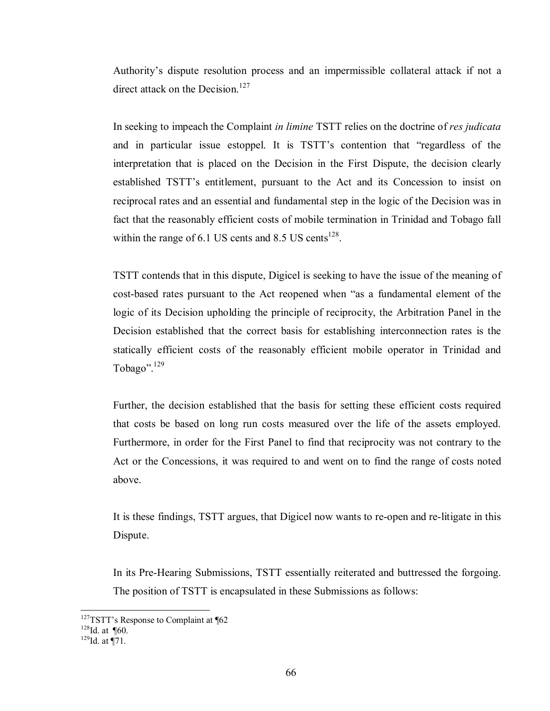Authority's dispute resolution process and an impermissible collateral attack if not a direct attack on the Decision.<sup>127</sup>

In seeking to impeach the Complaint *in limine* TSTT relies on the doctrine of *res judicata* and in particular issue estoppel. It is TSTT's contention that "regardless of the interpretation that is placed on the Decision in the First Dispute, the decision clearly established TSTT's entitlement, pursuant to the Act and its Concession to insist on reciprocal rates and an essential and fundamental step in the logic of the Decision was in fact that the reasonably efficient costs of mobile termination in Trinidad and Tobago fall within the range of  $6.1$  US cents and  $8.5$  US cents<sup>128</sup>.

TSTT contends that in this dispute, Digicel is seeking to have the issue of the meaning of cost-based rates pursuant to the Act reopened when "as a fundamental element of the logic of its Decision upholding the principle of reciprocity, the Arbitration Panel in the Decision established that the correct basis for establishing interconnection rates is the statically efficient costs of the reasonably efficient mobile operator in Trinidad and Tobago".129

Further, the decision established that the basis for setting these efficient costs required that costs be based on long run costs measured over the life of the assets employed. Furthermore, in order for the First Panel to find that reciprocity was not contrary to the Act or the Concessions, it was required to and went on to find the range of costs noted above.

It is these findings, TSTT argues, that Digicel now wants to re-open and re-litigate in this Dispute.

In its Pre-Hearing Submissions, TSTT essentially reiterated and buttressed the forgoing. The position of TSTT is encapsulated in these Submissions as follows:

<sup>&</sup>lt;sup>127</sup>TSTT's Response to Complaint at ¶62<br><sup>128</sup>Id. at ¶60. <sup>129</sup>Id. at ¶71.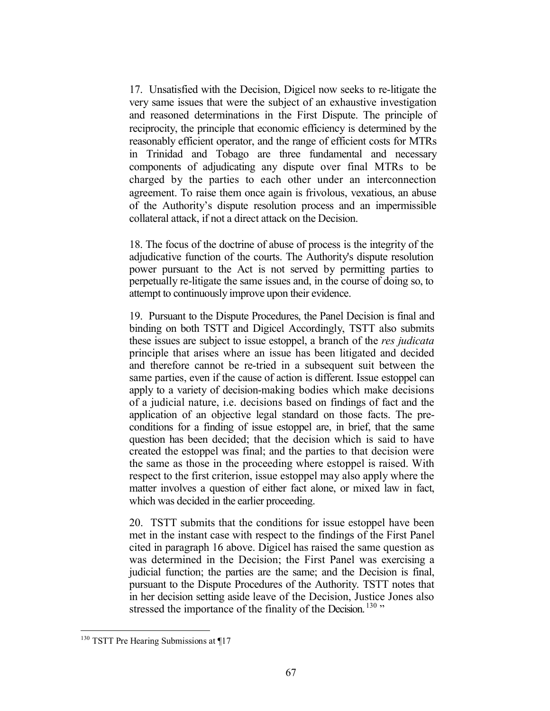17. Unsatisfied with the Decision, Digicel now seeks to re-litigate the very same issues that were the subject of an exhaustive investigation and reasoned determinations in the First Dispute. The principle of reciprocity, the principle that economic efficiency is determined by the reasonably efficient operator, and the range of efficient costs for MTRs in Trinidad and Tobago are three fundamental and necessary components of adjudicating any dispute over final MTRs to be charged by the parties to each other under an interconnection agreement. To raise them once again is frivolous, vexatious, an abuse of the Authority's dispute resolution process and an impermissible collateral attack, if not a direct attack on the Decision.

18. The focus of the doctrine of abuse of process is the integrity of the adjudicative function of the courts. The Authority's dispute resolution power pursuant to the Act is not served by permitting parties to perpetually re-litigate the same issues and, in the course of doing so, to attempt to continuously improve upon their evidence.

19. Pursuant to the Dispute Procedures, the Panel Decision is final and binding on both TSTT and Digicel Accordingly, TSTT also submits these issues are subject to issue estoppel, a branch of the *res judicata*  principle that arises where an issue has been litigated and decided and therefore cannot be re-tried in a subsequent suit between the same parties, even if the cause of action is different. Issue estoppel can apply to a variety of decision-making bodies which make decisions of a judicial nature, i.e. decisions based on findings of fact and the application of an objective legal standard on those facts. The preconditions for a finding of issue estoppel are, in brief, that the same question has been decided; that the decision which is said to have created the estoppel was final; and the parties to that decision were the same as those in the proceeding where estoppel is raised. With respect to the first criterion, issue estoppel may also apply where the matter involves a question of either fact alone, or mixed law in fact, which was decided in the earlier proceeding.

20. TSTT submits that the conditions for issue estoppel have been met in the instant case with respect to the findings of the First Panel cited in paragraph 16 above. Digicel has raised the same question as was determined in the Decision; the First Panel was exercising a judicial function; the parties are the same; and the Decision is final, pursuant to the Dispute Procedures of the Authority. TSTT notes that in her decision setting aside leave of the Decision, Justice Jones also stressed the importance of the finality of the Decision.  $130$  "

 $130$  TSTT Pre Hearing Submissions at  $\P$ 17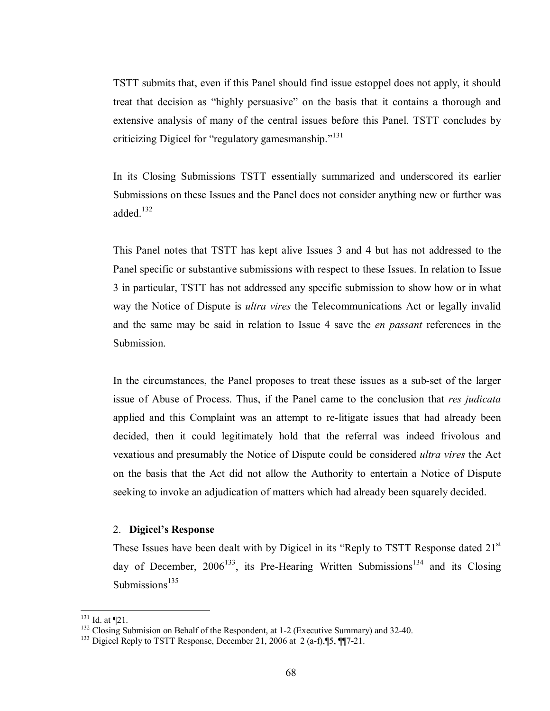TSTT submits that, even if this Panel should find issue estoppel does not apply, it should treat that decision as "highly persuasive" on the basis that it contains a thorough and extensive analysis of many of the central issues before this Panel. TSTT concludes by criticizing Digicel for "regulatory gamesmanship."<sup>131</sup>

In its Closing Submissions TSTT essentially summarized and underscored its earlier Submissions on these Issues and the Panel does not consider anything new or further was added. $132$ 

This Panel notes that TSTT has kept alive Issues 3 and 4 but has not addressed to the Panel specific or substantive submissions with respect to these Issues. In relation to Issue 3 in particular, TSTT has not addressed any specific submission to show how or in what way the Notice of Dispute is *ultra vires* the Telecommunications Act or legally invalid and the same may be said in relation to Issue 4 save the *en passant* references in the Submission.

In the circumstances, the Panel proposes to treat these issues as a sub-set of the larger issue of Abuse of Process. Thus, if the Panel came to the conclusion that *res judicata* applied and this Complaint was an attempt to re-litigate issues that had already been decided, then it could legitimately hold that the referral was indeed frivolous and vexatious and presumably the Notice of Dispute could be considered *ultra vires* the Act on the basis that the Act did not allow the Authority to entertain a Notice of Dispute seeking to invoke an adjudication of matters which had already been squarely decided.

#### 2. **Digicel's Response**

These Issues have been dealt with by Digicel in its "Reply to TSTT Response dated  $21<sup>st</sup>$ day of December,  $2006^{133}$ , its Pre-Hearing Written Submissions<sup>134</sup> and its Closing Submissions<sup>135</sup>

 $131$  Id. at  $\P$ 21.

<sup>&</sup>lt;sup>132</sup> Closing Submision on Behalf of the Respondent, at 1-2 (Executive Summary) and 32-40. <sup>133</sup> Digicel Reply to TSTT Response, December 21, 2006 at 2 (a-f),¶5, ¶¶7-21.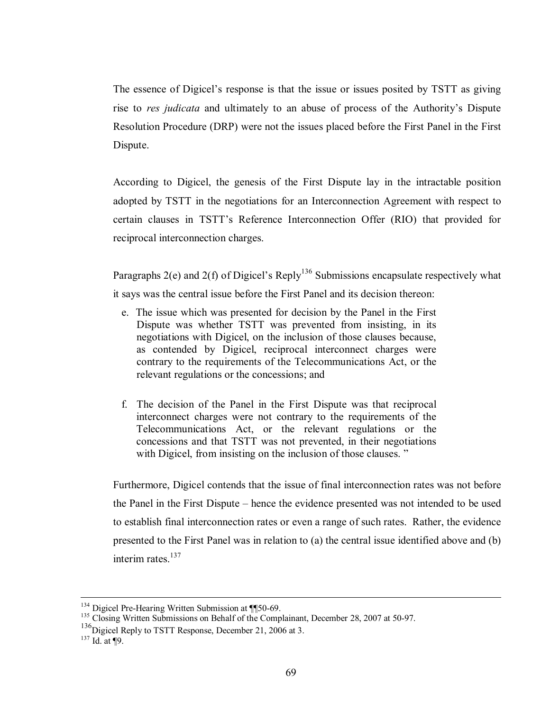The essence of Digicel's response is that the issue or issues posited by TSTT as giving rise to *res judicata* and ultimately to an abuse of process of the Authority's Dispute Resolution Procedure (DRP) were not the issues placed before the First Panel in the First Dispute.

According to Digicel, the genesis of the First Dispute lay in the intractable position adopted by TSTT in the negotiations for an Interconnection Agreement with respect to certain clauses in TSTT's Reference Interconnection Offer (RIO) that provided for reciprocal interconnection charges.

Paragraphs  $2(e)$  and  $2(f)$  of Digicel's Reply<sup>136</sup> Submissions encapsulate respectively what it says was the central issue before the First Panel and its decision thereon:

- e. The issue which was presented for decision by the Panel in the First Dispute was whether TSTT was prevented from insisting, in its negotiations with Digicel, on the inclusion of those clauses because, as contended by Digicel, reciprocal interconnect charges were contrary to the requirements of the Telecommunications Act, or the relevant regulations or the concessions; and
- f. The decision of the Panel in the First Dispute was that reciprocal interconnect charges were not contrary to the requirements of the Telecommunications Act, or the relevant regulations or the concessions and that TSTT was not prevented, in their negotiations with Digicel, from insisting on the inclusion of those clauses."

Furthermore, Digicel contends that the issue of final interconnection rates was not before the Panel in the First Dispute – hence the evidence presented was not intended to be used to establish final interconnection rates or even a range of such rates. Rather, the evidence presented to the First Panel was in relation to (a) the central issue identified above and (b) interim rates. $137$ 

<sup>&</sup>lt;sup>134</sup> Digicel Pre-Hearing Written Submission at ¶¶50-69.<br><sup>135</sup> Closing Written Submissions on Behalf of the Complainant, December 28, 2007 at 50-97.

 $^{136}$ Digicel Reply to TSTT Response, December 21, 2006 at 3.<br><sup>137</sup> Id. at ¶9.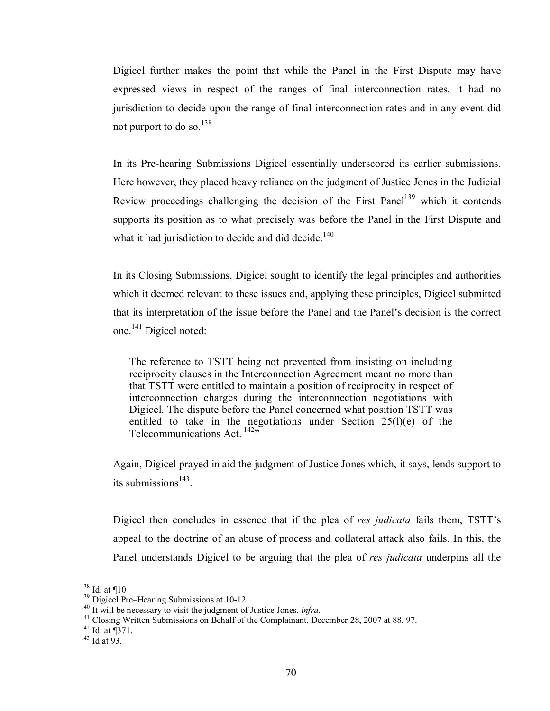Digicel further makes the point that while the Panel in the First Dispute may have expressed views in respect of the ranges of final interconnection rates, it had no jurisdiction to decide upon the range of final interconnection rates and in any event did not purport to do so. $^{138}$ 

In its Pre-hearing Submissions Digicel essentially underscored its earlier submissions. Here however, they placed heavy reliance on the judgment of Justice Jones in the Judicial Review proceedings challenging the decision of the First Panel<sup>139</sup> which it contends supports its position as to what precisely was before the Panel in the First Dispute and what it had jurisdiction to decide and did decide.<sup>140</sup>

In its Closing Submissions, Digicel sought to identify the legal principles and authorities which it deemed relevant to these issues and, applying these principles, Digicel submitted that its interpretation of the issue before the Panel and the Panel's decision is the correct one.<sup>141</sup> Digicel noted:

 The reference to TSTT being not prevented from insisting on including reciprocity clauses in the Interconnection Agreement meant no more than that TSTT were entitled to maintain a position of reciprocity in respect of interconnection charges during the interconnection negotiations with Digicel. The dispute before the Panel concerned what position TSTT was entitled to take in the negotiations under Section  $25(l)(e)$  of the Telecommunications Act.  $142$ <sup>3</sup>

Again, Digicel prayed in aid the judgment of Justice Jones which, it says, lends support to its submissions $143$ .

Digicel then concludes in essence that if the plea of *res judicata* fails them, TSTT's appeal to the doctrine of an abuse of process and collateral attack also fails. In this, the Panel understands Digicel to be arguing that the plea of *res judicata* underpins all the

 $138$  Id. at  $\P10$ 

<sup>&</sup>lt;sup>139</sup> Digicel Pre–Hearing Submissions at 10-12<br><sup>140</sup> It will be necessary to visit the judgment of Justice Jones, *infra*.<br><sup>141</sup> Closing Written Submissions on Behalf of the Complainant, December 28, 2007 at 88, 97.<br><sup>142</sup>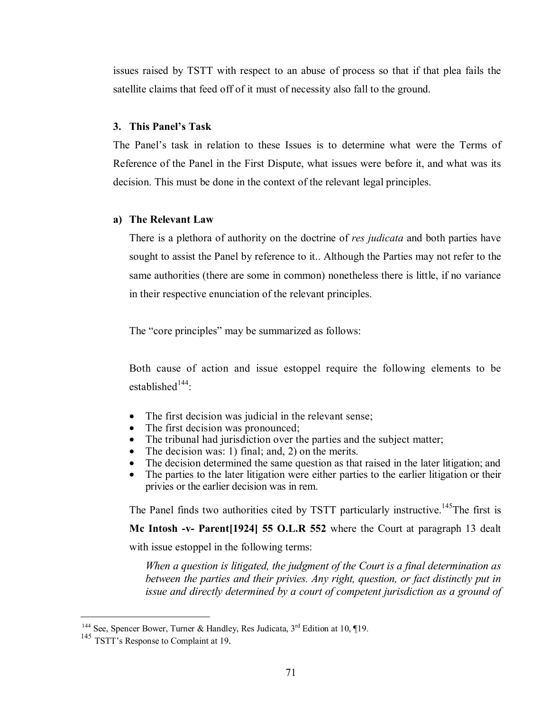issues raised by TSTT with respect to an abuse of process so that if that plea fails the satellite claims that feed off of it must of necessity also fall to the ground.

### **3. This Panel's Task**

The Panel's task in relation to these Issues is to determine what were the Terms of Reference of the Panel in the First Dispute, what issues were before it, and what was its decision. This must be done in the context of the relevant legal principles.

#### **a) The Relevant Law**

There is a plethora of authority on the doctrine of *res judicata* and both parties have sought to assist the Panel by reference to it.. Although the Parties may not refer to the same authorities (there are some in common) nonetheless there is little, if no variance in their respective enunciation of the relevant principles.

The "core principles" may be summarized as follows:

Both cause of action and issue estoppel require the following elements to be established $144$ :

- The first decision was judicial in the relevant sense;
- The first decision was pronounced;
- The tribunal had jurisdiction over the parties and the subject matter;
- The decision was: 1) final; and, 2) on the merits.
- The decision determined the same question as that raised in the later litigation; and
- The parties to the later litigation were either parties to the earlier litigation or their privies or the earlier decision was in rem.

The Panel finds two authorities cited by TSTT particularly instructive.<sup>145</sup>The first is

**Mc Intosh -v- Parent[1924] 55 O.L.R 552** where the Court at paragraph 13 dealt

with issue estoppel in the following terms:

*When a question is litigated, the judgment of the Court is a final determination as between the parties and their privies. Any right, question, or fact distinctly put in issue and directly determined by a court of competent jurisdiction as a ground of* 

<sup>&</sup>lt;sup>144</sup> See, Spencer Bower, Turner & Handley, Res Judicata,  $3<sup>rd</sup>$  Edition at 10, ¶19.

<sup>&</sup>lt;sup>145</sup> TSTT's Response to Complaint at 19.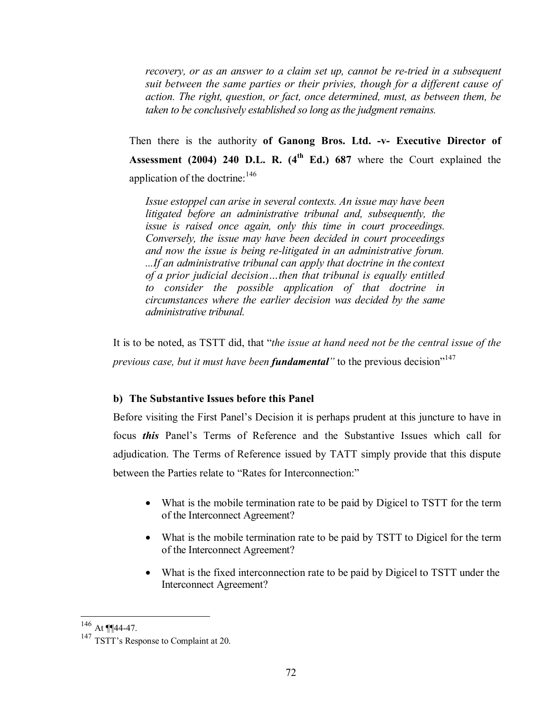*recovery, or as an answer to a claim set up, cannot be re-tried in a subsequent suit between the same parties or their privies, though for a different cause of action. The right, question, or fact, once determined, must, as between them, be taken to be conclusively established so long as the judgment remains.*

Then there is the authority **of Ganong Bros. Ltd. -v- Executive Director of Assessment (2004) 240 D.L. R. (4th Ed.) 687** where the Court explained the application of the doctrine:  $146$ 

*Issue estoppel can arise in several contexts. An issue may have been litigated before an administrative tribunal and, subsequently, the issue is raised once again, only this time in court proceedings. Conversely, the issue may have been decided in court proceedings and now the issue is being re-litigated in an administrative forum. ...If an administrative tribunal can apply that doctrine in the context of a prior judicial decision…then that tribunal is equally entitled to consider the possible application of that doctrine in circumstances where the earlier decision was decided by the same administrative tribunal.*

It is to be noted, as TSTT did, that "*the issue at hand need not be the central issue of the previous case, but it must have been fundamental* to the previous decision"<sup>147</sup>

## **b) The Substantive Issues before this Panel**

Before visiting the First Panel's Decision it is perhaps prudent at this juncture to have in focus *this* Panel's Terms of Reference and the Substantive Issues which call for adjudication. The Terms of Reference issued by TATT simply provide that this dispute between the Parties relate to "Rates for Interconnection:"

- What is the mobile termination rate to be paid by Digicel to TSTT for the term of the Interconnect Agreement?
- What is the mobile termination rate to be paid by TSTT to Digicel for the term of the Interconnect Agreement?
- What is the fixed interconnection rate to be paid by Digicel to TSTT under the Interconnect Agreement?

 $146$  At ¶¶44-47.

<sup>&</sup>lt;sup>147</sup> TSTT's Response to Complaint at 20.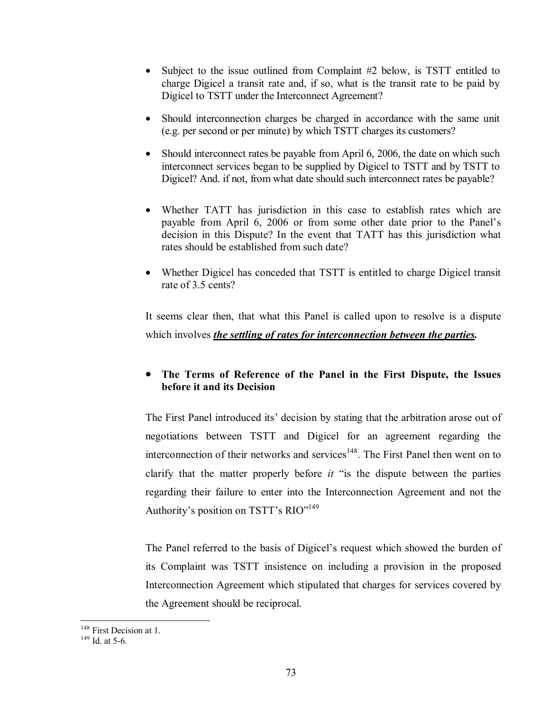- Subject to the issue outlined from Complaint #2 below, is TSTT entitled to charge Digicel a transit rate and, if so, what is the transit rate to be paid by Digicel to TSTT under the Interconnect Agreement?
- Should interconnection charges be charged in accordance with the same unit (e.g. per second or per minute) by which TSTT charges its customers?
- Should interconnect rates be payable from April 6, 2006, the date on which such interconnect services began to be supplied by Digicel to TSTT and by TSTT to Digicel? And. if not, from what date should such interconnect rates be payable?
- Whether TATT has jurisdiction in this case to establish rates which are payable from April 6, 2006 or from some other date prior to the Panel's decision in this Dispute? In the event that TATT has this jurisdiction what rates should be established from such date?
- Whether Digicel has conceded that TSTT is entitled to charge Digicel transit rate of 3.5 cents?

It seems clear then, that what this Panel is called upon to resolve is a dispute which involves *the settling of rates for interconnection between the parties.* 

# • **The Terms of Reference of the Panel in the First Dispute, the Issues before it and its Decision**

The First Panel introduced its' decision by stating that the arbitration arose out of negotiations between TSTT and Digicel for an agreement regarding the interconnection of their networks and services<sup>148</sup>. The First Panel then went on to clarify that the matter properly before *it* "is the dispute between the parties regarding their failure to enter into the Interconnection Agreement and not the Authority's position on TSTT's RIO"149

The Panel referred to the basis of Digicel's request which showed the burden of its Complaint was TSTT insistence on including a provision in the proposed Interconnection Agreement which stipulated that charges for services covered by the Agreement should be reciprocal.

 $\overline{a}$ 

<sup>&</sup>lt;sup>148</sup> First Decision at 1.<br><sup>149</sup> Id. at 5-6.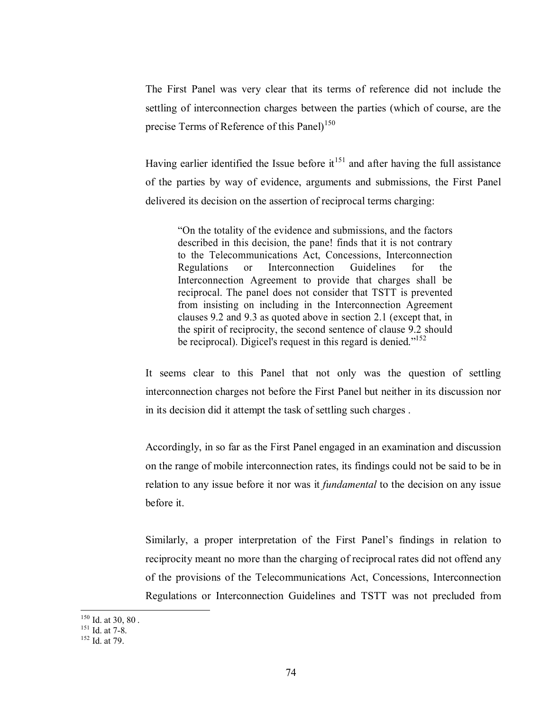The First Panel was very clear that its terms of reference did not include the settling of interconnection charges between the parties (which of course, are the precise Terms of Reference of this Panel)<sup>150</sup>

Having earlier identified the Issue before  $it^{151}$  and after having the full assistance of the parties by way of evidence, arguments and submissions, the First Panel delivered its decision on the assertion of reciprocal terms charging:

"On the totality of the evidence and submissions, and the factors described in this decision, the pane! finds that it is not contrary to the Telecommunications Act, Concessions, Interconnection Regulations or Interconnection Guidelines for the Interconnection Agreement to provide that charges shall be reciprocal. The panel does not consider that TSTT is prevented from insisting on including in the Interconnection Agreement clauses 9.2 and 9.3 as quoted above in section 2.1 (except that, in the spirit of reciprocity, the second sentence of clause 9.2 should be reciprocal). Digicel's request in this regard is denied."<sup>152</sup>

It seems clear to this Panel that not only was the question of settling interconnection charges not before the First Panel but neither in its discussion nor in its decision did it attempt the task of settling such charges .

Accordingly, in so far as the First Panel engaged in an examination and discussion on the range of mobile interconnection rates, its findings could not be said to be in relation to any issue before it nor was it *fundamental* to the decision on any issue before it.

Similarly, a proper interpretation of the First Panel's findings in relation to reciprocity meant no more than the charging of reciprocal rates did not offend any of the provisions of the Telecommunications Act, Concessions, Interconnection Regulations or Interconnection Guidelines and TSTT was not precluded from

 $150$  Id. at 30, 80.

 $^{151}$  Id. at 7-8.<br><sup>152</sup> Id. at 79.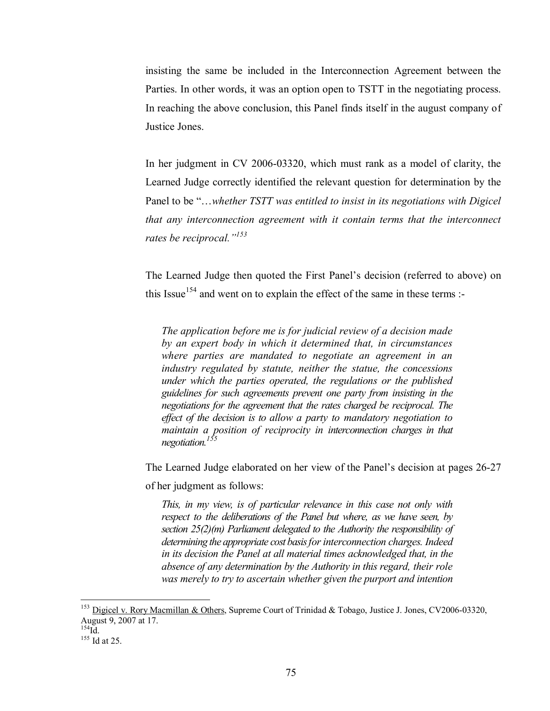insisting the same be included in the Interconnection Agreement between the Parties. In other words, it was an option open to TSTT in the negotiating process. In reaching the above conclusion, this Panel finds itself in the august company of Justice Jones.

In her judgment in CV 2006-03320, which must rank as a model of clarity, the Learned Judge correctly identified the relevant question for determination by the Panel to be "…*whether TSTT was entitled to insist in its negotiations with Digicel that any interconnection agreement with it contain terms that the interconnect rates be reciprocal."<sup>153</sup>*

The Learned Judge then quoted the First Panel's decision (referred to above) on this Issue<sup>154</sup> and went on to explain the effect of the same in these terms :-

*The application before me is for judicial review of a decision made by an expert body in which it determined that, in circumstances where parties are mandated to negotiate an agreement in an industry regulated by statute, neither the statue, the concessions under which the parties operated, the regulations or the published guidelines for such agreements prevent one party from insisting in the negotiations for the agreement that the rates charged be reciprocal. The effect of the decision is to allow a party to mandatory negotiation to maintain a position of reciprocity in interconnection charges in that negotiation.155*

The Learned Judge elaborated on her view of the Panel's decision at pages 26-27

of her judgment as follows:

*This, in my view, is of particular relevance in this case not only with respect to the deliberations of the Panel but where, as we have seen, by section 25(2)(m) Parliament delegated to the Authority the responsibility of determining the appropriate cost basis for interconnection charges. Indeed in its decision the Panel at all material times acknowledged that, in the absence of any determination by the Authority in this regard, their role was merely to try to ascertain whether given the purport and intention* 

 $\overline{a}$ 

<sup>&</sup>lt;sup>153</sup> Digicel v. Rory Macmillan & Others, Supreme Court of Trinidad & Tobago, Justice J. Jones, CV2006-03320, August 9, 2007 at 17.<br><sup>154</sup>Id

 $155$  Id at 25.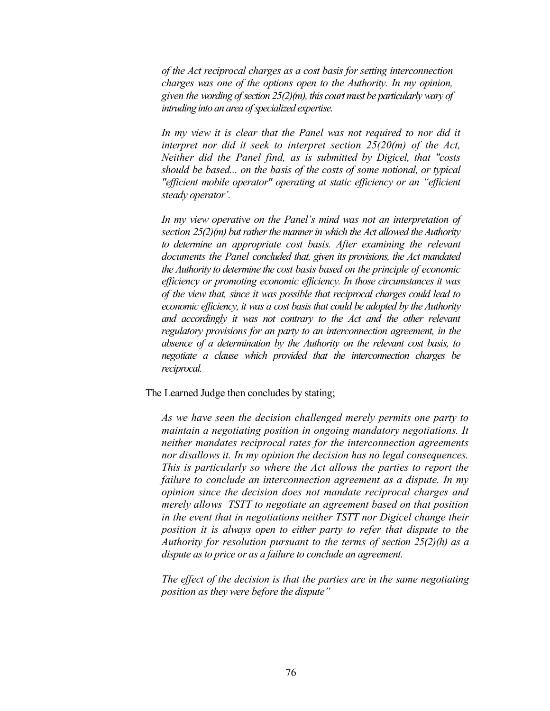*of the Act reciprocal charges as a cost basis for setting interconnection charges was one of the options open to the Authority. In my opinion, given the wording of section 25(2)(m), this court must be particularly wary of intruding into an area of specialized expertise.* 

*In my view it is clear that the Panel was not required to nor did it interpret nor did it seek to interpret section 25(20(m) of the Act, Neither did the Panel find, as is submitted by Digicel, that "costs should be based... on the basis of the costs of some notional, or typical "efficient mobile operator" operating at static efficiency or an "efficient steady operator'.* 

*In my view operative on the Panel's mind was not an interpretation of section 25(2)(m) but rather the manner in which the Act allowed the Authority to determine an appropriate cost basis. After examining the relevant documents the Panel concluded that, given its provisions, the Act mandated the Authority to determine the cost basis based on the principle of economic efficiency or promoting economic efficiency. In those circumstances it was of the view that, since it was possible that reciprocal charges could lead to economic efficiency, it was a cost basis that could be adopted by the Authority and accordingly it was not contrary to the Act and the other relevant regulatory provisions for an party to an interconnection agreement, in the absence of a determination by the Authority on the relevant cost basis, to negotiate a clause which provided that the interconnection charges be reciprocal.* 

The Learned Judge then concludes by stating;

*As we have seen the decision challenged merely permits one party to maintain a negotiating position in ongoing mandatory negotiations. It neither mandates reciprocal rates for the interconnection agreements nor disallows it. In my opinion the decision has no legal consequences. This is particularly so where the Act allows the parties to report the failure to conclude an interconnection agreement as a dispute. In my opinion since the decision does not mandate reciprocal charges and merely allows TSTT to negotiate an agreement based on that position in the event that in negotiations neither TSTT nor Digicel change their position it is always open to either party to refer that dispute to the Authority for resolution pursuant to the terms of section 25(2)(h) as a dispute as to price or as a failure to conclude an agreement.* 

*The effect of the decision is that the parties are in the same negotiating position as they were before the dispute"*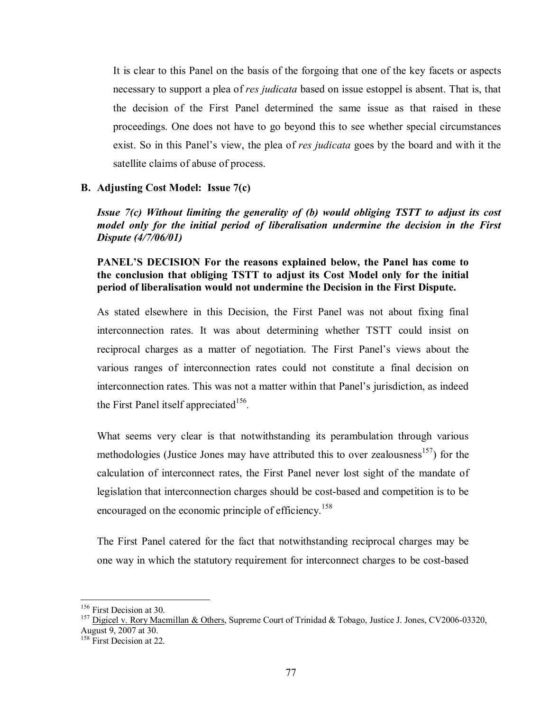It is clear to this Panel on the basis of the forgoing that one of the key facets or aspects necessary to support a plea of *res judicata* based on issue estoppel is absent. That is, that the decision of the First Panel determined the same issue as that raised in these proceedings. One does not have to go beyond this to see whether special circumstances exist. So in this Panel's view, the plea of *res judicata* goes by the board and with it the satellite claims of abuse of process.

### **B. Adjusting Cost Model: Issue 7(c)**

*Issue 7(c) Without limiting the generality of (b) would obliging TSTT to adjust its cost model only for the initial period of liberalisation undermine the decision in the First Dispute (4/7/06/01)* 

# **PANEL'S DECISION For the reasons explained below, the Panel has come to the conclusion that obliging TSTT to adjust its Cost Model only for the initial period of liberalisation would not undermine the Decision in the First Dispute.**

As stated elsewhere in this Decision, the First Panel was not about fixing final interconnection rates. It was about determining whether TSTT could insist on reciprocal charges as a matter of negotiation. The First Panel's views about the various ranges of interconnection rates could not constitute a final decision on interconnection rates. This was not a matter within that Panel's jurisdiction, as indeed the First Panel itself appreciated<sup>156</sup>.

What seems very clear is that notwithstanding its perambulation through various methodologies (Justice Jones may have attributed this to over zealousness<sup>157</sup>) for the calculation of interconnect rates, the First Panel never lost sight of the mandate of legislation that interconnection charges should be cost-based and competition is to be encouraged on the economic principle of efficiency.<sup>158</sup>

The First Panel catered for the fact that notwithstanding reciprocal charges may be one way in which the statutory requirement for interconnect charges to be cost-based

 $156$  First Decision at 30.

<sup>&</sup>lt;sup>157</sup> Digicel v. Rory Macmillan & Others, Supreme Court of Trinidad & Tobago, Justice J. Jones, CV2006-03320, August 9, 2007 at 30.

<sup>&</sup>lt;sup>158</sup> First Decision at 22.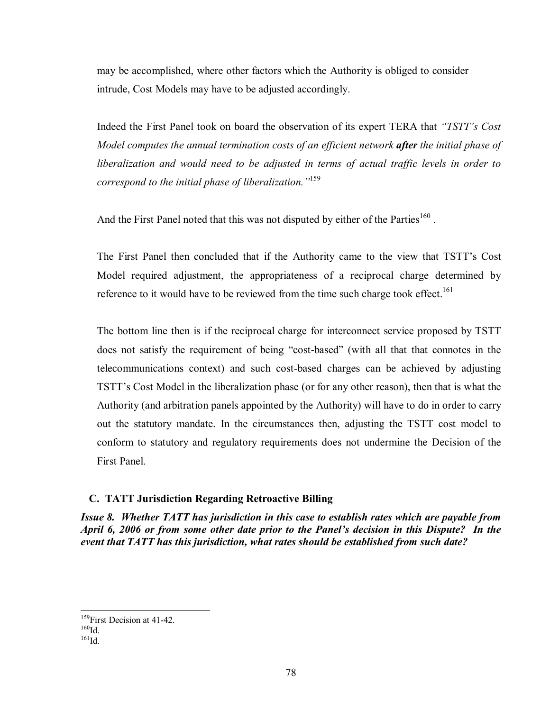may be accomplished, where other factors which the Authority is obliged to consider intrude, Cost Models may have to be adjusted accordingly.

Indeed the First Panel took on board the observation of its expert TERA that *"TSTT's Cost Model computes the annual termination costs of an efficient network after the initial phase of liberalization and would need to be adjusted in terms of actual traffic levels in order to correspond to the initial phase of liberalization."*<sup>159</sup>

And the First Panel noted that this was not disputed by either of the Parties<sup>160</sup>.

The First Panel then concluded that if the Authority came to the view that TSTT's Cost Model required adjustment, the appropriateness of a reciprocal charge determined by reference to it would have to be reviewed from the time such charge took effect.<sup>161</sup>

The bottom line then is if the reciprocal charge for interconnect service proposed by TSTT does not satisfy the requirement of being "cost-based" (with all that that connotes in the telecommunications context) and such cost-based charges can be achieved by adjusting TSTT's Cost Model in the liberalization phase (or for any other reason), then that is what the Authority (and arbitration panels appointed by the Authority) will have to do in order to carry out the statutory mandate. In the circumstances then, adjusting the TSTT cost model to conform to statutory and regulatory requirements does not undermine the Decision of the First Panel.

# **C. TATT Jurisdiction Regarding Retroactive Billing**

*Issue 8. Whether TATT has jurisdiction in this case to establish rates which are payable from April 6, 2006 or from some other date prior to the Panel's decision in this Dispute? In the event that TATT has this jurisdiction, what rates should be established from such date?* 

<sup>&</sup>lt;u>.</u> <sup>159</sup>First Decision at 41-42.<br><sup>160</sup>Id. <sup>161</sup>Id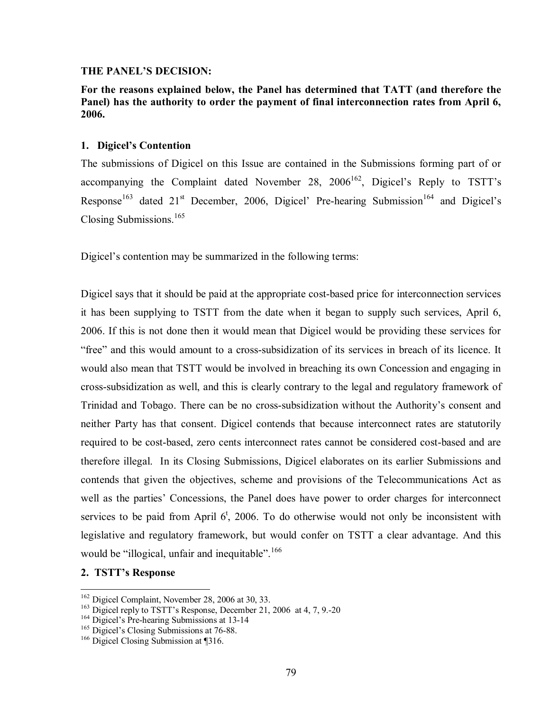#### **THE PANEL'S DECISION:**

**For the reasons explained below, the Panel has determined that TATT (and therefore the Panel) has the authority to order the payment of final interconnection rates from April 6, 2006.** 

### **1. Digicel's Contention**

The submissions of Digicel on this Issue are contained in the Submissions forming part of or accompanying the Complaint dated November 28,  $2006^{162}$ , Digicel's Reply to TSTT's Response<sup>163</sup> dated  $21<sup>st</sup>$  December, 2006, Digicel' Pre-hearing Submission<sup>164</sup> and Digicel's Closing Submissions.<sup>165</sup>

Digicel's contention may be summarized in the following terms:

Digicel says that it should be paid at the appropriate cost-based price for interconnection services it has been supplying to TSTT from the date when it began to supply such services, April 6, 2006. If this is not done then it would mean that Digicel would be providing these services for "free" and this would amount to a cross-subsidization of its services in breach of its licence. It would also mean that TSTT would be involved in breaching its own Concession and engaging in cross-subsidization as well, and this is clearly contrary to the legal and regulatory framework of Trinidad and Tobago. There can be no cross-subsidization without the Authority's consent and neither Party has that consent. Digicel contends that because interconnect rates are statutorily required to be cost-based, zero cents interconnect rates cannot be considered cost-based and are therefore illegal. In its Closing Submissions, Digicel elaborates on its earlier Submissions and contends that given the objectives, scheme and provisions of the Telecommunications Act as well as the parties' Concessions, the Panel does have power to order charges for interconnect services to be paid from April  $6^{\dagger}$ , 2006. To do otherwise would not only be inconsistent with legislative and regulatory framework, but would confer on TSTT a clear advantage. And this would be "illogical, unfair and inequitable".  $166$ 

### **2. TSTT's Response**

<sup>&</sup>lt;sup>162</sup> Digicel Complaint, November 28, 2006 at 30, 33.

<sup>&</sup>lt;sup>163</sup> Digicel reply to TSTT's Response, December 21, 2006 at 4, 7, 9.-20<br><sup>164</sup> Digicel's Pre-hearing Submissions at 13-14<br><sup>165</sup> Digicel's Closing Submissions at 76-88.<br><sup>166</sup> Digicel Closing Submission at ¶316.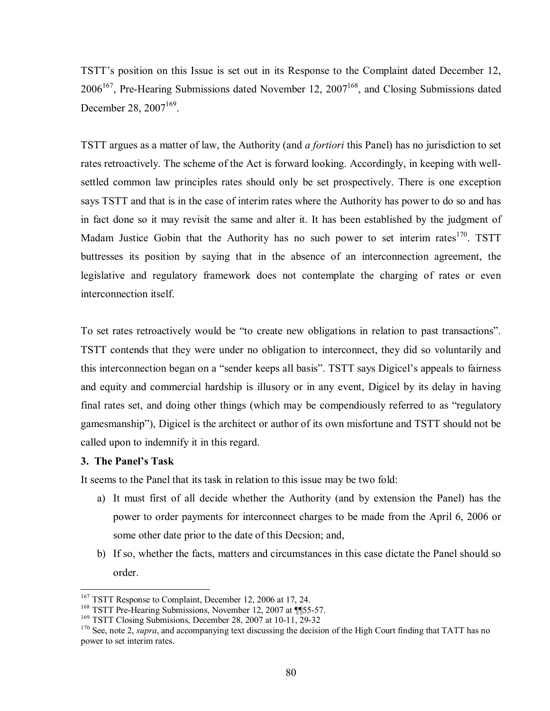TSTT's position on this Issue is set out in its Response to the Complaint dated December 12,  $2006^{167}$ , Pre-Hearing Submissions dated November 12,  $2007^{168}$ , and Closing Submissions dated December 28,  $2007^{169}$ .

TSTT argues as a matter of law, the Authority (and *a fortiori* this Panel) has no jurisdiction to set rates retroactively. The scheme of the Act is forward looking. Accordingly, in keeping with wellsettled common law principles rates should only be set prospectively. There is one exception says TSTT and that is in the case of interim rates where the Authority has power to do so and has in fact done so it may revisit the same and alter it. It has been established by the judgment of Madam Justice Gobin that the Authority has no such power to set interim rates<sup>170</sup>. TSTT buttresses its position by saying that in the absence of an interconnection agreement, the legislative and regulatory framework does not contemplate the charging of rates or even interconnection itself.

To set rates retroactively would be "to create new obligations in relation to past transactions". TSTT contends that they were under no obligation to interconnect, they did so voluntarily and this interconnection began on a "sender keeps all basis". TSTT says Digicel's appeals to fairness and equity and commercial hardship is illusory or in any event, Digicel by its delay in having final rates set, and doing other things (which may be compendiously referred to as "regulatory gamesmanship"), Digicel is the architect or author of its own misfortune and TSTT should not be called upon to indemnify it in this regard.

## **3. The Panel's Task**

It seems to the Panel that its task in relation to this issue may be two fold:

- a) It must first of all decide whether the Authority (and by extension the Panel) has the power to order payments for interconnect charges to be made from the April 6, 2006 or some other date prior to the date of this Decsion; and,
- b) If so, whether the facts, matters and circumstances in this case dictate the Panel should so order.

<sup>&</sup>lt;sup>167</sup> TSTT Response to Complaint, December 12, 2006 at 17, 24.

<sup>&</sup>lt;sup>169</sup> TSTT Pre-Hearing Submissions, November 12, 2007 at  $\P$ 55-57.<br><sup>169</sup> TSTT Closing Submissions, December 28, 2007 at 10-11, 29-32<br><sup>170</sup> See, note 2, *supra*, and accompanying text discussing the decision of the High Co power to set interim rates.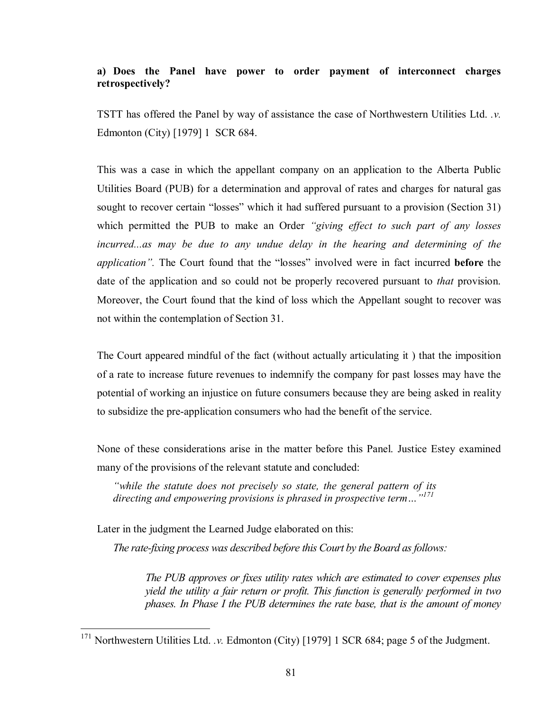# **a) Does the Panel have power to order payment of interconnect charges retrospectively?**

TSTT has offered the Panel by way of assistance the case of Northwestern Utilities Ltd. *.v.* Edmonton (City) [1979] 1 SCR 684.

This was a case in which the appellant company on an application to the Alberta Public Utilities Board (PUB) for a determination and approval of rates and charges for natural gas sought to recover certain "losses" which it had suffered pursuant to a provision (Section 31) which permitted the PUB to make an Order *"giving effect to such part of any losses incurred...as may be due to any undue delay in the hearing and determining of the application".* The Court found that the "losses" involved were in fact incurred **before** the date of the application and so could not be properly recovered pursuant to *that* provision. Moreover, the Court found that the kind of loss which the Appellant sought to recover was not within the contemplation of Section 31.

The Court appeared mindful of the fact (without actually articulating it ) that the imposition of a rate to increase future revenues to indemnify the company for past losses may have the potential of working an injustice on future consumers because they are being asked in reality to subsidize the pre-application consumers who had the benefit of the service.

None of these considerations arise in the matter before this Panel. Justice Estey examined many of the provisions of the relevant statute and concluded:

*"while the statute does not precisely so state, the general pattern of its directing and empowering provisions is phrased in prospective term…"<sup>171</sup>*

Later in the judgment the Learned Judge elaborated on this:

 $\overline{a}$ 

*The rate-fixing process was described before this Court by the Board as follows:*

*The PUB approves or fixes utility rates which are estimated to cover expenses plus yield the utility a fair return or profit. This function is generally performed in two phases. In Phase I the PUB determines the rate base, that is the amount of money* 

<sup>&</sup>lt;sup>171</sup> Northwestern Utilities Ltd. *v.* Edmonton (City) [1979] 1 SCR 684; page 5 of the Judgment.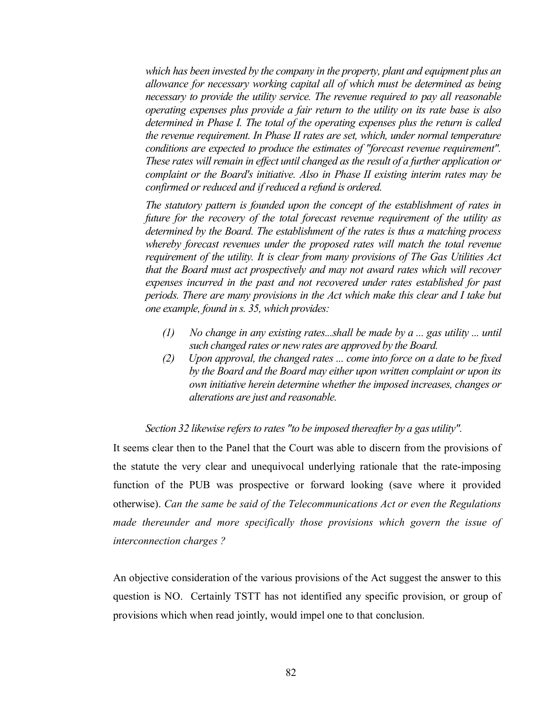*which has been invested by the company in the property, plant and equipment plus an allowance for necessary working capital all of which must be determined as being necessary to provide the utility service. The revenue required to pay all reasonable operating expenses plus provide a fair return to the utility on its rate base is also determined in Phase I. The total of the operating expenses plus the return is called the revenue requirement. In Phase II rates are set, which, under normal temperature conditions are expected to produce the estimates of "forecast revenue requirement". These rates will remain in effect until changed as the result of a further application or complaint or the Board's initiative. Also in Phase II existing interim rates may be confirmed or reduced and if reduced a refund is ordered.*

*The statutory pattern is founded upon the concept of the establishment of rates in future for the recovery of the total forecast revenue requirement of the utility as determined by the Board. The establishment of the rates is thus a matching process whereby forecast revenues under the proposed rates will match the total revenue requirement of the utility. It is clear from many provisions of The Gas Utilities Act that the Board must act prospectively and may not award rates which will recover expenses incurred in the past and not recovered under rates established for past periods. There are many provisions in the Act which make this clear and I take but one example, found in s. 35, which provides:*

- *(1) No change in any existing rates...shall be made by a ... gas utility ... until such changed rates or new rates are approved by the Board.*
- *(2) Upon approval, the changed rates ... come into force on a date to be fixed by the Board and the Board may either upon written complaint or upon its own initiative herein determine whether the imposed increases, changes or alterations are just and reasonable.*

### *Section 32 likewise refers to rates "to be imposed thereafter by a gas utility".*

It seems clear then to the Panel that the Court was able to discern from the provisions of the statute the very clear and unequivocal underlying rationale that the rate-imposing function of the PUB was prospective or forward looking (save where it provided otherwise). *Can the same be said of the Telecommunications Act or even the Regulations made thereunder and more specifically those provisions which govern the issue of interconnection charges ?*

An objective consideration of the various provisions of the Act suggest the answer to this question is NO. Certainly TSTT has not identified any specific provision, or group of provisions which when read jointly, would impel one to that conclusion.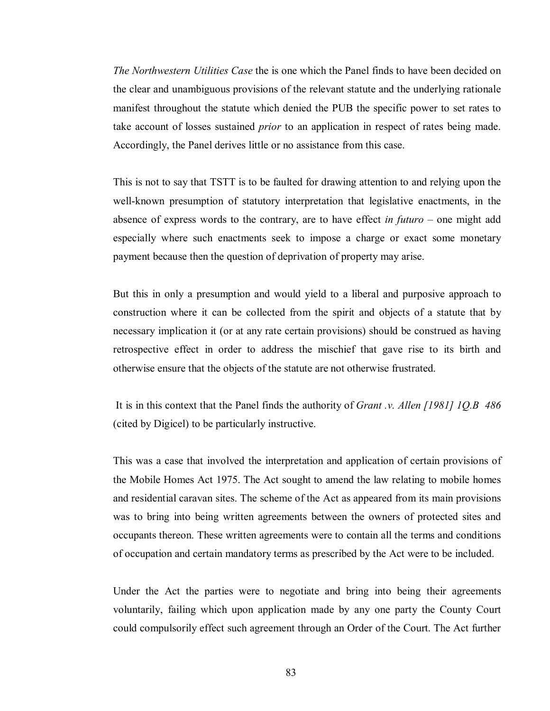*The Northwestern Utilities Case* the is one which the Panel finds to have been decided on the clear and unambiguous provisions of the relevant statute and the underlying rationale manifest throughout the statute which denied the PUB the specific power to set rates to take account of losses sustained *prior* to an application in respect of rates being made. Accordingly, the Panel derives little or no assistance from this case.

This is not to say that TSTT is to be faulted for drawing attention to and relying upon the well-known presumption of statutory interpretation that legislative enactments, in the absence of express words to the contrary, are to have effect *in futuro* – one might add especially where such enactments seek to impose a charge or exact some monetary payment because then the question of deprivation of property may arise.

But this in only a presumption and would yield to a liberal and purposive approach to construction where it can be collected from the spirit and objects of a statute that by necessary implication it (or at any rate certain provisions) should be construed as having retrospective effect in order to address the mischief that gave rise to its birth and otherwise ensure that the objects of the statute are not otherwise frustrated.

 It is in this context that the Panel finds the authority of *Grant .v. Allen [1981] 1Q.B 486* (cited by Digicel) to be particularly instructive.

This was a case that involved the interpretation and application of certain provisions of the Mobile Homes Act 1975. The Act sought to amend the law relating to mobile homes and residential caravan sites. The scheme of the Act as appeared from its main provisions was to bring into being written agreements between the owners of protected sites and occupants thereon. These written agreements were to contain all the terms and conditions of occupation and certain mandatory terms as prescribed by the Act were to be included.

Under the Act the parties were to negotiate and bring into being their agreements voluntarily, failing which upon application made by any one party the County Court could compulsorily effect such agreement through an Order of the Court. The Act further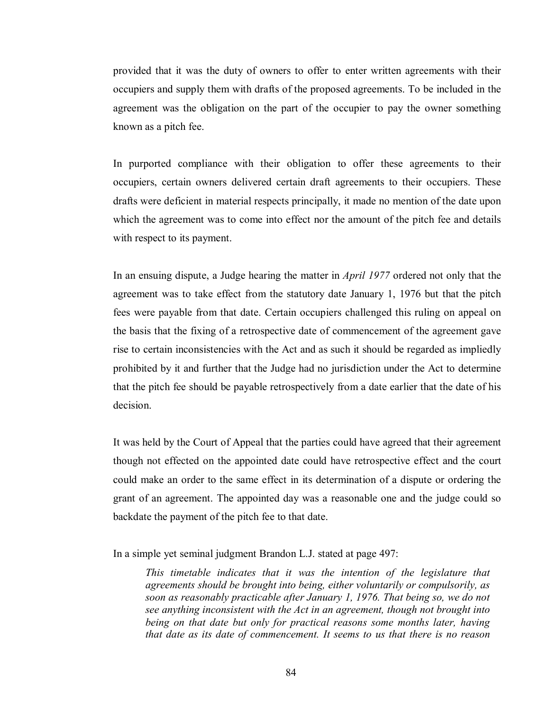provided that it was the duty of owners to offer to enter written agreements with their occupiers and supply them with drafts of the proposed agreements. To be included in the agreement was the obligation on the part of the occupier to pay the owner something known as a pitch fee.

In purported compliance with their obligation to offer these agreements to their occupiers, certain owners delivered certain draft agreements to their occupiers. These drafts were deficient in material respects principally, it made no mention of the date upon which the agreement was to come into effect nor the amount of the pitch fee and details with respect to its payment.

In an ensuing dispute, a Judge hearing the matter in *April 1977* ordered not only that the agreement was to take effect from the statutory date January 1, 1976 but that the pitch fees were payable from that date. Certain occupiers challenged this ruling on appeal on the basis that the fixing of a retrospective date of commencement of the agreement gave rise to certain inconsistencies with the Act and as such it should be regarded as impliedly prohibited by it and further that the Judge had no jurisdiction under the Act to determine that the pitch fee should be payable retrospectively from a date earlier that the date of his decision.

It was held by the Court of Appeal that the parties could have agreed that their agreement though not effected on the appointed date could have retrospective effect and the court could make an order to the same effect in its determination of a dispute or ordering the grant of an agreement. The appointed day was a reasonable one and the judge could so backdate the payment of the pitch fee to that date.

In a simple yet seminal judgment Brandon L.J. stated at page 497:

This timetable indicates that it was the intention of the legislature that *agreements should be brought into being, either voluntarily or compulsorily, as soon as reasonably practicable after January 1, 1976. That being so, we do not see anything inconsistent with the Act in an agreement, though not brought into being on that date but only for practical reasons some months later, having that date as its date of commencement. It seems to us that there is no reason*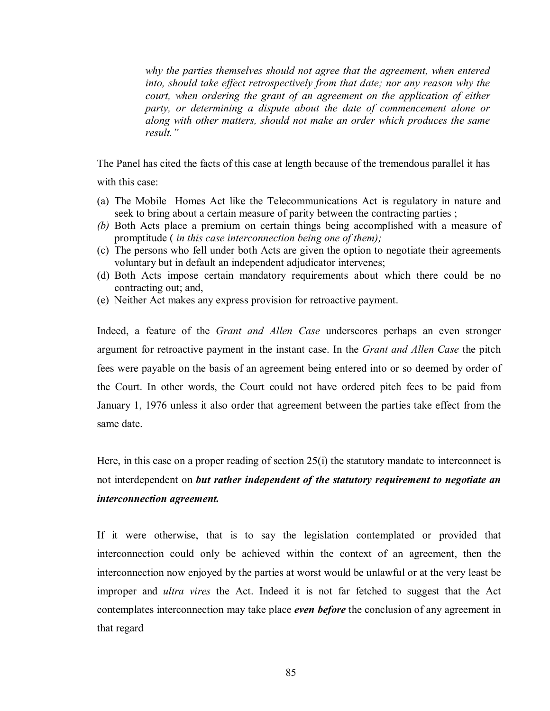*why the parties themselves should not agree that the agreement, when entered into, should take effect retrospectively from that date; nor any reason why the court, when ordering the grant of an agreement on the application of either party, or determining a dispute about the date of commencement alone or along with other matters, should not make an order which produces the same result."* 

The Panel has cited the facts of this case at length because of the tremendous parallel it has

with this case:

- (a) The Mobile Homes Act like the Telecommunications Act is regulatory in nature and seek to bring about a certain measure of parity between the contracting parties ;
- *(b)* Both Acts place a premium on certain things being accomplished with a measure of promptitude ( *in this case interconnection being one of them);*
- (c) The persons who fell under both Acts are given the option to negotiate their agreements voluntary but in default an independent adjudicator intervenes;
- (d) Both Acts impose certain mandatory requirements about which there could be no contracting out; and,
- (e) Neither Act makes any express provision for retroactive payment.

Indeed, a feature of the *Grant and Allen Case* underscores perhaps an even stronger argument for retroactive payment in the instant case. In the *Grant and Allen Case* the pitch fees were payable on the basis of an agreement being entered into or so deemed by order of the Court. In other words, the Court could not have ordered pitch fees to be paid from January 1, 1976 unless it also order that agreement between the parties take effect from the same date.

Here, in this case on a proper reading of section  $25(i)$  the statutory mandate to interconnect is not interdependent on *but rather independent of the statutory requirement to negotiate an interconnection agreement.*

If it were otherwise, that is to say the legislation contemplated or provided that interconnection could only be achieved within the context of an agreement, then the interconnection now enjoyed by the parties at worst would be unlawful or at the very least be improper and *ultra vires* the Act. Indeed it is not far fetched to suggest that the Act contemplates interconnection may take place *even before* the conclusion of any agreement in that regard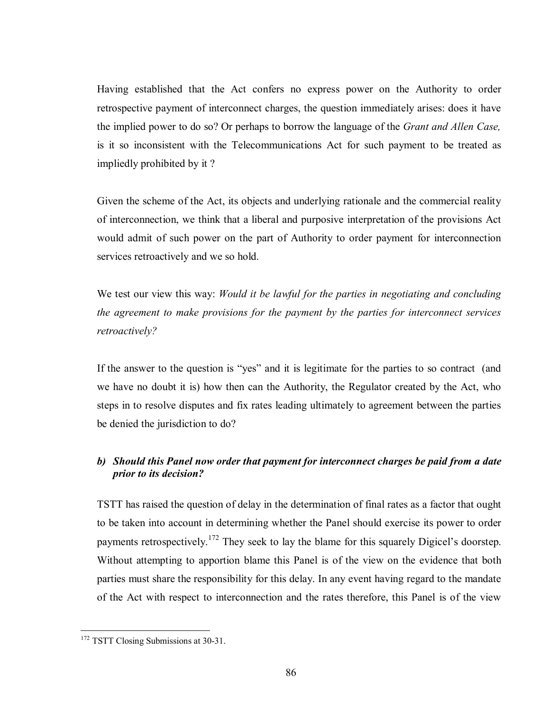Having established that the Act confers no express power on the Authority to order retrospective payment of interconnect charges, the question immediately arises: does it have the implied power to do so? Or perhaps to borrow the language of the *Grant and Allen Case,*  is it so inconsistent with the Telecommunications Act for such payment to be treated as impliedly prohibited by it ?

Given the scheme of the Act, its objects and underlying rationale and the commercial reality of interconnection, we think that a liberal and purposive interpretation of the provisions Act would admit of such power on the part of Authority to order payment for interconnection services retroactively and we so hold.

We test our view this way: *Would it be lawful for the parties in negotiating and concluding the agreement to make provisions for the payment by the parties for interconnect services retroactively?* 

If the answer to the question is "yes" and it is legitimate for the parties to so contract (and we have no doubt it is) how then can the Authority, the Regulator created by the Act, who steps in to resolve disputes and fix rates leading ultimately to agreement between the parties be denied the jurisdiction to do?

# *b) Should this Panel now order that payment for interconnect charges be paid from a date prior to its decision?*

TSTT has raised the question of delay in the determination of final rates as a factor that ought to be taken into account in determining whether the Panel should exercise its power to order payments retrospectively.<sup>172</sup> They seek to lay the blame for this squarely Digicel's doorstep. Without attempting to apportion blame this Panel is of the view on the evidence that both parties must share the responsibility for this delay. In any event having regard to the mandate of the Act with respect to interconnection and the rates therefore, this Panel is of the view

 $\overline{a}$ <sup>172</sup> TSTT Closing Submissions at 30-31.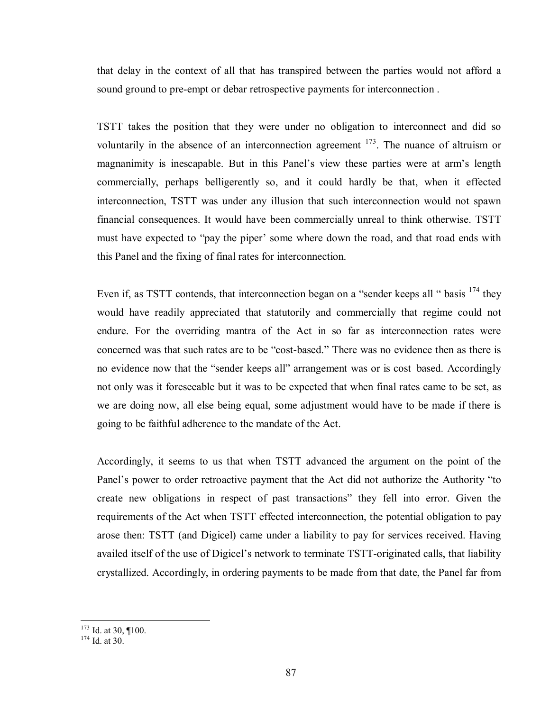that delay in the context of all that has transpired between the parties would not afford a sound ground to pre-empt or debar retrospective payments for interconnection .

TSTT takes the position that they were under no obligation to interconnect and did so voluntarily in the absence of an interconnection agreement  $173$ . The nuance of altruism or magnanimity is inescapable. But in this Panel's view these parties were at arm's length commercially, perhaps belligerently so, and it could hardly be that, when it effected interconnection, TSTT was under any illusion that such interconnection would not spawn financial consequences. It would have been commercially unreal to think otherwise. TSTT must have expected to "pay the piper' some where down the road, and that road ends with this Panel and the fixing of final rates for interconnection.

Even if, as TSTT contends, that interconnection began on a "sender keeps all " basis <sup>174</sup> they would have readily appreciated that statutorily and commercially that regime could not endure. For the overriding mantra of the Act in so far as interconnection rates were concerned was that such rates are to be "cost-based." There was no evidence then as there is no evidence now that the "sender keeps all" arrangement was or is cost–based. Accordingly not only was it foreseeable but it was to be expected that when final rates came to be set, as we are doing now, all else being equal, some adjustment would have to be made if there is going to be faithful adherence to the mandate of the Act.

Accordingly, it seems to us that when TSTT advanced the argument on the point of the Panel's power to order retroactive payment that the Act did not authorize the Authority "to create new obligations in respect of past transactions" they fell into error. Given the requirements of the Act when TSTT effected interconnection, the potential obligation to pay arose then: TSTT (and Digicel) came under a liability to pay for services received. Having availed itself of the use of Digicel's network to terminate TSTT-originated calls, that liability crystallized. Accordingly, in ordering payments to be made from that date, the Panel far from

<sup>&</sup>lt;u>.</u>  $^{173}$  Id. at 30, ¶100.<br> $^{174}$  Id. at 30.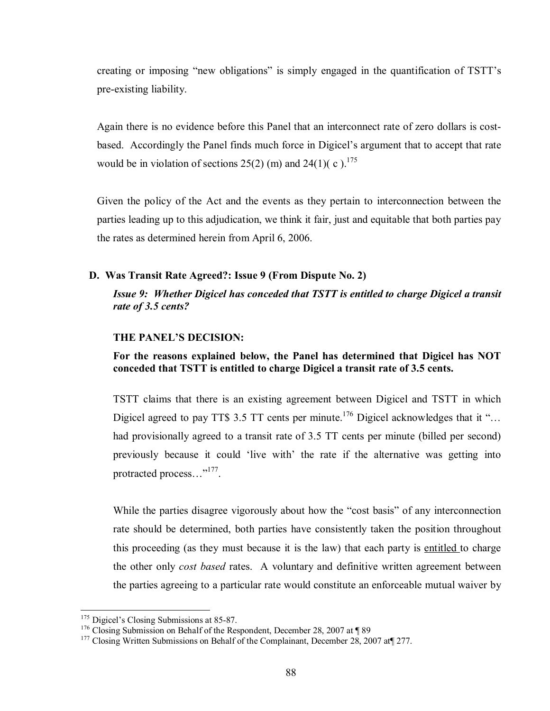creating or imposing "new obligations" is simply engaged in the quantification of TSTT's pre-existing liability.

Again there is no evidence before this Panel that an interconnect rate of zero dollars is costbased. Accordingly the Panel finds much force in Digicel's argument that to accept that rate would be in violation of sections  $25(2)$  (m) and  $24(1)$ (c).<sup>175</sup>

Given the policy of the Act and the events as they pertain to interconnection between the parties leading up to this adjudication, we think it fair, just and equitable that both parties pay the rates as determined herein from April 6, 2006.

## **D. Was Transit Rate Agreed?: Issue 9 (From Dispute No. 2)**

*Issue 9: Whether Digicel has conceded that TSTT is entitled to charge Digicel a transit rate of 3.5 cents?* 

### **THE PANEL'S DECISION:**

## **For the reasons explained below, the Panel has determined that Digicel has NOT conceded that TSTT is entitled to charge Digicel a transit rate of 3.5 cents.**

TSTT claims that there is an existing agreement between Digicel and TSTT in which Digicel agreed to pay TT\$ 3.5 TT cents per minute.<sup>176</sup> Digicel acknowledges that it "... had provisionally agreed to a transit rate of 3.5 TT cents per minute (billed per second) previously because it could 'live with' the rate if the alternative was getting into protracted process..."<sup>177</sup>.

While the parties disagree vigorously about how the "cost basis" of any interconnection rate should be determined, both parties have consistently taken the position throughout this proceeding (as they must because it is the law) that each party is entitled to charge the other only *cost based* rates. A voluntary and definitive written agreement between the parties agreeing to a particular rate would constitute an enforceable mutual waiver by

<u>.</u>

<sup>&</sup>lt;sup>175</sup> Digicel's Closing Submissions at 85-87.<br><sup>176</sup> Closing Submission on Behalf of the Respondent, December 28, 2007 at ¶ 89 <sup>177</sup> Closing Written Submissions on Behalf of the Complainant, December 28, 2007 at¶ 277.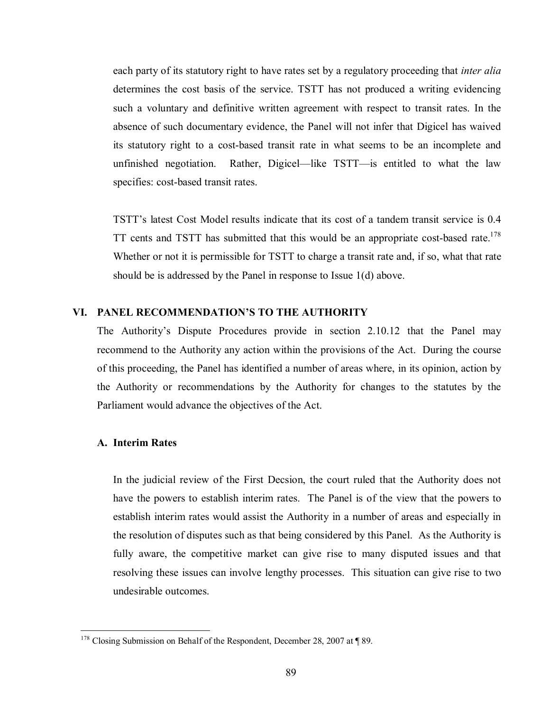each party of its statutory right to have rates set by a regulatory proceeding that *inter alia* determines the cost basis of the service. TSTT has not produced a writing evidencing such a voluntary and definitive written agreement with respect to transit rates. In the absence of such documentary evidence, the Panel will not infer that Digicel has waived its statutory right to a cost-based transit rate in what seems to be an incomplete and unfinished negotiation. Rather, Digicel—like TSTT—is entitled to what the law specifies: cost-based transit rates.

TSTT's latest Cost Model results indicate that its cost of a tandem transit service is 0.4 TT cents and TSTT has submitted that this would be an appropriate cost-based rate.<sup>178</sup> Whether or not it is permissible for TSTT to charge a transit rate and, if so, what that rate should be is addressed by the Panel in response to Issue 1(d) above.

### **VI. PANEL RECOMMENDATION'S TO THE AUTHORITY**

The Authority's Dispute Procedures provide in section 2.10.12 that the Panel may recommend to the Authority any action within the provisions of the Act. During the course of this proceeding, the Panel has identified a number of areas where, in its opinion, action by the Authority or recommendations by the Authority for changes to the statutes by the Parliament would advance the objectives of the Act.

### **A. Interim Rates**

1

In the judicial review of the First Decsion, the court ruled that the Authority does not have the powers to establish interim rates. The Panel is of the view that the powers to establish interim rates would assist the Authority in a number of areas and especially in the resolution of disputes such as that being considered by this Panel. As the Authority is fully aware, the competitive market can give rise to many disputed issues and that resolving these issues can involve lengthy processes. This situation can give rise to two undesirable outcomes.

 $178$  Closing Submission on Behalf of the Respondent, December 28, 2007 at ¶ 89.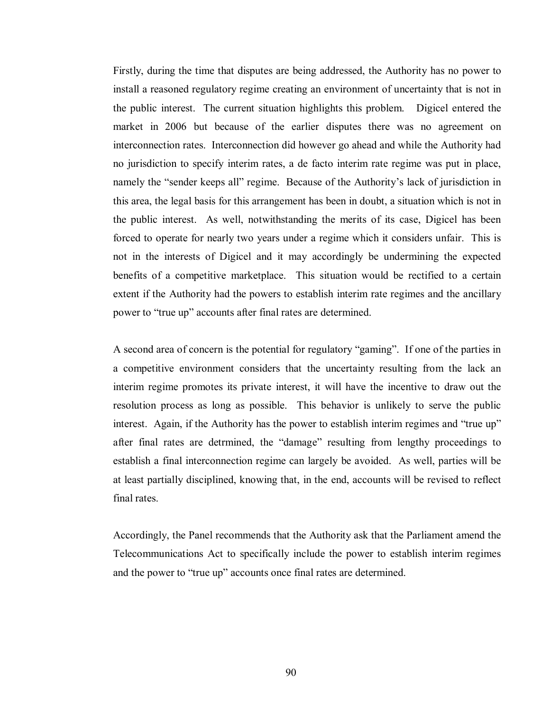Firstly, during the time that disputes are being addressed, the Authority has no power to install a reasoned regulatory regime creating an environment of uncertainty that is not in the public interest. The current situation highlights this problem. Digicel entered the market in 2006 but because of the earlier disputes there was no agreement on interconnection rates. Interconnection did however go ahead and while the Authority had no jurisdiction to specify interim rates, a de facto interim rate regime was put in place, namely the "sender keeps all" regime. Because of the Authority's lack of jurisdiction in this area, the legal basis for this arrangement has been in doubt, a situation which is not in the public interest. As well, notwithstanding the merits of its case, Digicel has been forced to operate for nearly two years under a regime which it considers unfair. This is not in the interests of Digicel and it may accordingly be undermining the expected benefits of a competitive marketplace. This situation would be rectified to a certain extent if the Authority had the powers to establish interim rate regimes and the ancillary power to "true up" accounts after final rates are determined.

A second area of concern is the potential for regulatory "gaming". If one of the parties in a competitive environment considers that the uncertainty resulting from the lack an interim regime promotes its private interest, it will have the incentive to draw out the resolution process as long as possible. This behavior is unlikely to serve the public interest. Again, if the Authority has the power to establish interim regimes and "true up" after final rates are detrmined, the "damage" resulting from lengthy proceedings to establish a final interconnection regime can largely be avoided. As well, parties will be at least partially disciplined, knowing that, in the end, accounts will be revised to reflect final rates.

Accordingly, the Panel recommends that the Authority ask that the Parliament amend the Telecommunications Act to specifically include the power to establish interim regimes and the power to "true up" accounts once final rates are determined.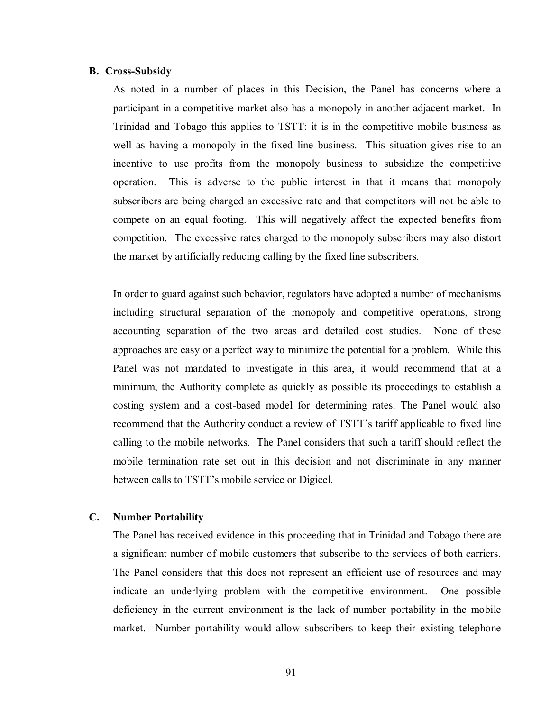### **B. Cross-Subsidy**

As noted in a number of places in this Decision, the Panel has concerns where a participant in a competitive market also has a monopoly in another adjacent market. In Trinidad and Tobago this applies to TSTT: it is in the competitive mobile business as well as having a monopoly in the fixed line business. This situation gives rise to an incentive to use profits from the monopoly business to subsidize the competitive operation. This is adverse to the public interest in that it means that monopoly subscribers are being charged an excessive rate and that competitors will not be able to compete on an equal footing. This will negatively affect the expected benefits from competition. The excessive rates charged to the monopoly subscribers may also distort the market by artificially reducing calling by the fixed line subscribers.

In order to guard against such behavior, regulators have adopted a number of mechanisms including structural separation of the monopoly and competitive operations, strong accounting separation of the two areas and detailed cost studies. None of these approaches are easy or a perfect way to minimize the potential for a problem. While this Panel was not mandated to investigate in this area, it would recommend that at a minimum, the Authority complete as quickly as possible its proceedings to establish a costing system and a cost-based model for determining rates. The Panel would also recommend that the Authority conduct a review of TSTT's tariff applicable to fixed line calling to the mobile networks. The Panel considers that such a tariff should reflect the mobile termination rate set out in this decision and not discriminate in any manner between calls to TSTT's mobile service or Digicel.

### **C. Number Portability**

The Panel has received evidence in this proceeding that in Trinidad and Tobago there are a significant number of mobile customers that subscribe to the services of both carriers. The Panel considers that this does not represent an efficient use of resources and may indicate an underlying problem with the competitive environment. One possible deficiency in the current environment is the lack of number portability in the mobile market. Number portability would allow subscribers to keep their existing telephone